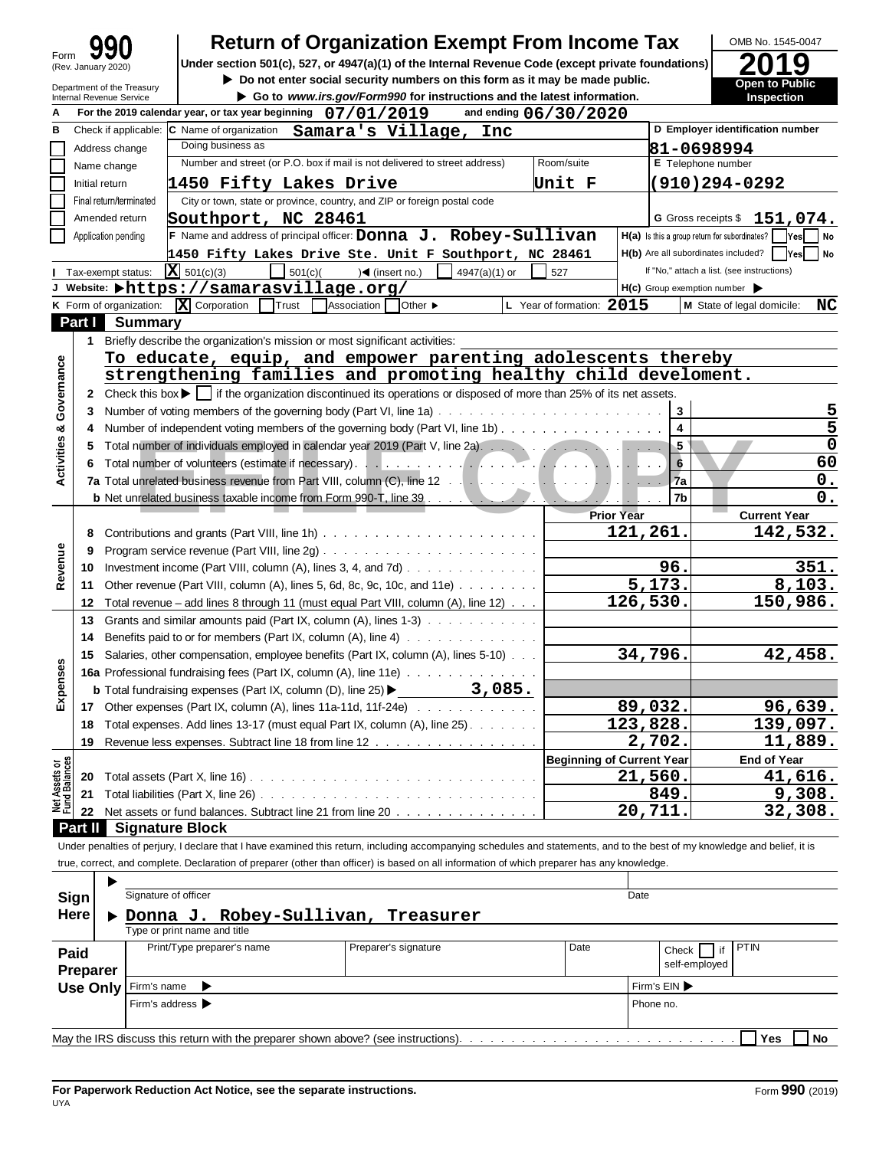|                                      | <b>Return of Organization Exempt From Income Tax</b>                                                                                                                                                                           |                                            |                                                     | OMB No. 1545-0047                          |
|--------------------------------------|--------------------------------------------------------------------------------------------------------------------------------------------------------------------------------------------------------------------------------|--------------------------------------------|-----------------------------------------------------|--------------------------------------------|
| Form<br>(Rev. January 2020)          | Under section 501(c), 527, or 4947(a)(1) of the Internal Revenue Code (except private foundations)                                                                                                                             |                                            |                                                     |                                            |
| Department of the Treasury           | Do not enter social security numbers on this form as it may be made public.                                                                                                                                                    |                                            |                                                     | Open to Public                             |
| Internal Revenue Service             | Go to www.irs.gov/Form990 for instructions and the latest information.                                                                                                                                                         |                                            |                                                     | Inspection                                 |
|                                      | For the 2019 calendar year, or tax year beginning $07/01/2019$                                                                                                                                                                 | and ending 06/30/2020                      |                                                     |                                            |
|                                      | Check if applicable: C Name of organization Samara's Village,<br>Inc                                                                                                                                                           |                                            |                                                     | D Employer identification number           |
| Address change                       | Doing business as                                                                                                                                                                                                              |                                            | 81-0698994                                          |                                            |
| Name change                          | Number and street (or P.O. box if mail is not delivered to street address)                                                                                                                                                     | Room/suite                                 | E Telephone number                                  |                                            |
| Initial return                       | 1450 Fifty Lakes Drive                                                                                                                                                                                                         | Unit F                                     |                                                     | $(910)294 - 0292$                          |
| Final return/terminated              | City or town, state or province, country, and ZIP or foreign postal code                                                                                                                                                       |                                            |                                                     |                                            |
| Amended return                       | Southport, NC 28461                                                                                                                                                                                                            |                                            |                                                     | G Gross receipts $$151,074.$               |
| Application pending                  | F Name and address of principal officer: Donna J. Robey-Sullivan                                                                                                                                                               |                                            | H(a) Is this a group return for subordinates?       | Yes <br>  No                               |
|                                      | 1450 Fifty Lakes Drive Ste. Unit F Southport, NC 28461                                                                                                                                                                         |                                            | H(b) Are all subordinates included?                 | Yes <br>No                                 |
| Tax-exempt status:                   | $ X $ 501(c)(3)<br>501(c)<br>$\sqrt{4}$ (insert no.)<br>4947(a)(1) or                                                                                                                                                          | 527                                        |                                                     | If "No," attach a list. (see instructions) |
|                                      | J Website: $\blacktriangleright$ https://samarasvillage.org/                                                                                                                                                                   |                                            | $H(c)$ Group exemption number $\blacktriangleright$ |                                            |
| K Form of organization:              | X Corporation<br>Trust<br>Association<br><b>Other</b> ▶                                                                                                                                                                        | L Year of formation: 2015                  |                                                     | M State of legal domicile:<br>NC           |
| <b>Part I</b> Summary                |                                                                                                                                                                                                                                |                                            |                                                     |                                            |
| 1.                                   | Briefly describe the organization's mission or most significant activities:                                                                                                                                                    |                                            |                                                     |                                            |
|                                      | To educate, equip, and empower parenting adolescents thereby                                                                                                                                                                   |                                            |                                                     |                                            |
|                                      | strengthening families and promoting healthy child develoment.                                                                                                                                                                 |                                            |                                                     |                                            |
|                                      | 2 Check this box $\blacktriangleright$   if the organization discontinued its operations or disposed of more than 25% of its net assets.                                                                                       |                                            |                                                     |                                            |
| 3.                                   |                                                                                                                                                                                                                                |                                            | $\mathbf{3}$                                        |                                            |
| 4                                    | Number of independent voting members of the governing body (Part VI, line 1b)                                                                                                                                                  |                                            | $\overline{\mathbf{4}}$                             | 5                                          |
| 5.                                   | Total number of individuals employed in calendar year 2019 (Part V, line 2a). And a substitution of the state of the state of the state of the state of the state of the state of the state of the state of the state of the s |                                            | 5                                                   | 0                                          |
| 6                                    |                                                                                                                                                                                                                                |                                            | 6                                                   | 60                                         |
|                                      |                                                                                                                                                                                                                                |                                            | 7a                                                  | $\mathbf 0$ .                              |
|                                      | <b>b</b> Net unrelated business taxable income from Form 990-T, line 39 and a subsidiary of the Network of the Network                                                                                                         | <b>Contract Contract Contract Contract</b> | 7b                                                  | 0.                                         |
|                                      |                                                                                                                                                                                                                                | <b>Prior Year</b>                          |                                                     | <b>Current Year</b>                        |
| 8                                    |                                                                                                                                                                                                                                | 121,261.                                   |                                                     | 142,532.                                   |
| 9                                    |                                                                                                                                                                                                                                |                                            |                                                     |                                            |
| 10                                   | Investment income (Part VIII, column (A), lines 3, 4, and 7d) $\ldots$                                                                                                                                                         |                                            | 96.                                                 | 351.                                       |
| 11                                   | Other revenue (Part VIII, column (A), lines 5, 6d, 8c, 9c, 10c, and 11e) $\ldots \ldots \ldots$                                                                                                                                |                                            | 5,173.                                              | 8,103.                                     |
| 12                                   | Total revenue – add lines 8 through 11 (must equal Part VIII, column (A), line $12) \cdot \cdot \cdot$                                                                                                                         | 126,530.                                   |                                                     | 150,986.                                   |
| 13                                   | Grants and similar amounts paid (Part IX, column (A), lines 1-3)                                                                                                                                                               |                                            |                                                     |                                            |
| 14                                   | Benefits paid to or for members (Part IX, column $(A)$ , line $A)$                                                                                                                                                             |                                            |                                                     |                                            |
|                                      | 15 Salaries, other compensation, employee benefits (Part IX, column (A), lines 5-10)                                                                                                                                           |                                            | 34,796.                                             | 42,458.                                    |
| Expense                              | <b>16a</b> Professional fundraising fees (Part IX, column (A), line 11e)                                                                                                                                                       |                                            |                                                     |                                            |
|                                      | 3,085.<br><b>b</b> Total fundraising expenses (Part IX, column (D), line 25) $\blacktriangleright$                                                                                                                             |                                            |                                                     |                                            |
|                                      | 17 Other expenses (Part IX, column (A), lines 11a-11d, 11f-24e)                                                                                                                                                                |                                            | 89,032.                                             | 96,639.                                    |
| 18                                   | Total expenses. Add lines 13-17 (must equal Part IX, column (A), line 25)                                                                                                                                                      | 123,828.                                   |                                                     | 139,097.                                   |
| 19                                   | Revenue less expenses. Subtract line 18 from line 12                                                                                                                                                                           |                                            | 2,702.                                              | 11,889.                                    |
|                                      |                                                                                                                                                                                                                                | <b>Beginning of Current Year</b>           |                                                     | <b>End of Year</b>                         |
| Net Assets or<br>Fund Balances<br>20 |                                                                                                                                                                                                                                |                                            | 21,560.                                             | 41,616.                                    |
| 21                                   |                                                                                                                                                                                                                                |                                            | 849.                                                | 9,308.                                     |
| 22                                   | Net assets or fund balances. Subtract line 21 from line 20                                                                                                                                                                     |                                            | 20,711.                                             | 32,308.                                    |
| Part II<br><b>Signature Block</b>    |                                                                                                                                                                                                                                |                                            |                                                     |                                            |
|                                      | Under penalties of perjury, I declare that I have examined this return, including accompanying schedules and statements, and to the best of my knowledge and belief, it is                                                     |                                            |                                                     |                                            |
|                                      | true, correct, and complete. Declaration of preparer (other than officer) is based on all information of which preparer has any knowledge.                                                                                     |                                            |                                                     |                                            |
|                                      |                                                                                                                                                                                                                                |                                            |                                                     |                                            |
| Signature of officer<br>Sign         |                                                                                                                                                                                                                                | Date                                       |                                                     |                                            |
| Here                                 | Donna J. Robey-Sullivan,<br>Treasurer                                                                                                                                                                                          |                                            |                                                     |                                            |
|                                      | Type or print name and title                                                                                                                                                                                                   |                                            |                                                     |                                            |
|                                      |                                                                                                                                                                                                                                |                                            |                                                     |                                            |

|                  |  | Type or print name and title         |                      |      |           |                                                 |  |  |  |  |
|------------------|--|--------------------------------------|----------------------|------|-----------|-------------------------------------------------|--|--|--|--|
| Paid<br>Preparer |  | Print/Type preparer's name           | Preparer's signature | Date |           | <b>PTIN</b><br>. if<br>Check  <br>self-employed |  |  |  |  |
|                  |  | Use Only Firm's name                 |                      |      |           | Firm's EIN ▶                                    |  |  |  |  |
|                  |  | Firm's address $\blacktriangleright$ |                      |      | Phone no. |                                                 |  |  |  |  |
|                  |  |                                      |                      |      |           |                                                 |  |  |  |  |
| Yes<br>No        |  |                                      |                      |      |           |                                                 |  |  |  |  |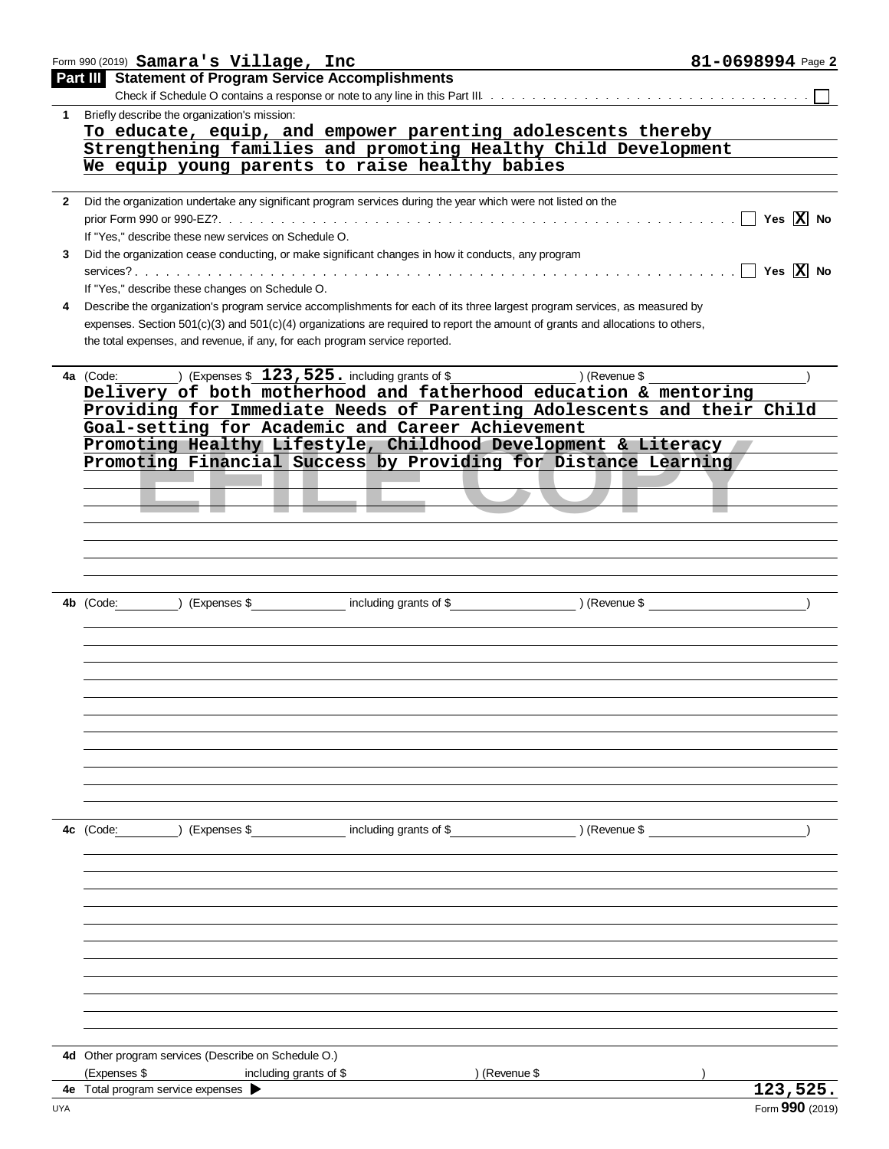|              | Form 990 (2019) Samara's Village, Inc                                                                        |                        |                                                                                                                                    | 81-0698994 Page 2            |
|--------------|--------------------------------------------------------------------------------------------------------------|------------------------|------------------------------------------------------------------------------------------------------------------------------------|------------------------------|
|              | <b>Part III</b> Statement of Program Service Accomplishments                                                 |                        |                                                                                                                                    |                              |
|              |                                                                                                              |                        |                                                                                                                                    |                              |
| $\mathbf{1}$ | Briefly describe the organization's mission:                                                                 |                        |                                                                                                                                    |                              |
|              |                                                                                                              |                        | To educate, equip, and empower parenting adolescents thereby                                                                       |                              |
|              |                                                                                                              |                        | Strengthening families and promoting Healthy Child Development                                                                     |                              |
|              | We equip young parents to raise healthy babies                                                               |                        |                                                                                                                                    |                              |
| $2^{\circ}$  | Did the organization undertake any significant program services during the year which were not listed on the |                        |                                                                                                                                    |                              |
|              |                                                                                                              |                        |                                                                                                                                    |                              |
|              | If "Yes," describe these new services on Schedule O.                                                         |                        |                                                                                                                                    |                              |
| 3            | Did the organization cease conducting, or make significant changes in how it conducts, any program           |                        |                                                                                                                                    |                              |
|              |                                                                                                              |                        |                                                                                                                                    | $\Box$ Yes $\overline{X}$ No |
|              | If "Yes," describe these changes on Schedule O.                                                              |                        |                                                                                                                                    |                              |
| 4            |                                                                                                              |                        | Describe the organization's program service accomplishments for each of its three largest program services, as measured by         |                              |
|              |                                                                                                              |                        | expenses. Section $501(c)(3)$ and $501(c)(4)$ organizations are required to report the amount of grants and allocations to others, |                              |
|              | the total expenses, and revenue, if any, for each program service reported.                                  |                        |                                                                                                                                    |                              |
|              |                                                                                                              |                        |                                                                                                                                    |                              |
|              | 4a (Code: ) (Expenses \$ 123, 525. including grants of \$ ) (Revenue \$                                      |                        |                                                                                                                                    |                              |
|              |                                                                                                              |                        | Delivery of both motherhood and fatherhood education & mentoring                                                                   |                              |
|              |                                                                                                              |                        | Providing for Immediate Needs of Parenting Adolescents and their Child                                                             |                              |
|              | Goal-setting for Academic and Career Achievement                                                             |                        |                                                                                                                                    |                              |
|              |                                                                                                              |                        | Promoting Healthy Lifestyle, Childhood Development & Literacy<br>Promoting Financial Success by Providing for Distance Learning    |                              |
|              |                                                                                                              |                        |                                                                                                                                    |                              |
|              |                                                                                                              |                        |                                                                                                                                    |                              |
|              |                                                                                                              |                        |                                                                                                                                    |                              |
|              |                                                                                                              |                        |                                                                                                                                    |                              |
|              |                                                                                                              |                        |                                                                                                                                    |                              |
|              |                                                                                                              |                        |                                                                                                                                    |                              |
|              |                                                                                                              |                        |                                                                                                                                    |                              |
|              | (Express \$<br>4b (Code:                                                                                     |                        | including grants of \$ (Revenue \$) (Revenue \$                                                                                    |                              |
|              |                                                                                                              |                        |                                                                                                                                    |                              |
|              |                                                                                                              |                        |                                                                                                                                    |                              |
|              |                                                                                                              |                        |                                                                                                                                    |                              |
|              |                                                                                                              |                        |                                                                                                                                    |                              |
|              |                                                                                                              |                        |                                                                                                                                    |                              |
|              |                                                                                                              |                        |                                                                                                                                    |                              |
|              |                                                                                                              |                        |                                                                                                                                    |                              |
|              |                                                                                                              |                        |                                                                                                                                    |                              |
|              |                                                                                                              |                        |                                                                                                                                    |                              |
|              |                                                                                                              |                        |                                                                                                                                    |                              |
|              |                                                                                                              |                        |                                                                                                                                    |                              |
|              | (Expenses \$<br>4c (Code:                                                                                    | including grants of \$ | ) (Revenue \$                                                                                                                      |                              |
|              |                                                                                                              |                        |                                                                                                                                    |                              |
|              |                                                                                                              |                        |                                                                                                                                    |                              |
|              |                                                                                                              |                        |                                                                                                                                    |                              |
|              |                                                                                                              |                        |                                                                                                                                    |                              |
|              |                                                                                                              |                        |                                                                                                                                    |                              |
|              |                                                                                                              |                        |                                                                                                                                    |                              |
|              |                                                                                                              |                        |                                                                                                                                    |                              |
|              |                                                                                                              |                        |                                                                                                                                    |                              |
|              |                                                                                                              |                        |                                                                                                                                    |                              |
|              |                                                                                                              |                        |                                                                                                                                    |                              |
|              |                                                                                                              |                        |                                                                                                                                    |                              |
|              | 4d Other program services (Describe on Schedule O.)                                                          |                        |                                                                                                                                    |                              |
|              | (Expenses \$<br>including grants of \$                                                                       |                        | ) (Revenue \$                                                                                                                      |                              |
| 4е           | Total program service expenses                                                                               |                        |                                                                                                                                    | 123,525.                     |
| UYA          |                                                                                                              |                        |                                                                                                                                    | Form 990 (2019)              |
|              |                                                                                                              |                        |                                                                                                                                    |                              |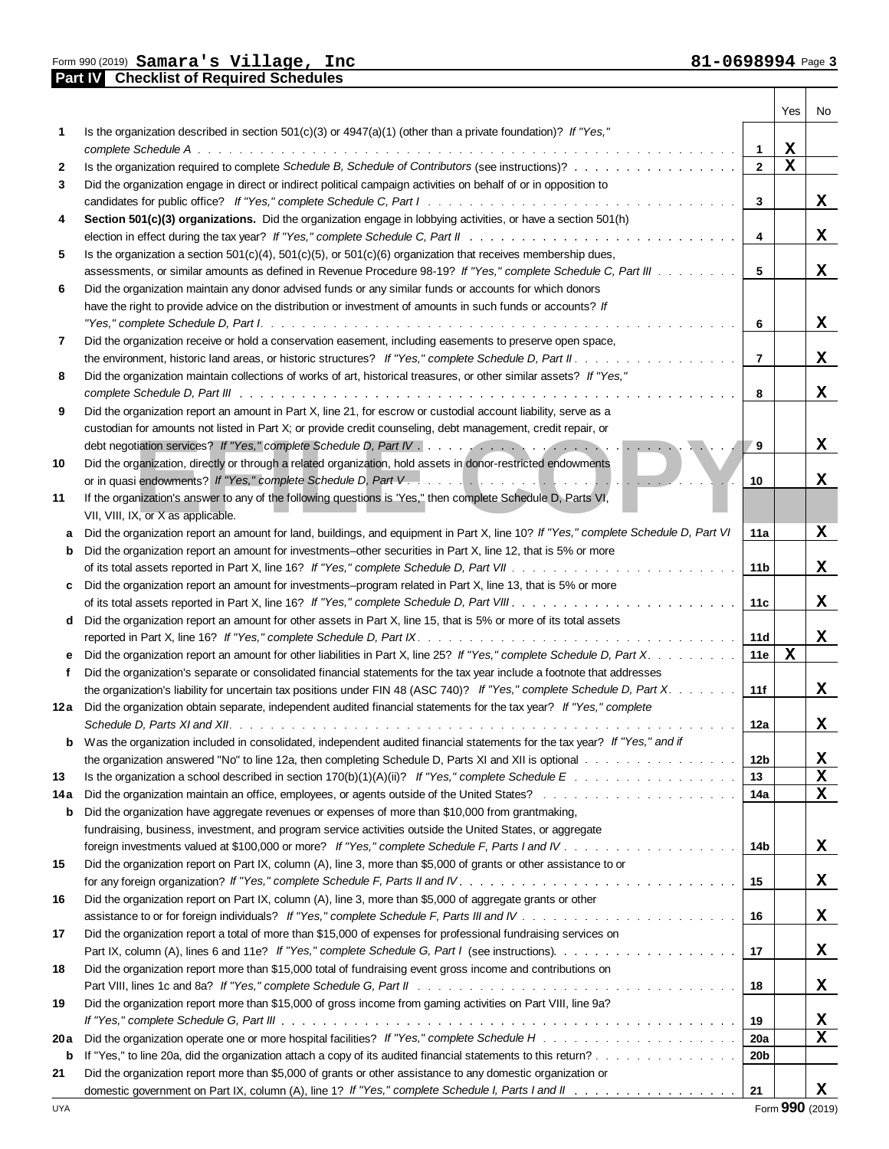Form 990 (2019) **Part IV Part I Checklist of Required Schedules Samara's Village, Inc 81-0698994** Page

|              | <b>CIILIV</b><br>Criticulus of Required Octreduies                                                                                                                                                                             |                 |             |          |
|--------------|--------------------------------------------------------------------------------------------------------------------------------------------------------------------------------------------------------------------------------|-----------------|-------------|----------|
|              |                                                                                                                                                                                                                                |                 | Yes         | No       |
| 1            | Is the organization described in section $501(c)(3)$ or $4947(a)(1)$ (other than a private foundation)? If "Yes,"                                                                                                              |                 |             |          |
|              | complete Schedule A.<br>a dia 1920 ary 2008. Ilaa kale iyo kale iyo kale iyo kale isaa iyo kale iyo kale kale iyo kale iyo kale iyo ka                                                                                         | $\mathbf{1}$    | X           |          |
| $\mathbf{2}$ | Is the organization required to complete Schedule B, Schedule of Contributors (see instructions)?                                                                                                                              | $\overline{2}$  | $\mathbf x$ |          |
| 3            | Did the organization engage in direct or indirect political campaign activities on behalf of or in opposition to                                                                                                               |                 |             |          |
|              |                                                                                                                                                                                                                                | $\mathbf{3}$    |             | X        |
| 4            | Section 501(c)(3) organizations. Did the organization engage in lobbying activities, or have a section 501(h)                                                                                                                  |                 |             |          |
|              |                                                                                                                                                                                                                                | $\overline{4}$  |             | X        |
| 5            | Is the organization a section $501(c)(4)$ , $501(c)(5)$ , or $501(c)(6)$ organization that receives membership dues,                                                                                                           |                 |             |          |
|              | assessments, or similar amounts as defined in Revenue Procedure 98-19? If "Yes," complete Schedule C, Part III                                                                                                                 | 5               |             | X        |
| 6            | Did the organization maintain any donor advised funds or any similar funds or accounts for which donors                                                                                                                        |                 |             |          |
|              | have the right to provide advice on the distribution or investment of amounts in such funds or accounts? If                                                                                                                    |                 |             |          |
|              |                                                                                                                                                                                                                                | 6               |             | X        |
| 7            | Did the organization receive or hold a conservation easement, including easements to preserve open space,                                                                                                                      |                 |             |          |
|              |                                                                                                                                                                                                                                | $\overline{7}$  |             | X        |
| 8            | Did the organization maintain collections of works of art, historical treasures, or other similar assets? If "Yes,"                                                                                                            |                 |             |          |
|              |                                                                                                                                                                                                                                | 8               |             | X        |
| 9            | Did the organization report an amount in Part X, line 21, for escrow or custodial account liability, serve as a                                                                                                                |                 |             |          |
|              | custodian for amounts not listed in Part X; or provide credit counseling, debt management, credit repair, or                                                                                                                   |                 |             |          |
|              |                                                                                                                                                                                                                                | 9               |             | X        |
| 10           | Did the organization, directly or through a related organization, hold assets in donor-restricted endowments                                                                                                                   |                 |             |          |
|              |                                                                                                                                                                                                                                | 10              |             | x        |
| 11           | If the organization's answer to any of the following questions is 'Yes," then complete Schedule D, Parts VI,                                                                                                                   |                 |             |          |
|              | VII, VIII, IX, or X as applicable.                                                                                                                                                                                             |                 |             |          |
|              | Did the organization report an amount for land, buildings, and equipment in Part X, line 10? If "Yes," complete Schedule D, Part VI                                                                                            | 11a             |             | X        |
|              | <b>b</b> Did the organization report an amount for investments-other securities in Part X, line 12, that is 5% or more                                                                                                         |                 |             |          |
|              |                                                                                                                                                                                                                                | 11 <sub>b</sub> |             | X        |
|              |                                                                                                                                                                                                                                |                 |             |          |
|              | Did the organization report an amount for investments–program related in Part X, line 13, that is 5% or more                                                                                                                   |                 |             |          |
|              |                                                                                                                                                                                                                                | 11c             |             | X        |
|              | d Did the organization report an amount for other assets in Part X, line 15, that is 5% or more of its total assets                                                                                                            |                 |             |          |
|              |                                                                                                                                                                                                                                | 11d             | $\mathbf x$ | X        |
|              | Did the organization report an amount for other liabilities in Part X, line 25? If "Yes," complete Schedule D, Part X.                                                                                                         | 11e             |             |          |
| f            | Did the organization's separate or consolidated financial statements for the tax year include a footnote that addresses                                                                                                        |                 |             |          |
|              | the organization's liability for uncertain tax positions under FIN 48 (ASC 740)? If "Yes," complete Schedule D, Part X.                                                                                                        | 11f             |             | X        |
|              | 12a Did the organization obtain separate, independent audited financial statements for the tax year? If "Yes," complete                                                                                                        |                 |             |          |
|              |                                                                                                                                                                                                                                | 12a             |             | x        |
|              | Was the organization included in consolidated, independent audited financial statements for the tax year? If "Yes," and if                                                                                                     |                 |             |          |
|              | the organization answered "No" to line 12a, then completing Schedule D, Parts XI and XII is optional with an analyzion answered "No" to line 12a, then completing Schedule D, Parts XI and XII is optional with an analyzion a | 12b             |             | <u>x</u> |
| 13           |                                                                                                                                                                                                                                | 13              |             | X        |
| 14 a         |                                                                                                                                                                                                                                | 14a             |             | X        |
| b            | Did the organization have aggregate revenues or expenses of more than \$10,000 from grantmaking,                                                                                                                               |                 |             |          |
|              | fundraising, business, investment, and program service activities outside the United States, or aggregate                                                                                                                      |                 |             |          |
|              |                                                                                                                                                                                                                                | 14b             |             | X        |
| 15           | Did the organization report on Part IX, column (A), line 3, more than \$5,000 of grants or other assistance to or                                                                                                              |                 |             |          |
|              | for any foreign organization? If "Yes," complete Schedule F, Parts II and IV.                                                                                                                                                  | 15              |             | X        |
| 16           | Did the organization report on Part IX, column (A), line 3, more than \$5,000 of aggregate grants or other                                                                                                                     |                 |             |          |
|              |                                                                                                                                                                                                                                | 16              |             | X        |
| 17           | Did the organization report a total of more than \$15,000 of expenses for professional fundraising services on                                                                                                                 |                 |             |          |
|              |                                                                                                                                                                                                                                | 17              |             | X        |
| 18           | Did the organization report more than \$15,000 total of fundraising event gross income and contributions on                                                                                                                    |                 |             |          |
|              |                                                                                                                                                                                                                                | 18              |             | X        |
| 19           | Did the organization report more than \$15,000 of gross income from gaming activities on Part VIII, line 9a?                                                                                                                   |                 |             |          |
|              |                                                                                                                                                                                                                                | 19              |             | X        |
| 20 a         |                                                                                                                                                                                                                                | <b>20a</b>      |             | X        |
| b            |                                                                                                                                                                                                                                | 20 <sub>b</sub> |             |          |
| 21           | Did the organization report more than \$5,000 of grants or other assistance to any domestic organization or                                                                                                                    |                 |             |          |
|              |                                                                                                                                                                                                                                | 21              |             | x        |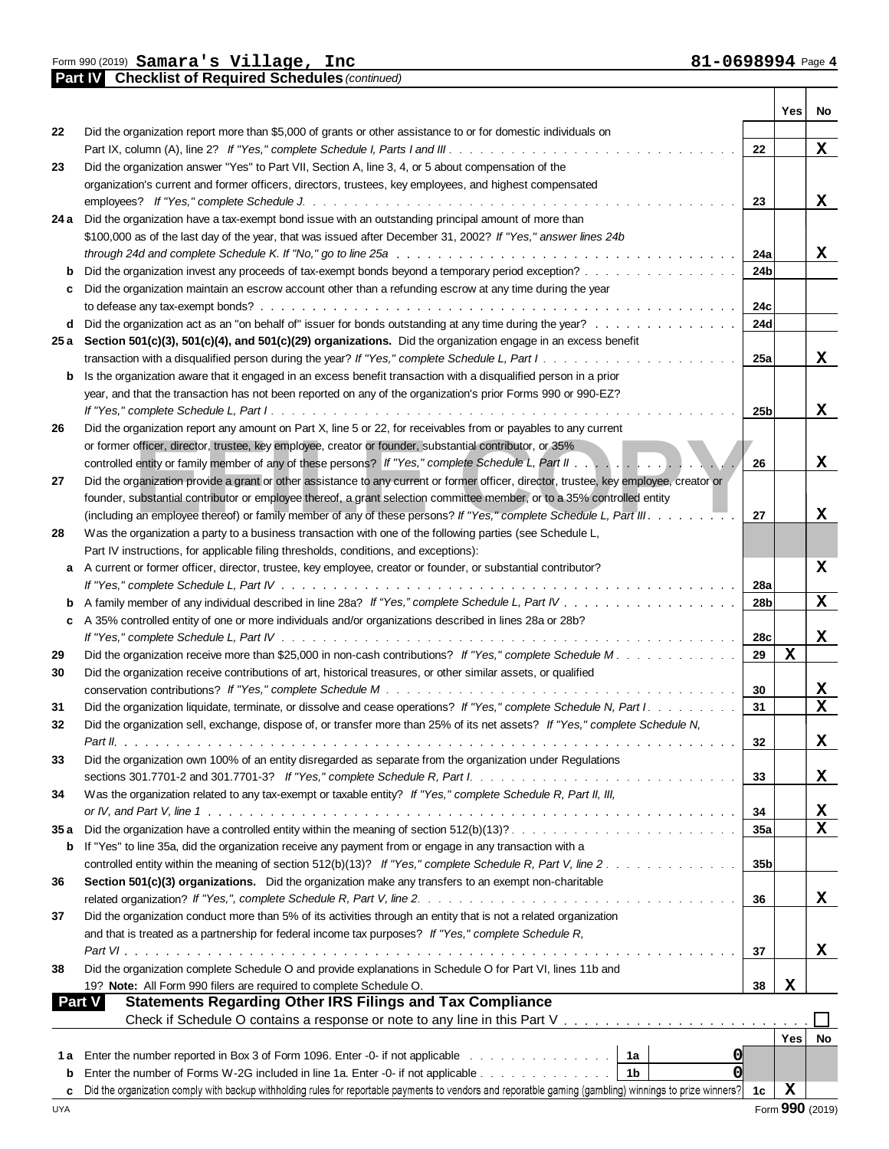**Part IV Checklist of Required Schedules** *(continued)*

Τ

т

|               |                                                                                                                                                          |                 | Yes         | No              |
|---------------|----------------------------------------------------------------------------------------------------------------------------------------------------------|-----------------|-------------|-----------------|
| 22            | Did the organization report more than \$5,000 of grants or other assistance to or for domestic individuals on                                            |                 |             |                 |
|               |                                                                                                                                                          | 22              |             | X               |
| 23            | Did the organization answer "Yes" to Part VII, Section A, line 3, 4, or 5 about compensation of the                                                      |                 |             |                 |
|               | organization's current and former officers, directors, trustees, key employees, and highest compensated                                                  |                 |             |                 |
|               |                                                                                                                                                          | 23              |             | X               |
|               | 24 a Did the organization have a tax-exempt bond issue with an outstanding principal amount of more than                                                 |                 |             |                 |
|               | \$100,000 as of the last day of the year, that was issued after December 31, 2002? If "Yes," answer lines 24b                                            |                 |             |                 |
|               |                                                                                                                                                          | 24a             |             | X               |
| b             | Did the organization invest any proceeds of tax-exempt bonds beyond a temporary period exception?                                                        | 24 <sub>b</sub> |             |                 |
| c             | Did the organization maintain an escrow account other than a refunding escrow at any time during the year                                                |                 |             |                 |
|               |                                                                                                                                                          | 24c             |             |                 |
|               | d Did the organization act as an "on behalf of" issuer for bonds outstanding at any time during the year?                                                | 24d             |             |                 |
|               | 25 a Section 501(c)(3), 501(c)(4), and 501(c)(29) organizations. Did the organization engage in an excess benefit                                        |                 |             |                 |
|               |                                                                                                                                                          | 25a             |             | X               |
| b             | Is the organization aware that it engaged in an excess benefit transaction with a disqualified person in a prior                                         |                 |             |                 |
|               | year, and that the transaction has not been reported on any of the organization's prior Forms 990 or 990-EZ?                                             |                 |             |                 |
|               | Did the organization report any amount on Part X, line 5 or 22, for receivables from or payables to any current                                          | 25 <sub>b</sub> |             | X               |
| 26            | or former officer, director, trustee, key employee, creator or founder, substantial contributor, or 35%                                                  |                 |             |                 |
|               | controlled entity or family member of any of these persons? If "Yes," complete Schedule L, Part II                                                       | 26              |             | X               |
| 27            | Did the organization provide a grant or other assistance to any current or former officer, director, trustee, key employee, creator or                   |                 |             |                 |
|               | founder, substantial contributor or employee thereof, a grant selection committee member, or to a 35% controlled entity                                  |                 |             |                 |
|               |                                                                                                                                                          | 27              |             | x               |
| 28            | Was the organization a party to a business transaction with one of the following parties (see Schedule L,                                                |                 |             |                 |
|               | Part IV instructions, for applicable filing thresholds, conditions, and exceptions):                                                                     |                 |             |                 |
| a             | A current or former officer, director, trustee, key employee, creator or founder, or substantial contributor?                                            |                 |             | X               |
|               |                                                                                                                                                          | 28a             |             |                 |
|               |                                                                                                                                                          | 28 <sub>b</sub> |             | X               |
| c             | A 35% controlled entity of one or more individuals and/or organizations described in lines 28a or 28b?                                                   |                 |             |                 |
|               |                                                                                                                                                          | 28c             |             | X               |
| 29            | Did the organization receive more than \$25,000 in non-cash contributions? If "Yes," complete Schedule M.                                                | 29              | $\mathbf x$ |                 |
| 30            | Did the organization receive contributions of art, historical treasures, or other similar assets, or qualified                                           |                 |             |                 |
|               |                                                                                                                                                          | 30              |             | $\mathbf{x}$    |
| 31            | Did the organization liquidate, terminate, or dissolve and cease operations? If "Yes," complete Schedule N, Part I.                                      | 31              |             | $\mathbf x$     |
| 32            | Did the organization sell, exchange, dispose of, or transfer more than 25% of its net assets? If "Yes," complete Schedule N,                             |                 |             |                 |
|               |                                                                                                                                                          | 32              |             | X               |
| 33            | Did the organization own 100% of an entity disregarded as separate from the organization under Regulations                                               |                 |             |                 |
|               | sections 301.7701-2 and 301.7701-3? If "Yes," complete Schedule R, Part I.                                                                               | 33              |             | $\mathbf x$     |
| 34            | Was the organization related to any tax-exempt or taxable entity? If "Yes," complete Schedule R, Part II, III,                                           |                 |             |                 |
|               |                                                                                                                                                          | 34              |             | $\mathbf{X}$    |
| 35a           |                                                                                                                                                          | 35a             |             | X               |
| b             | If "Yes" to line 35a, did the organization receive any payment from or engage in any transaction with a                                                  |                 |             |                 |
|               | controlled entity within the meaning of section 512(b)(13)? If "Yes," complete Schedule R, Part V, line 2.                                               | 35 <sub>b</sub> |             |                 |
| 36            | Section 501(c)(3) organizations. Did the organization make any transfers to an exempt non-charitable                                                     |                 |             |                 |
|               |                                                                                                                                                          | 36              |             | X               |
| 37            | Did the organization conduct more than 5% of its activities through an entity that is not a related organization                                         |                 |             |                 |
|               | and that is treated as a partnership for federal income tax purposes? If "Yes," complete Schedule R,                                                     |                 |             |                 |
|               |                                                                                                                                                          | 37              |             | X               |
| 38            | Did the organization complete Schedule O and provide explanations in Schedule O for Part VI, lines 11b and                                               |                 |             |                 |
|               | 19? Note: All Form 990 filers are required to complete Schedule O.                                                                                       | 38              | х           |                 |
| <b>Part V</b> | <b>Statements Regarding Other IRS Filings and Tax Compliance</b>                                                                                         |                 |             |                 |
|               |                                                                                                                                                          |                 |             |                 |
|               |                                                                                                                                                          |                 | Yes         | No              |
| 1а            | Enter the number reported in Box 3 of Form 1096. Enter -0- if not applicable with a state of the number of the<br><b>O</b><br>1a                         |                 |             |                 |
| b             | 0<br>Enter the number of Forms W-2G included in line 1a. Enter -0- if not applicable<br>1b                                                               |                 |             |                 |
| c             | Did the organization comply with backup withholding rules for reportable payments to vendors and reporatble gaming (gambling) winnings to prize winners? | 1c              | X           |                 |
| <b>UYA</b>    |                                                                                                                                                          |                 |             | Form 990 (2019) |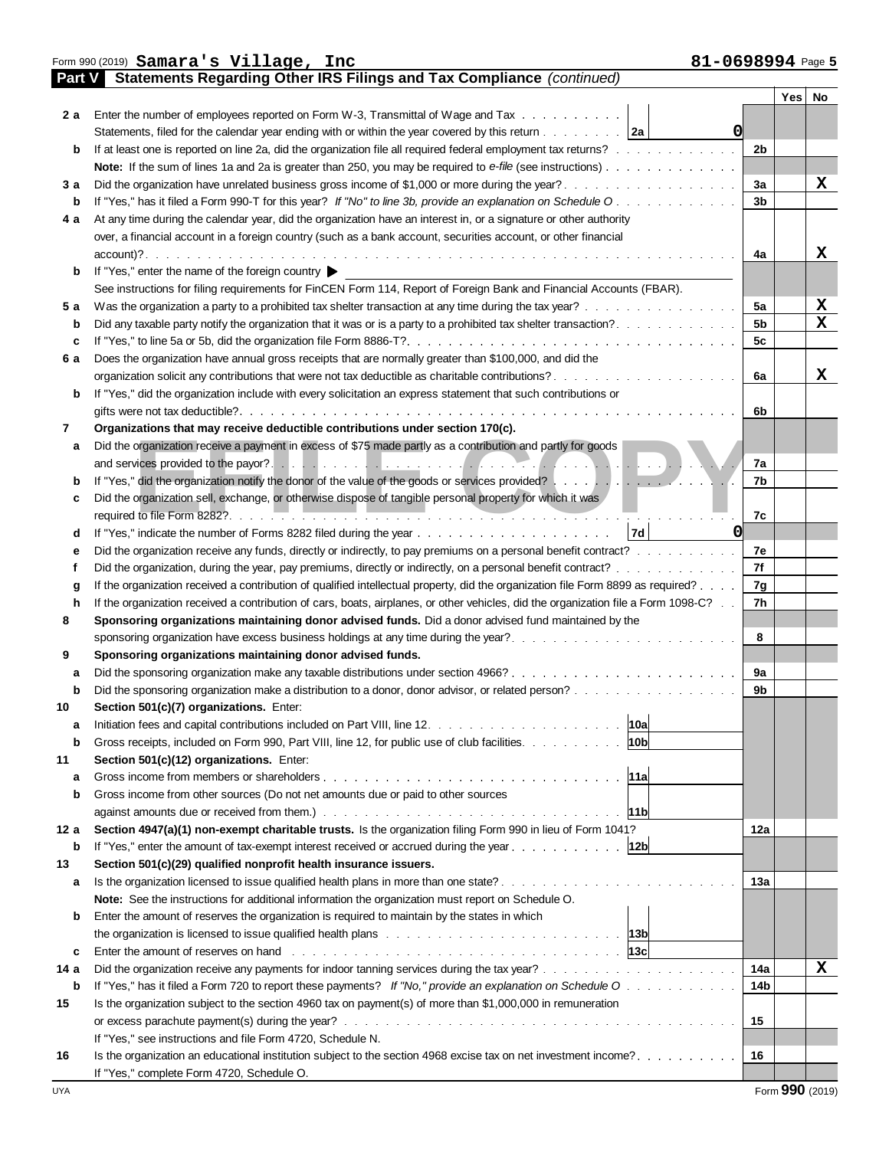|        | 81-0698994 Page 5<br>Form 990 (2019) Samara's Village, Inc                                                                                                          |                      |             |
|--------|---------------------------------------------------------------------------------------------------------------------------------------------------------------------|----------------------|-------------|
| Part V | <b>Statements Regarding Other IRS Filings and Tax Compliance (continued)</b>                                                                                        |                      | Yes   No    |
| 2 a    | Enter the number of employees reported on Form W-3, Transmittal of Wage and Tax                                                                                     |                      |             |
|        | Statements, filed for the calendar year ending with or within the year covered by this return 2a                                                                    | 0                    |             |
| b      | If at least one is reported on line 2a, did the organization file all required federal employment tax returns?                                                      | 2b                   |             |
|        | Note: If the sum of lines 1a and 2a is greater than 250, you may be required to e-file (see instructions)                                                           |                      |             |
| 3а     |                                                                                                                                                                     | За                   | X           |
|        | If "Yes," has it filed a Form 990-T for this year? If "No" to line 3b, provide an explanation on Schedule O                                                         | 3 <sub>b</sub>       |             |
| 4 a    | At any time during the calendar year, did the organization have an interest in, or a signature or other authority                                                   |                      |             |
|        | over, a financial account in a foreign country (such as a bank account, securities account, or other financial                                                      |                      |             |
|        | $account)$ ?                                                                                                                                                        | 4a                   | X           |
| b      | a constitución de la característica de la característica de la característica de la característica de la carac<br>If "Yes," enter the name of the foreign country ▶ |                      |             |
|        | See instructions for filing requirements for FinCEN Form 114, Report of Foreign Bank and Financial Accounts (FBAR).                                                 |                      |             |
|        |                                                                                                                                                                     |                      | $\mathbf x$ |
| 5а     | Was the organization a party to a prohibited tax shelter transaction at any time during the tax year?                                                               | 5a<br>5 <sub>b</sub> | X           |
| b      |                                                                                                                                                                     |                      |             |
| c      |                                                                                                                                                                     | 5c                   |             |
| 6а     | Does the organization have annual gross receipts that are normally greater than \$100,000, and did the                                                              |                      |             |
|        |                                                                                                                                                                     | 6a                   | X           |
| b      | If "Yes," did the organization include with every solicitation an express statement that such contributions or                                                      |                      |             |
|        |                                                                                                                                                                     | 6b                   |             |
| 7      | Organizations that may receive deductible contributions under section 170(c).                                                                                       |                      |             |
| a      | Did the organization receive a payment in excess of \$75 made partly as a contribution and partly for goods                                                         |                      |             |
|        |                                                                                                                                                                     | 7a                   |             |
|        | If "Yes," did the organization notify the donor of the value of the goods or services provided?                                                                     | 7b                   |             |
| c      | Did the organization sell, exchange, or otherwise dispose of tangible personal property for which it was                                                            |                      |             |
|        |                                                                                                                                                                     | 7c                   |             |
| d      |                                                                                                                                                                     | 0                    |             |
|        | Did the organization receive any funds, directly or indirectly, to pay premiums on a personal benefit contract?                                                     | 7e                   |             |
|        | Did the organization, during the year, pay premiums, directly or indirectly, on a personal benefit contract?                                                        | 7f                   |             |
| g      | If the organization received a contribution of qualified intellectual property, did the organization file Form 8899 as required?                                    | 7g                   |             |
| h      | If the organization received a contribution of cars, boats, airplanes, or other vehicles, did the organization file a Form 1098-C?                                  | 7h                   |             |
| 8      | Sponsoring organizations maintaining donor advised funds. Did a donor advised fund maintained by the                                                                |                      |             |
|        | sponsoring organization have excess business holdings at any time during the year?                                                                                  | 8                    |             |
| 9      | Sponsoring organizations maintaining donor advised funds.                                                                                                           |                      |             |
| a      |                                                                                                                                                                     | 9а                   |             |
|        |                                                                                                                                                                     | 9b                   |             |
| 10     | Section 501(c)(7) organizations. Enter:                                                                                                                             |                      |             |
| a      | 10a                                                                                                                                                                 |                      |             |
| b      | 10 <sub>b</sub><br>Gross receipts, included on Form 990, Part VIII, line 12, for public use of club facilities.                                                     |                      |             |
| 11     | Section 501(c)(12) organizations. Enter:                                                                                                                            |                      |             |
| a      | 11al                                                                                                                                                                |                      |             |
| b      | Gross income from other sources (Do not net amounts due or paid to other sources                                                                                    |                      |             |
|        | 11b                                                                                                                                                                 |                      |             |
| 12 a   | Section 4947(a)(1) non-exempt charitable trusts. Is the organization filing Form 990 in lieu of Form 1041?                                                          | 12a                  |             |
| b      | If "Yes," enter the amount of tax-exempt interest received or accrued during the year<br> 12b                                                                       |                      |             |
| 13     | Section 501(c)(29) qualified nonprofit health insurance issuers.                                                                                                    |                      |             |
| a      | Is the organization licensed to issue qualified health plans in more than one state?                                                                                | 13a                  |             |
|        | Note: See the instructions for additional information the organization must report on Schedule O.                                                                   |                      |             |
| b      | Enter the amount of reserves the organization is required to maintain by the states in which                                                                        |                      |             |
|        |                                                                                                                                                                     |                      |             |
| c      |                                                                                                                                                                     |                      |             |
| 14 a   |                                                                                                                                                                     | 14a                  | $\mathbf x$ |
| b      | If "Yes," has it filed a Form 720 to report these payments? If "No," provide an explanation on Schedule O                                                           | 14 <sub>b</sub>      |             |
| 15     | Is the organization subject to the section 4960 tax on payment(s) of more than \$1,000,000 in remuneration                                                          |                      |             |
|        |                                                                                                                                                                     | 15                   |             |
|        | If "Yes," see instructions and file Form 4720, Schedule N.                                                                                                          |                      |             |
| 16     | Is the organization an educational institution subject to the section 4968 excise tax on net investment income?                                                     | 16                   |             |
|        | If "Yes," complete Form 4720, Schedule O.                                                                                                                           |                      |             |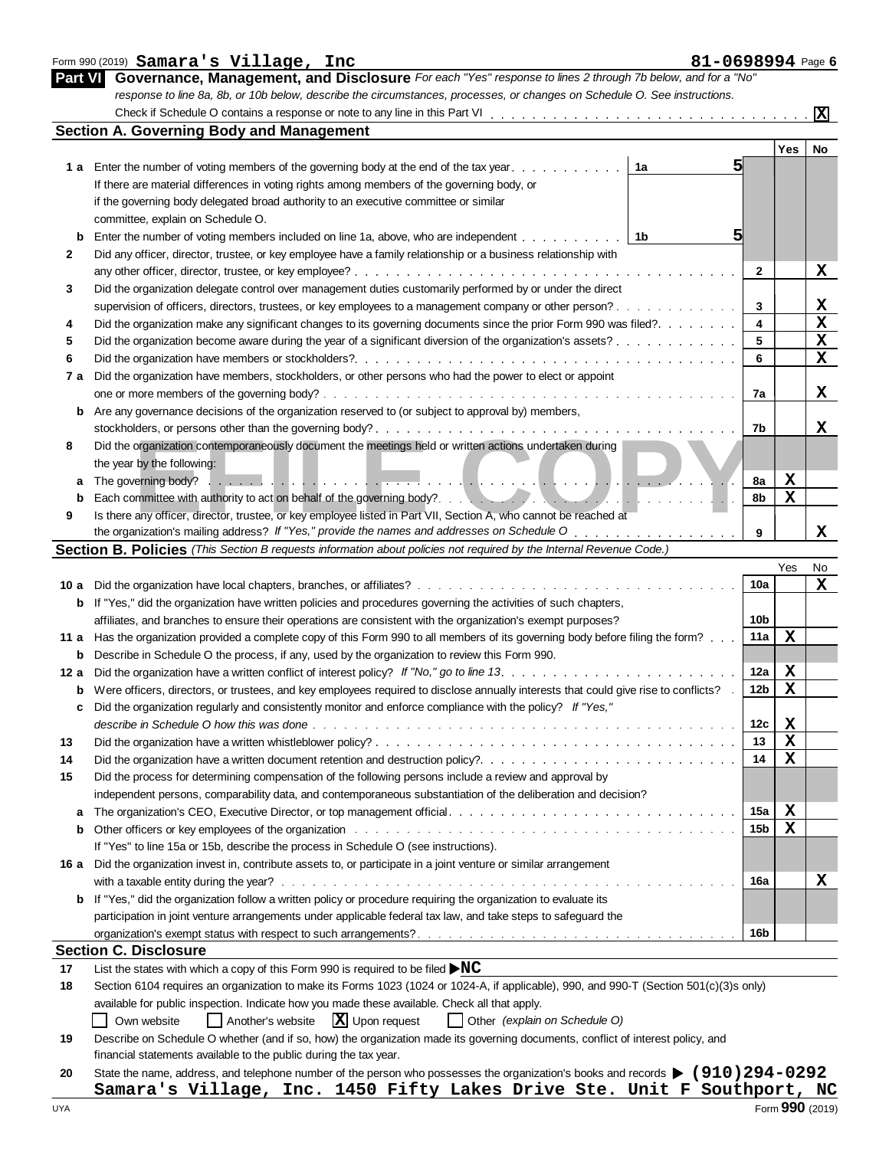| $\frac{1}{2}$ and $\frac{1}{2}$ samara s $\frac{1}{2}$ and $\frac{1}{2}$ inc                                              | ol-Voyc |
|---------------------------------------------------------------------------------------------------------------------------|---------|
| Part VI Governance, Management, and Disclosure For each "Yes" response to lines 2 through 7b below, and for a "No"        |         |
| response to line 8a, 8b, or 10b below, describe the circumstances, processes, or changes on Schedule O. See instructions. |         |
| $O$ baali if $O$ abaaliila $O$ aantaina a naananaa an nata ta anii lina in thia $D$ ant $M$                               |         |

|      | <b>Section A. Governing Body and Management</b>                                                                                                                                                                                |              | Yes         | No          |
|------|--------------------------------------------------------------------------------------------------------------------------------------------------------------------------------------------------------------------------------|--------------|-------------|-------------|
|      | 51<br>1 a Enter the number of voting members of the governing body at the end of the tax year.<br>1a                                                                                                                           |              |             |             |
|      | If there are material differences in voting rights among members of the governing body, or                                                                                                                                     |              |             |             |
|      | if the governing body delegated broad authority to an executive committee or similar                                                                                                                                           |              |             |             |
|      | committee, explain on Schedule O.                                                                                                                                                                                              |              |             |             |
|      | 51<br>1b<br>Enter the number of voting members included on line 1a, above, who are independent.<br>and a straight and                                                                                                          |              |             |             |
| 2    | Did any officer, director, trustee, or key employee have a family relationship or a business relationship with                                                                                                                 |              |             |             |
|      | $\frac{1}{2}$                                                                                                                                                                                                                  | $\mathbf{2}$ |             | X           |
| 3    | Did the organization delegate control over management duties customarily performed by or under the direct                                                                                                                      |              |             |             |
|      | supervision of officers, directors, trustees, or key employees to a management company or other person?                                                                                                                        | 3            |             | X           |
| 4    | Did the organization make any significant changes to its governing documents since the prior Form 990 was filed?                                                                                                               | 4            |             | $\mathbf x$ |
| 5    | Did the organization become aware during the year of a significant diversion of the organization's assets?                                                                                                                     | 5            |             | X           |
| 6    |                                                                                                                                                                                                                                | 6            |             | X           |
|      |                                                                                                                                                                                                                                |              |             |             |
| 7 a  | Did the organization have members, stockholders, or other persons who had the power to elect or appoint                                                                                                                        | 7a           |             | X           |
|      |                                                                                                                                                                                                                                |              |             |             |
| b    | Are any governance decisions of the organization reserved to (or subject to approval by) members,                                                                                                                              |              |             |             |
|      |                                                                                                                                                                                                                                | 7b           |             | х           |
| 8    | Did the organization contemporaneously document the meetings held or written actions undertaken during                                                                                                                         |              |             |             |
|      | the year by the following:                                                                                                                                                                                                     |              |             |             |
| а    |                                                                                                                                                                                                                                | 8a           | X           |             |
|      |                                                                                                                                                                                                                                | 8b           | $\mathbf x$ |             |
| 9    | Is there any officer, director, trustee, or key employee listed in Part VII, Section A, who cannot be reached at                                                                                                               |              |             |             |
|      | the organization's mailing address? If "Yes," provide the names and addresses on Schedule O<br>Section B. Policies (This Section B requests information about policies not required by the Internal Revenue Code.)             | 9            |             | x           |
|      |                                                                                                                                                                                                                                |              |             |             |
|      |                                                                                                                                                                                                                                | 10a          | Yes         | No          |
|      |                                                                                                                                                                                                                                |              |             | X           |
| b    | If "Yes," did the organization have written policies and procedures governing the activities of such chapters,                                                                                                                 |              |             |             |
|      | affiliates, and branches to ensure their operations are consistent with the organization's exempt purposes?                                                                                                                    | 10b          |             |             |
| 11 a | Has the organization provided a complete copy of this Form 990 to all members of its governing body before filing the form?                                                                                                    | 11a          | $\mathbf x$ |             |
| b    | Describe in Schedule O the process, if any, used by the organization to review this Form 990.                                                                                                                                  |              |             |             |
| 12 a | Did the organization have a written conflict of interest policy? If "No," go to line 13.                                                                                                                                       | 12a          | X           |             |
| b    | Were officers, directors, or trustees, and key employees required to disclose annually interests that could give rise to conflicts? .                                                                                          | 12b          | X           |             |
| c    | Did the organization regularly and consistently monitor and enforce compliance with the policy? If "Yes,"                                                                                                                      |              |             |             |
|      |                                                                                                                                                                                                                                | 12c          | X           |             |
| 13   |                                                                                                                                                                                                                                | 13           | $\mathbf X$ |             |
| 14   |                                                                                                                                                                                                                                | 14           | $\mathbf x$ |             |
|      | Did the process for determining compensation of the following persons include a review and approval by                                                                                                                         |              |             |             |
|      | independent persons, comparability data, and contemporaneous substantiation of the deliberation and decision?                                                                                                                  |              |             |             |
| a    |                                                                                                                                                                                                                                | 15a          | X           |             |
| b    | Other officers or key employees of the organization with the content of the organization with the content of the organization with the content of the content of the content of the content of the content of the content of t | 15b          | $\mathbf x$ |             |
|      | If "Yes" to line 15a or 15b, describe the process in Schedule O (see instructions).                                                                                                                                            |              |             |             |
|      | 16 a Did the organization invest in, contribute assets to, or participate in a joint venture or similar arrangement                                                                                                            |              |             |             |
|      |                                                                                                                                                                                                                                | 16a          |             | X           |
|      | <b>b</b> If "Yes," did the organization follow a written policy or procedure requiring the organization to evaluate its                                                                                                        |              |             |             |
|      | participation in joint venture arrangements under applicable federal tax law, and take steps to safeguard the                                                                                                                  |              |             |             |
|      |                                                                                                                                                                                                                                | 16b          |             |             |
|      | <b>Section C. Disclosure</b>                                                                                                                                                                                                   |              |             |             |
| 17   | List the states with which a copy of this Form 990 is required to be filed $\blacktriangleright NC$                                                                                                                            |              |             |             |
| 18   | Section 6104 requires an organization to make its Forms 1023 (1024 or 1024-A, if applicable), 990, and 990-T (Section 501(c)(3)s only)                                                                                         |              |             |             |
|      | available for public inspection. Indicate how you made these available. Check all that apply.                                                                                                                                  |              |             |             |
|      | Another's website<br>$ \mathbf{X} $ Upon request<br>  Other (explain on Schedule O)<br>Own website                                                                                                                             |              |             |             |
| 19   | Describe on Schedule O whether (and if so, how) the organization made its governing documents, conflict of interest policy, and                                                                                                |              |             |             |
|      | financial statements available to the public during the tax year.                                                                                                                                                              |              |             |             |
| 20   | State the name, address, and telephone number of the person who possesses the organization's books and records $(910)294-0292$                                                                                                 |              |             |             |
|      | Samara's Village, Inc. 1450 Fifty Lakes Drive Ste. Unit F Southport, NC                                                                                                                                                        |              |             |             |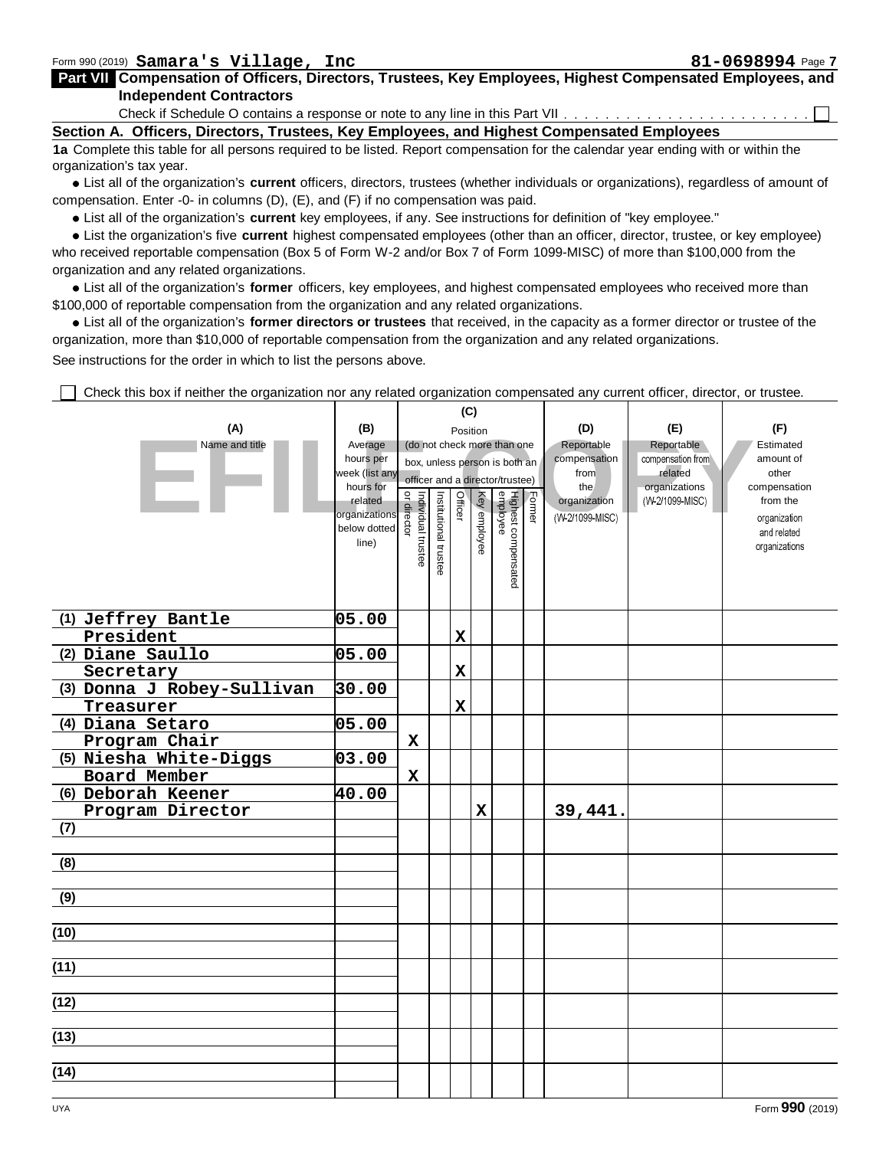Part VII Compensation of Officers, Directors, Trustees, Key Employees, Highest Compensated Employees, and **Independent Contractors**

Check if Schedule O contains a response or note to any line in this Part VII. . . . . . . .

**Section A. Officers, Directors, Trustees, Key Employees, and Highest Compensated Employees**

**1a** Complete this table for all persons required to be listed. Report compensation for the calendar year ending with or within the organization's tax year.

List all of the organization's **current** officers, directors, trustees (whether individuals or organizations), regardless of amount of compensation. Enter -0- in columns (D), (E), and (F) if no compensation was paid.

List all of the organization's **current** key employees, if any. See instructions for definition of "key employee."

List the organization's five **current** highest compensated employees (other than an officer, director, trustee, or key employee) who received reportable compensation (Box 5 of Form W-2 and/or Box 7 of Form 1099-MISC) of more than \$100,000 from the organization and any related organizations.

List all of the organization's **former** officers, key employees, and highest compensated employees who received more than \$100,000 of reportable compensation from the organization and any related organizations.

List all of the organization's **former directors or trustees** that received, in the capacity as a former director or trustee of the organization, more than \$10,000 of reportable compensation from the organization and any related organizations. See instructions for the order in which to list the persons above.

**(C) (A) (B) (D) (E) (F)** Position **EFILE CAP**<br>
Name and title<br>
Name and title<br>
Name and title<br>
Name and title<br>
Name and title<br>
Name and title<br>
Name and title<br>
Name and title<br>
Name and title<br>
Name and title<br>
Name and title<br>
Name and title<br>
Name and title<br>
N Name and title Average (do not check more than one Reportable **Reportable** Estimated hours per compensation amount of box, unless person is both an week (list any related from other officer and a director/trustee) hours for the organizations compensation or director Officer Highest compensated Institutional trustee<br>Individual trustee Institutional Highest compeı<br>employee related Key employee Former organization from the organizations below dotted line) organizations **(1) Jeffrey Bantle 05.00 President X (2) Diane Saullo 05.00 X Secretary (3) Donna J Robey-Sullivan 30.00 X Treasurer (4) Diana Setaro 05.00 Program Chair X (5) Niesha White-Diggs 03.00 X** 39,441. **Board Member X (6) Deborah Keener 40.00 Program Director (7) (8) (9) (10) (11) (12) (13) (14)**

Check this box if neither the organization nor any related organization compensated any current officer, director, or trustee.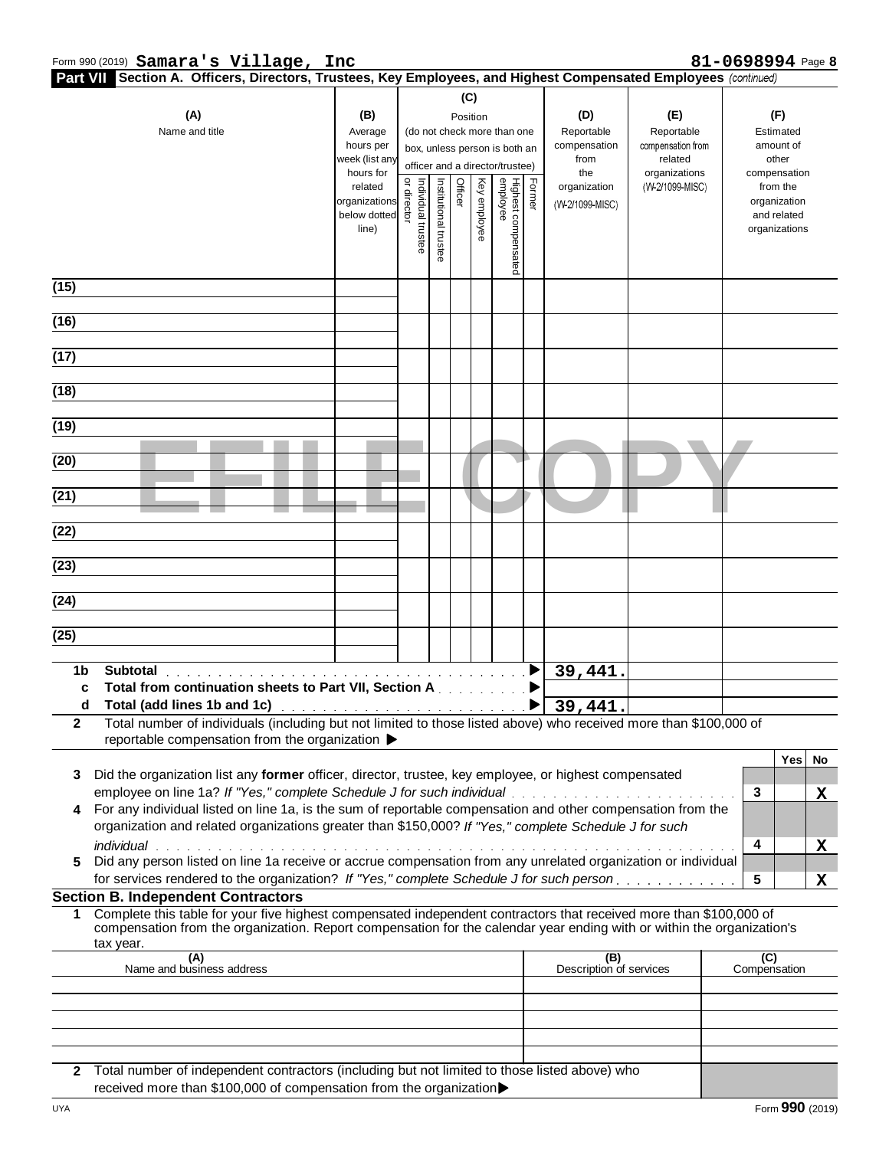| Part VII Section A. Officers, Directors, Trustees, Key Employees, and Highest Compensated Employees (continued)                                                                                                                                             |                               |                               |                                         |         |              |                                 |        |                         |                          |                |                             |    |
|-------------------------------------------------------------------------------------------------------------------------------------------------------------------------------------------------------------------------------------------------------------|-------------------------------|-------------------------------|-----------------------------------------|---------|--------------|---------------------------------|--------|-------------------------|--------------------------|----------------|-----------------------------|----|
| (A)                                                                                                                                                                                                                                                         | (B)                           |                               |                                         |         | (C)          |                                 |        | (D)                     | (E)                      |                | (F)                         |    |
| Name and title                                                                                                                                                                                                                                              | Average                       |                               | Position<br>(do not check more than one |         |              |                                 |        | Reportable              | Reportable               |                | Estimated                   |    |
|                                                                                                                                                                                                                                                             | hours per                     | box, unless person is both an |                                         |         |              |                                 |        | compensation            | compensation from        |                | amount of                   |    |
|                                                                                                                                                                                                                                                             | week (list any<br>hours for   |                               |                                         |         |              | officer and a director/trustee) |        | from<br>the             | related<br>organizations |                | other<br>compensation       |    |
|                                                                                                                                                                                                                                                             | related                       |                               |                                         | Officer |              |                                 | Former | organization            | (W-2/1099-MISC)          |                | from the                    |    |
|                                                                                                                                                                                                                                                             | organizations<br>below dotted | Individual<br>director        |                                         |         |              |                                 |        | (W-2/1099-MISC)         |                          |                | organization<br>and related |    |
|                                                                                                                                                                                                                                                             | line)                         |                               |                                         |         | Key employee |                                 |        |                         |                          |                | organizations               |    |
|                                                                                                                                                                                                                                                             |                               | trustee                       | Institutional trustee                   |         |              |                                 |        |                         |                          |                |                             |    |
|                                                                                                                                                                                                                                                             |                               |                               |                                         |         |              | Highest compensated<br>employee |        |                         |                          |                |                             |    |
| $\overline{(15)}$                                                                                                                                                                                                                                           |                               |                               |                                         |         |              |                                 |        |                         |                          |                |                             |    |
| (16)                                                                                                                                                                                                                                                        |                               |                               |                                         |         |              |                                 |        |                         |                          |                |                             |    |
|                                                                                                                                                                                                                                                             |                               |                               |                                         |         |              |                                 |        |                         |                          |                |                             |    |
| (17)                                                                                                                                                                                                                                                        |                               |                               |                                         |         |              |                                 |        |                         |                          |                |                             |    |
| (18)                                                                                                                                                                                                                                                        |                               |                               |                                         |         |              |                                 |        |                         |                          |                |                             |    |
|                                                                                                                                                                                                                                                             |                               |                               |                                         |         |              |                                 |        |                         |                          |                |                             |    |
| (19)                                                                                                                                                                                                                                                        |                               |                               |                                         |         |              |                                 |        |                         |                          |                |                             |    |
| (20)                                                                                                                                                                                                                                                        |                               |                               |                                         |         |              |                                 |        |                         |                          |                |                             |    |
| $\overline{(21)}$                                                                                                                                                                                                                                           |                               |                               |                                         |         |              |                                 |        |                         |                          |                |                             |    |
|                                                                                                                                                                                                                                                             |                               |                               |                                         |         |              |                                 |        |                         |                          |                |                             |    |
| (22)                                                                                                                                                                                                                                                        |                               |                               |                                         |         |              |                                 |        |                         |                          |                |                             |    |
| (23)                                                                                                                                                                                                                                                        |                               |                               |                                         |         |              |                                 |        |                         |                          |                |                             |    |
|                                                                                                                                                                                                                                                             |                               |                               |                                         |         |              |                                 |        |                         |                          |                |                             |    |
| $\overline{(24)}$                                                                                                                                                                                                                                           |                               |                               |                                         |         |              |                                 |        |                         |                          |                |                             |    |
| $\overline{(25)}$                                                                                                                                                                                                                                           |                               |                               |                                         |         |              |                                 |        |                         |                          |                |                             |    |
|                                                                                                                                                                                                                                                             |                               |                               |                                         |         |              |                                 |        |                         |                          |                |                             |    |
| 1 <sub>b</sub><br><b>Subtotal</b>                                                                                                                                                                                                                           |                               |                               |                                         |         |              |                                 |        | 39,441.                 |                          |                |                             |    |
| Total from continuation sheets to Part VII, Section A and a substitution<br>C                                                                                                                                                                               |                               |                               |                                         |         |              |                                 |        |                         |                          |                |                             |    |
| Total (add lines 1b and 1c) and the contract of the contract of the D<br>d<br>Total number of individuals (including but not limited to those listed above) who received more than \$100,000 of<br>$\mathbf{2}$                                             |                               |                               |                                         |         |              |                                 |        | 39,441.                 |                          |                |                             |    |
| reportable compensation from the organization ▶                                                                                                                                                                                                             |                               |                               |                                         |         |              |                                 |        |                         |                          |                |                             |    |
|                                                                                                                                                                                                                                                             |                               |                               |                                         |         |              |                                 |        |                         |                          |                | Yes                         | No |
| Did the organization list any former officer, director, trustee, key employee, or highest compensated<br>3.<br>employee on line 1a? If "Yes," complete Schedule J for such individual                                                                       |                               |                               |                                         |         |              |                                 |        |                         |                          | 3              |                             | X  |
| For any individual listed on line 1a, is the sum of reportable compensation and other compensation from the<br>4                                                                                                                                            |                               |                               |                                         |         |              |                                 |        |                         |                          |                |                             |    |
| organization and related organizations greater than \$150,000? If "Yes," complete Schedule J for such                                                                                                                                                       |                               |                               |                                         |         |              |                                 |        |                         |                          |                |                             |    |
| <i>individual</i>                                                                                                                                                                                                                                           |                               |                               |                                         |         |              |                                 |        |                         |                          | 4              |                             | X  |
| Did any person listed on line 1a receive or accrue compensation from any unrelated organization or individual<br>5                                                                                                                                          |                               |                               |                                         |         |              |                                 |        |                         |                          |                |                             |    |
| for services rendered to the organization? If "Yes," complete Schedule J for such person.<br><b>Section B. Independent Contractors</b>                                                                                                                      |                               |                               |                                         |         |              |                                 |        |                         |                          | 5              |                             | X  |
| Complete this table for your five highest compensated independent contractors that received more than \$100,000 of<br>$\mathbf 1$<br>compensation from the organization. Report compensation for the calendar year ending with or within the organization's |                               |                               |                                         |         |              |                                 |        |                         |                          |                |                             |    |
| tax year.<br>(A)                                                                                                                                                                                                                                            |                               |                               |                                         |         |              |                                 |        | (B)                     |                          | $\overline{C}$ |                             |    |
| Name and business address                                                                                                                                                                                                                                   |                               |                               |                                         |         |              |                                 |        | Description of services |                          | Compensation   |                             |    |
|                                                                                                                                                                                                                                                             |                               |                               |                                         |         |              |                                 |        |                         |                          |                |                             |    |
|                                                                                                                                                                                                                                                             |                               |                               |                                         |         |              |                                 |        |                         |                          |                |                             |    |
|                                                                                                                                                                                                                                                             |                               |                               |                                         |         |              |                                 |        |                         |                          |                |                             |    |
| Total number of independent contractors (including but not limited to those listed above) who<br>$\mathbf{2}$                                                                                                                                               |                               |                               |                                         |         |              |                                 |        |                         |                          |                |                             |    |

received more than \$100,000 of compensation from the organization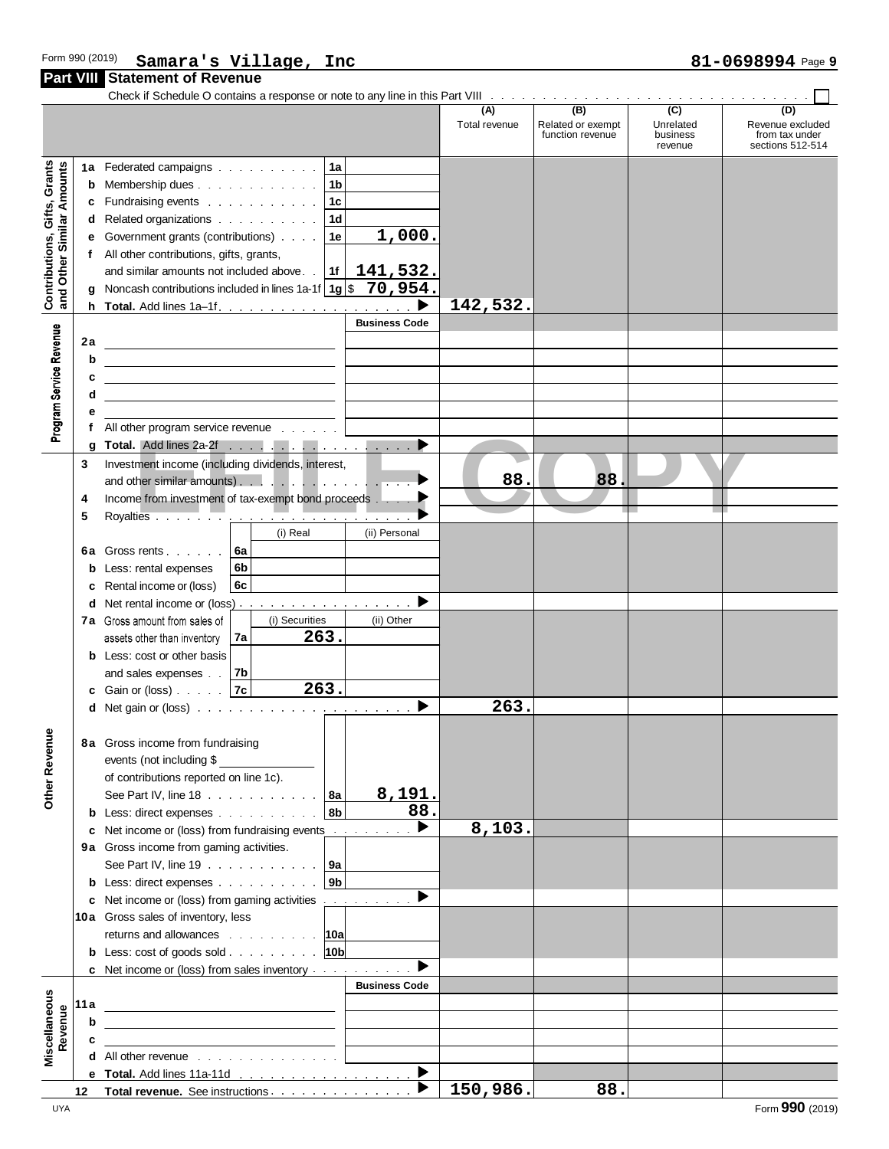|                                                           |                        | <b>Part VIII</b> Statement of Revenue                                                                                                                                                                                                                                                                                                               |                                                                                             |                      |                                              |                                                      |                                                               |
|-----------------------------------------------------------|------------------------|-----------------------------------------------------------------------------------------------------------------------------------------------------------------------------------------------------------------------------------------------------------------------------------------------------------------------------------------------------|---------------------------------------------------------------------------------------------|----------------------|----------------------------------------------|------------------------------------------------------|---------------------------------------------------------------|
|                                                           |                        | Check if Schedule O contains a response or note to any line in this Part VIII Toronto Alexander Alexander Alexander Check if Schedule O contains a response or note to any line in this Part VIII Toronto Alexander Alexander                                                                                                                       |                                                                                             | (A)<br>Total revenue | (B)<br>Related or exempt<br>function revenue | $\overline{(c)}$<br>Unrelated<br>business<br>revenue | (D)<br>Revenue excluded<br>from tax under<br>sections 512-514 |
| Contributions, Gifts, Grants<br>and Other Similar Amounts | 1a<br>b<br>c<br>d<br>е | Federated campaigns 1a<br>Membership dues 1b<br>Fundraising events 1c<br>Related organizations 1d<br>Government grants (contributions) $\ldots$   1e<br>All other contributions, gifts, grants,<br>Noncash contributions included in lines 1a-1f $ 1g $ \$ 70, 954.                                                                                 | $\overline{1}$ ,000.                                                                        |                      |                                              |                                                      |                                                               |
| Program Service Revenue                                   | h.<br>2a               | <u> 1980 - Johann Barbara, martxa alemaniar a</u><br><u> 1989 - Johann Barn, mars and de Branch Barn, mars and de Branch Barn, mars and de Branch Barn, mars and de Br</u><br><u> 1999 - Jan Alexandro III, prima posta</u><br>All other program service revenue                                                                                    | <b>Business Code</b>                                                                        | 142,532.             |                                              |                                                      |                                                               |
|                                                           | g<br>3<br>4<br>5       | Investment income (including dividends, interest,<br>and other similar amounts).<br>Income from investment of tax-exempt bond proceeds                                                                                                                                                                                                              |                                                                                             | 88.                  | 88.                                          |                                                      |                                                               |
|                                                           | 6а<br>b<br>c<br>d<br>b | (i) Real<br>Gross rents 6a<br>6 <sub>b</sub><br>Less: rental expenses<br>6c<br>Rental income or (loss)<br>Net rental income or (loss)<br>(i) Securities<br>7a Gross amount from sales of<br>263.<br>7a<br>assets other than inventory<br>Less: cost or other basis<br>and sales expenses $\ldots$ 7b                                                | (ii) Personal<br>▶<br>(ii) Other                                                            |                      |                                              |                                                      |                                                               |
|                                                           |                        | 263.<br>Gain or (loss) 7c<br><b>d</b> Net gain or (loss) $\cdots$ $\cdots$ $\cdots$ $\cdots$ $\cdots$ $\cdots$                                                                                                                                                                                                                                      |                                                                                             | 263.                 |                                              |                                                      |                                                               |
| <b>Other Revenue</b>                                      |                        | 8a Gross income from fundraising<br>events (not including \$<br>of contributions reported on line 1c).<br>See Part IV, line 18 $\ldots$ $\ldots$ $\ldots$ $\ldots$   8a<br> 8 <sub>b</sub><br><b>b</b> Less: direct expenses                                                                                                                        | 8,191.<br>88.                                                                               |                      |                                              |                                                      |                                                               |
|                                                           |                        | c Net income or (loss) from fundraising events<br>9a Gross income from gaming activities.<br>See Part IV, line 19 $\ldots$ $\ldots$ $\ldots$ $\ldots$ $\ldots$ 9a<br>9 <sub>b</sub><br><b>b</b> Less: direct expenses                                                                                                                               | ▶                                                                                           | 8,103.               |                                              |                                                      |                                                               |
|                                                           |                        | c Net income or (loss) from gaming activities<br>10a Gross sales of inventory, less<br>returns and allowances 10a<br> 10 <sub>b</sub>  <br><b>b</b> Less: $\cosh$ of goods $\sinh$<br>c Net income or (loss) from sales inventory                                                                                                                   | ▶<br>$\begin{array}{cccccccccccccc} . & . & . & . & . & . & . & . & . & . \end{array}$<br>▶ |                      |                                              |                                                      |                                                               |
| Miscellaneous<br>Revenue                                  | 11 a<br>b<br>c         | <u> Alexandria (Carlo Carlo Carlo Carlo Carlo Carlo Carlo Carlo Carlo Carlo Carlo Carlo Carlo Carlo Carlo Carlo C</u><br>the control of the control of the control of the control of the control of<br>the control of the control of the control of the control of the control of<br><b>d</b> All other revenue $\ldots$ $\ldots$ $\ldots$ $\ldots$ | <b>Business Code</b>                                                                        |                      |                                              |                                                      |                                                               |
|                                                           |                        | e Total. Add lines 11a-11d<br>12 Total revenue. See instructions.                                                                                                                                                                                                                                                                                   | $\blacktriangleright$<br>$\blacktriangleright$                                              | 150,986.             | 88.                                          |                                                      |                                                               |

**150,986. 88.**

**12 Total revenue.** See instructions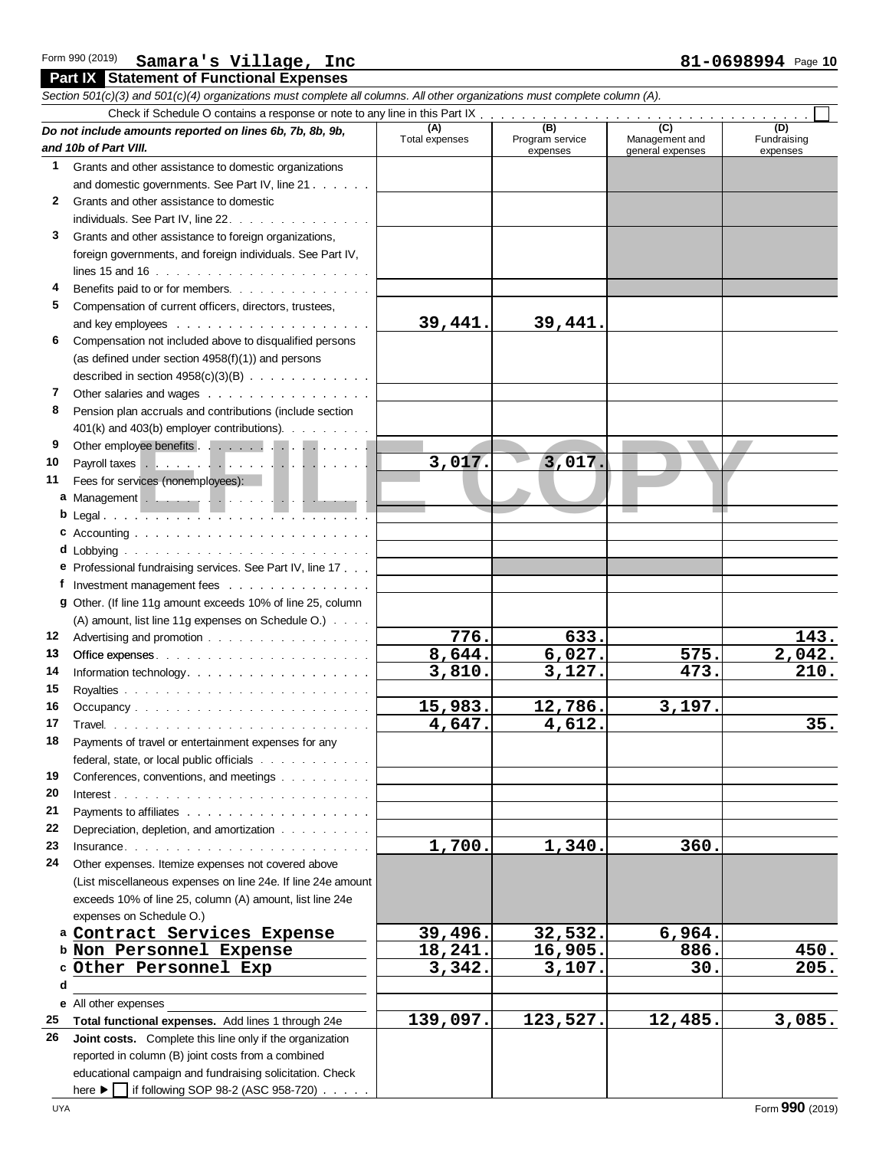**Part IX Statement of Functional Expenses**

#### **Example Solution Continuations**<br>
Second Continuations of the Communications of the Communications of the Communications of the Communications of the Communications of the Communications of the Communications of the Commun *Section 501(c)(3) and 501(c)(4) organizations must complete all columns. All other organizations must complete column (A).* Check if Schedule O contains a response or note to any line in this Part IX *Do not include amounts reported on lines 6b, 7b, 8b, 9b, and 10b of Part VIII.* **(A)** Total expenses **(B)** Program service expenses (B)<br>gram service Management and<br>expenses general expenses Management and<br>general expenses **(C) (D)** Fundraising expenses **1** Grants and other assistance to domestic organizations and domestic governments. See Part IV, line 21 and such an **2** Grants and other assistance to domestic individuals. See Part IV, line 22, production of the contract of the contract of the contract of the contract o **3** Grants and other assistance to foreign organizations, foreign governments, and foreign individuals. See Part IV, lines 15 and 16 **4** Benefits paid to or for members. . . . . . . . . . . . **5** Compensation of current officers, directors, trustees, and key employees **6** Compensation not included above to disqualified persons (as defined under section 4958(f)(1)) and persons described in section  $4958(c)(3)(B)$ . . . . . . . . . . . **7** Other salaries and wages . . . . . . . . . . . . . . . . **8** Pension plan accruals and contributions (include section 401(k) and 403(b) employer contributions) **9** Other employee benefits . . . . . . . 10 Payroll taxes . . . . . . . . . . **11** Fees for services (nonemployees): **a** Management **b** Legal **c** Accounting . . . . . . . . . . **d** Lobbying **e** Professional fundraising services. See Part IV, line 17 **f** Investment management fees **g** Other. (If line 11g amount exceeds 10% of line 25, column (A) amount, list line 11g expenses on Schedule O.) 12 Advertising and promotion **contained** Advertising and promotion **contained** Advertising and **Promotion 13** Office expenses **14** Information technology **15** Royalties 16 Occupancy........................ **17** Travel **18** Payments of travel or entertainment expenses for any federal, state, or local public officials . . . . . . . . . . . . . **19** Conferences, conventions, and meetings . . . . . . . . . **20** Interest **21** Payments to affiliates 22 Depreciation, depletion, and amortization . . . . . . . . . **23** Insurance **24** Other expenses. Itemize expenses not covered above (List miscellaneous expenses on line 24e. If line 24e amount exceeds 10% of line 25, column (A) amount, list line 24e expenses on Schedule O.) a Contract Services Expense<br>**b** Non Personnel Expense c Other Personnel Exp **e** All other expenses **25 Total functional expenses.** Add lines 1 through 24e **26 Joint costs.** Complete this line only if the organization reported in column (B) joint costs from a combined educational campaign and fundraising solicitation. Check here  $\blacktriangleright \Box$  if following SOP 98-2 (ASC 958-720). **39,441. 39,441. 3,017. 3,017. 776.** 633. 143.<br>644 6 027 575 2 042 **8,644.** 6,027. 575. 2,042.<br> **8,644.** 6,027. 575. 2,042.<br> **8,810** 3,127 473 210 **3,810.** 575. **143.**<br> **3,810.** 3,127. **575. 2,042.**<br> **3,810.** 3,127. **473.** 210. **15,983. 12,786. 3,197.**<br> **15,983. 12,786. 3,197.**<br> **1647. 4.612.** <u>5,810. 5,127. 473. 210.<br>5,983. 12,786. 3,197. 4,647. 4,612. 35.</u> **1,700. 1,340. 360.** Extrinscellaheous expenses on line 24e. if line 24e amount<br>
exceeds 10% of line 25, column (A) amount, list line 24e<br>
expenses on Schedule O.)<br> **Contract Services Expense**<br>
Mon. Personnel Expense 18, 241, 16, 905, 886 exceeds 10% of the 25, column (A) amount, list the 24e<br>
expenses on Schedule O.)<br> **Non Personnel Expense** 18,241. 16,905. 886. 450.<br>
Other Personnel Expense 3342 3107 30 205 expenses on Schedule O.)<br> **Contract Services Expense**<br> **Other Personnel Expense**<br> **Other Personnel Exp**<br> **Other Personnel Exp**<br> **Contract Services Expense**<br> **B86. 450.**<br> **B86. 450.**<br> **B86. 450.**<br> **B86. 450.**<br> **B86.** <u>139,097. 123,527. 12,485. 3,085.</u><br> **139,097. 123,527. 12,485.** 3,085.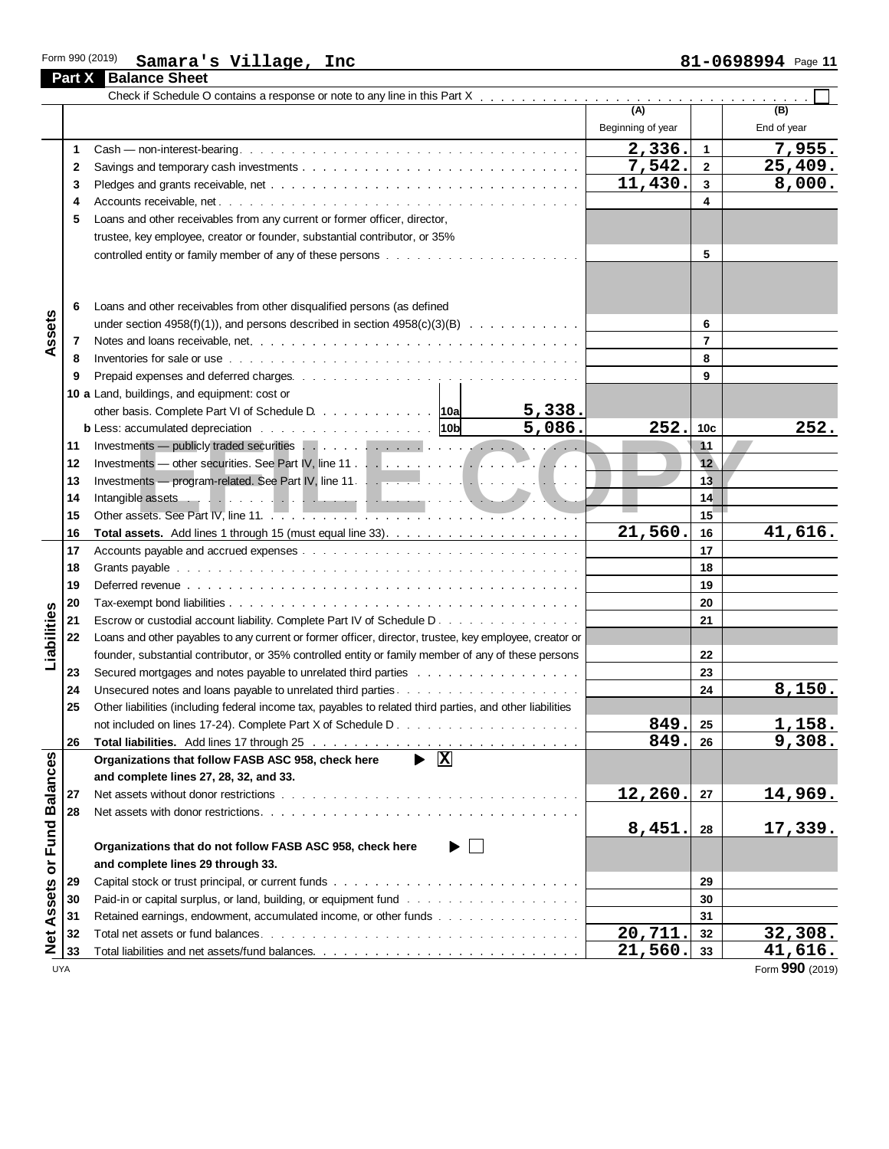|                        | <b>Part X</b> Balance Sheet                                                                                                                                                                                                    |                   |                 |                 |
|------------------------|--------------------------------------------------------------------------------------------------------------------------------------------------------------------------------------------------------------------------------|-------------------|-----------------|-----------------|
|                        |                                                                                                                                                                                                                                | (A)               |                 |                 |
|                        |                                                                                                                                                                                                                                |                   |                 | (B)             |
|                        |                                                                                                                                                                                                                                | Beginning of year |                 | End of year     |
| 1                      |                                                                                                                                                                                                                                | 2,336.            | $\mathbf{1}$    | 7,955.          |
| 2                      |                                                                                                                                                                                                                                | 7,542.            | $\overline{2}$  | 25,409.         |
| 3                      |                                                                                                                                                                                                                                | 11,430.           | $\mathbf{3}$    | 8,000.          |
| 4                      |                                                                                                                                                                                                                                |                   | 4               |                 |
| 5                      | Loans and other receivables from any current or former officer, director,                                                                                                                                                      |                   |                 |                 |
|                        | trustee, key employee, creator or founder, substantial contributor, or 35%                                                                                                                                                     |                   |                 |                 |
|                        | controlled entity or family member of any of these persons with the state of any of the set of the set of the set of the set of the set of the set of the set of the set of the set of the set of the set of the set of the se |                   | 5               |                 |
|                        |                                                                                                                                                                                                                                |                   |                 |                 |
| 6                      | Loans and other receivables from other disqualified persons (as defined                                                                                                                                                        |                   |                 |                 |
| Assets                 | under section $4958(f)(1)$ , and persons described in section $4958(c)(3)(B)$                                                                                                                                                  |                   | 6               |                 |
| 7                      |                                                                                                                                                                                                                                |                   | $\overline{7}$  |                 |
| 8                      | Inventories for sale or use by contact the contract of the contact of the contact of the contact of the contact of the contact of the contact of the contact of the contact of the contact of the contact of the contact of th |                   | 8               |                 |
| 9                      |                                                                                                                                                                                                                                |                   | 9               |                 |
|                        | 10 a Land, buildings, and equipment: cost or                                                                                                                                                                                   |                   |                 |                 |
|                        | 5,338.<br>other basis. Complete Part VI of Schedule D. $\ldots$ 10a                                                                                                                                                            |                   |                 |                 |
|                        | 5,086.<br><b>b</b> Less: accumulated depreciation $\ldots \ldots \ldots \ldots \ldots \ldots$                                                                                                                                  | 252.              | 10 <sub>c</sub> | 252.            |
| 11                     |                                                                                                                                                                                                                                |                   | 11              |                 |
| 12                     |                                                                                                                                                                                                                                |                   | 12              |                 |
| 13                     |                                                                                                                                                                                                                                |                   | 13              |                 |
| 14                     | Intangible assets et al., and a contract of the contract of the contract of the contract of the contract of the                                                                                                                |                   | 14              |                 |
| 15                     | Other assets. See Part IV, line 11.                                                                                                                                                                                            | <b>The State</b>  | 15              |                 |
| 16                     |                                                                                                                                                                                                                                | 21,560.           | 16              | 41,616.         |
| 17                     |                                                                                                                                                                                                                                |                   | 17              |                 |
| 18                     |                                                                                                                                                                                                                                |                   | 18              |                 |
| 19                     | Deferred revenue between the contract of the contract of the contract of the contract of the contract of the contract of the contract of the contract of the contract of the contract of the contract of the contract of the c |                   | 19              |                 |
| 20                     |                                                                                                                                                                                                                                |                   | 20              |                 |
| 21                     | Escrow or custodial account liability. Complete Part IV of Schedule D.                                                                                                                                                         |                   | 21              |                 |
| 22                     | Loans and other payables to any current or former officer, director, trustee, key employee, creator or                                                                                                                         |                   |                 |                 |
|                        | founder, substantial contributor, or 35% controlled entity or family member of any of these persons                                                                                                                            |                   | 22              |                 |
| 23                     | Secured mortgages and notes payable to unrelated third parties with the state of the state of the Secured mortgages and notes payable to unrelated third parties with the state of the Secured Muslim state of the Secured Mus |                   | 23              |                 |
| 24                     |                                                                                                                                                                                                                                |                   | 24              | 8,150.          |
| 25                     | Other liabilities (including federal income tax, payables to related third parties, and other liabilities                                                                                                                      |                   |                 |                 |
|                        |                                                                                                                                                                                                                                | 849.              | 25              | <u>1,158.</u>   |
| 26                     | Total liabilities. Add lines 17 through 25 (a) and a substitution of the state of the state of the state of the                                                                                                                | 849.              | 26              | 9,308.          |
|                        | $\blacktriangleright \overline{\mathbb{X}}$<br>Organizations that follow FASB ASC 958, check here                                                                                                                              |                   |                 |                 |
|                        | and complete lines 27, 28, 32, and 33.                                                                                                                                                                                         |                   |                 |                 |
| 27                     |                                                                                                                                                                                                                                | 12,260.           | 27              | <u>14,969.</u>  |
| 28                     |                                                                                                                                                                                                                                |                   |                 |                 |
|                        |                                                                                                                                                                                                                                | 8,451.            | 28              | 17,339.         |
|                        | Organizations that do not follow FASB ASC 958, check here<br>▶                                                                                                                                                                 |                   |                 |                 |
|                        | and complete lines 29 through 33.                                                                                                                                                                                              |                   |                 |                 |
| or Fund Balances<br>29 |                                                                                                                                                                                                                                |                   | 29              |                 |
| 30                     |                                                                                                                                                                                                                                |                   | 30              |                 |
| Assets<br>31           | Retained earnings, endowment, accumulated income, or other funds                                                                                                                                                               |                   | 31              |                 |
| <b>Net</b><br>32       |                                                                                                                                                                                                                                | 20,711.           | 32              | 32,308.         |
| 33                     |                                                                                                                                                                                                                                | 21,560.           | 33              | 41,616.         |
| UYA                    |                                                                                                                                                                                                                                |                   |                 | Form 990 (2019) |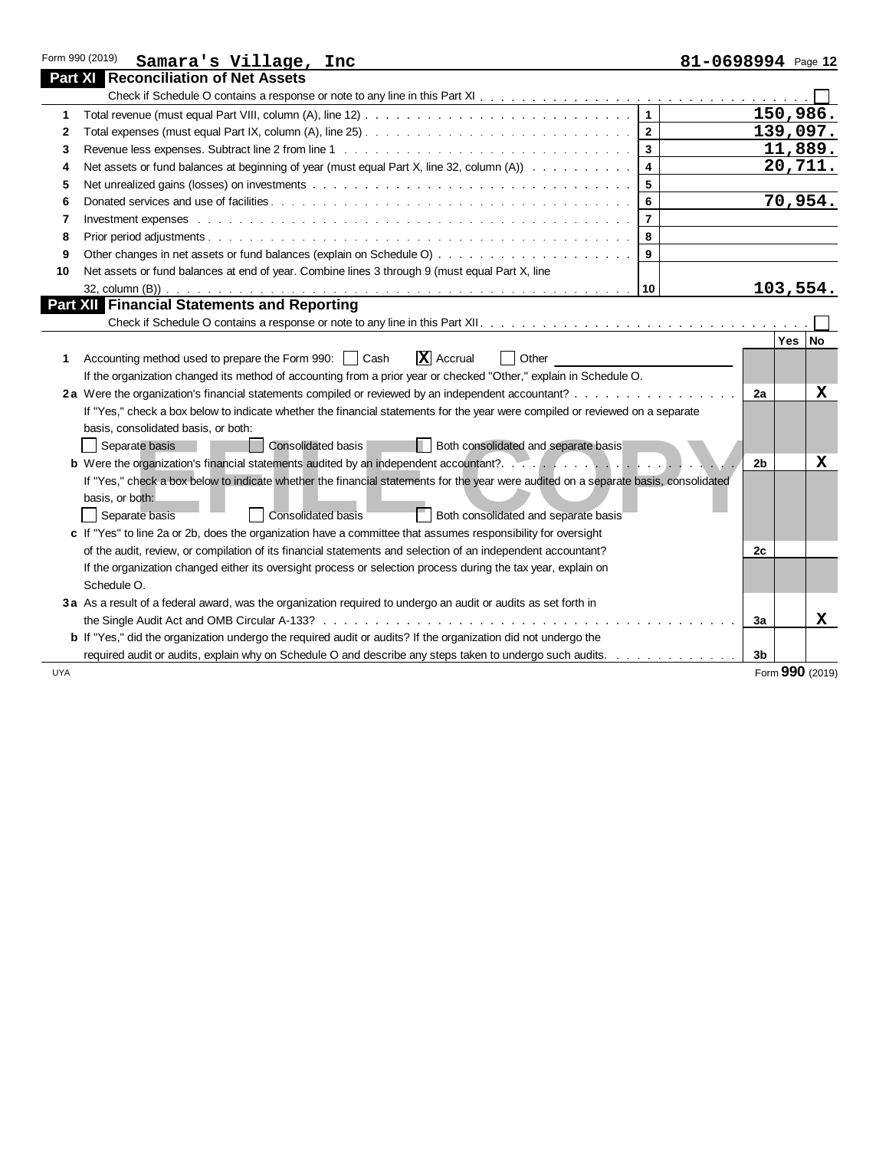| Form 990 (2019)<br>Samara's Village, Inc                                                                                                                                                                                            | 81-0698994 Page 12                   |
|-------------------------------------------------------------------------------------------------------------------------------------------------------------------------------------------------------------------------------------|--------------------------------------|
| <b>Part X</b> Reconciliation of Net Assets                                                                                                                                                                                          |                                      |
|                                                                                                                                                                                                                                     |                                      |
| 1                                                                                                                                                                                                                                   | 150,986.                             |
| 2                                                                                                                                                                                                                                   | 139,097.<br>$\overline{2}$           |
| 3                                                                                                                                                                                                                                   | 11,889.<br>$\overline{3}$            |
| Net assets or fund balances at beginning of year (must equal Part X, line 32, column (A))<br>4                                                                                                                                      | 20,711.<br>$\overline{4}$            |
| 5                                                                                                                                                                                                                                   | $5\phantom{1}$                       |
| 6                                                                                                                                                                                                                                   | 70,954.<br>6                         |
| Investment expenses business and contact the contract of the contract of the contract of the contract of the contract of the contract of the contract of the contract of the contract of the contract of the contract of the c<br>7 | $\overline{7}$                       |
| 8                                                                                                                                                                                                                                   | 8                                    |
| 9                                                                                                                                                                                                                                   | $\boldsymbol{9}$                     |
| Net assets or fund balances at end of year. Combine lines 3 through 9 (must equal Part X, line<br>10                                                                                                                                |                                      |
|                                                                                                                                                                                                                                     | 103,554.                             |
| <b>Part XII Financial Statements and Reporting</b>                                                                                                                                                                                  |                                      |
|                                                                                                                                                                                                                                     |                                      |
|                                                                                                                                                                                                                                     | Yes   No                             |
| $\overline{\mathbf{X}}$ Accrual<br>Accounting method used to prepare the Form 990:     Cash<br>1                                                                                                                                    | Other                                |
| If the organization changed its method of accounting from a prior year or checked "Other," explain in Schedule O.                                                                                                                   |                                      |
| 2a Were the organization's financial statements compiled or reviewed by an independent accountant?                                                                                                                                  | 2a<br>x                              |
| If "Yes," check a box below to indicate whether the financial statements for the year were compiled or reviewed on a separate                                                                                                       |                                      |
| basis, consolidated basis, or both:                                                                                                                                                                                                 |                                      |
| Consolidated basis<br>Separate basis                                                                                                                                                                                                | Both consolidated and separate basis |
| <b>b</b> Were the organization's financial statements audited by an independent accountant?                                                                                                                                         | $\mathbf x$<br>2 <sub>b</sub>        |
| If "Yes," check a box below to indicate whether the financial statements for the year were audited on a separate basis, consolidated                                                                                                |                                      |
| basis, or both:                                                                                                                                                                                                                     |                                      |
| Consolidated basis<br>Separate basis                                                                                                                                                                                                | Both consolidated and separate basis |
| c If "Yes" to line 2a or 2b, does the organization have a committee that assumes responsibility for oversight                                                                                                                       |                                      |
| of the audit, review, or compilation of its financial statements and selection of an independent accountant?                                                                                                                        | 2c                                   |
| If the organization changed either its oversight process or selection process during the tax year, explain on                                                                                                                       |                                      |
| Schedule O.                                                                                                                                                                                                                         |                                      |
| 3a As a result of a federal award, was the organization required to undergo an audit or audits as set forth in                                                                                                                      |                                      |
|                                                                                                                                                                                                                                     | X<br>За                              |
| <b>b</b> If "Yes," did the organization undergo the required audit or audits? If the organization did not undergo the                                                                                                               |                                      |
| required audit or audits, explain why on Schedule O and describe any steps taken to undergo such audits.                                                                                                                            | 3b                                   |
| <b>UYA</b>                                                                                                                                                                                                                          | Form 990 (2019)                      |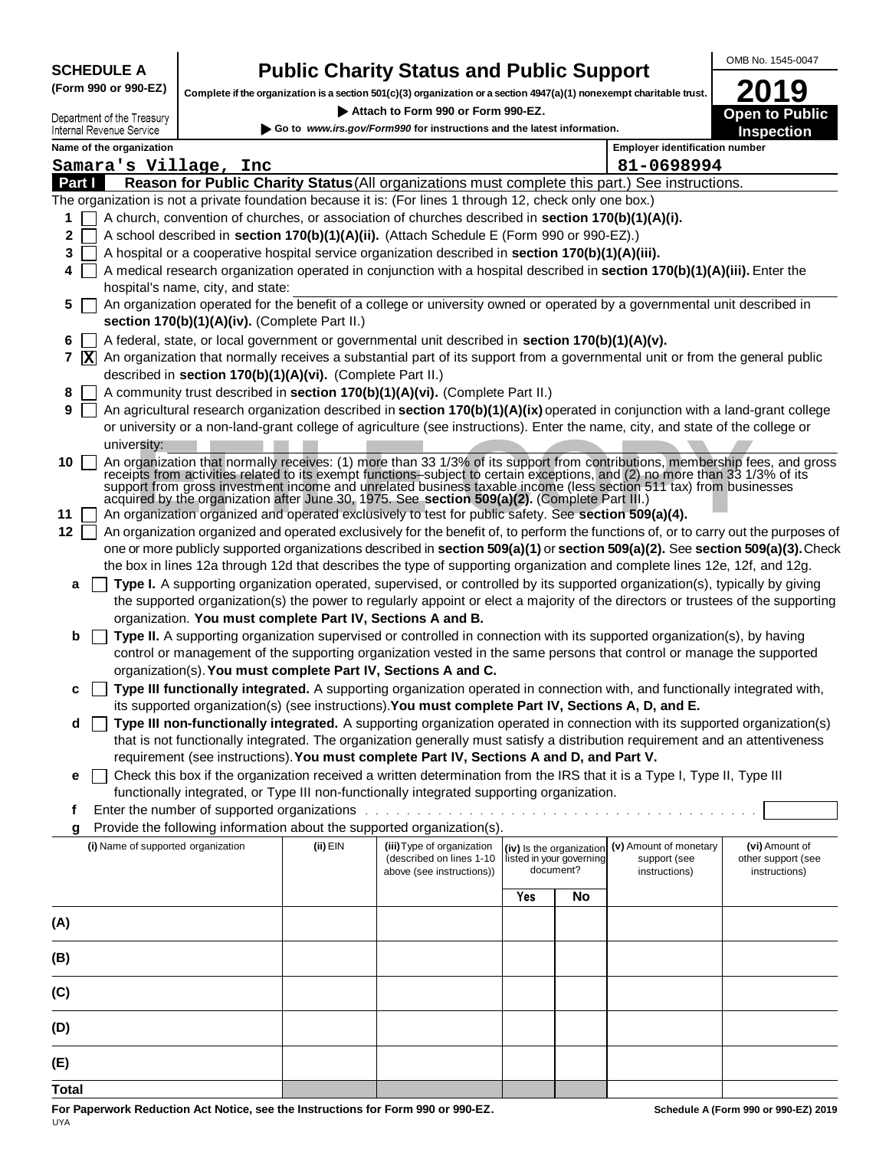**SCHEDULE A (Form 990 or 990-EZ)**

Department of the Treasury

### **Public Charity Status and Public Support**

**Complete if the organization is a section 501(c)(3) organization or a section 4947(a)(1) nonexempt charitable trust.**

 **Attach to Form 990 or Form 990-EZ.** 

**Open to Public Inspection 2019**

OMB No. 1545-0047

| Internal Revenue Service |                                                            |          | Go to www.irs.gov/Form990 for instructions and the latest information.                                                                                                                                                                                                                                                                                                                                                                               |                          |                                       |                                                         | <b>Inspection</b>                                     |
|--------------------------|------------------------------------------------------------|----------|------------------------------------------------------------------------------------------------------------------------------------------------------------------------------------------------------------------------------------------------------------------------------------------------------------------------------------------------------------------------------------------------------------------------------------------------------|--------------------------|---------------------------------------|---------------------------------------------------------|-------------------------------------------------------|
| Name of the organization |                                                            |          |                                                                                                                                                                                                                                                                                                                                                                                                                                                      |                          |                                       | <b>Employer identification number</b>                   |                                                       |
|                          | Samara's Village, Inc                                      |          |                                                                                                                                                                                                                                                                                                                                                                                                                                                      |                          |                                       | 81-0698994                                              |                                                       |
| Part I                   |                                                            |          | Reason for Public Charity Status (All organizations must complete this part.) See instructions.                                                                                                                                                                                                                                                                                                                                                      |                          |                                       |                                                         |                                                       |
|                          |                                                            |          | The organization is not a private foundation because it is: (For lines 1 through 12, check only one box.)                                                                                                                                                                                                                                                                                                                                            |                          |                                       |                                                         |                                                       |
| 1                        |                                                            |          | A church, convention of churches, or association of churches described in section 170(b)(1)(A)(i).                                                                                                                                                                                                                                                                                                                                                   |                          |                                       |                                                         |                                                       |
| 2.                       |                                                            |          | A school described in section 170(b)(1)(A)(ii). (Attach Schedule E (Form 990 or 990-EZ).)                                                                                                                                                                                                                                                                                                                                                            |                          |                                       |                                                         |                                                       |
| 3.                       |                                                            |          | A hospital or a cooperative hospital service organization described in section 170(b)(1)(A)(iii).                                                                                                                                                                                                                                                                                                                                                    |                          |                                       |                                                         |                                                       |
| 4                        |                                                            |          | A medical research organization operated in conjunction with a hospital described in section 170(b)(1)(A)(iii). Enter the                                                                                                                                                                                                                                                                                                                            |                          |                                       |                                                         |                                                       |
|                          | hospital's name, city, and state:                          |          |                                                                                                                                                                                                                                                                                                                                                                                                                                                      |                          |                                       |                                                         |                                                       |
| 5 <sup>1</sup>           | section 170(b)(1)(A)(iv). (Complete Part II.)              |          | An organization operated for the benefit of a college or university owned or operated by a governmental unit described in                                                                                                                                                                                                                                                                                                                            |                          |                                       |                                                         |                                                       |
| 6.                       |                                                            |          | A federal, state, or local government or governmental unit described in section 170(b)(1)(A)(v).                                                                                                                                                                                                                                                                                                                                                     |                          |                                       |                                                         |                                                       |
| $7 \times$               |                                                            |          | An organization that normally receives a substantial part of its support from a governmental unit or from the general public                                                                                                                                                                                                                                                                                                                         |                          |                                       |                                                         |                                                       |
|                          | described in section 170(b)(1)(A)(vi). (Complete Part II.) |          |                                                                                                                                                                                                                                                                                                                                                                                                                                                      |                          |                                       |                                                         |                                                       |
| 8                        |                                                            |          | A community trust described in section 170(b)(1)(A)(vi). (Complete Part II.)                                                                                                                                                                                                                                                                                                                                                                         |                          |                                       |                                                         |                                                       |
| 9 <sup>1</sup>           |                                                            |          | An agricultural research organization described in section 170(b)(1)(A)(ix) operated in conjunction with a land-grant college                                                                                                                                                                                                                                                                                                                        |                          |                                       |                                                         |                                                       |
|                          |                                                            |          | or university or a non-land-grant college of agriculture (see instructions). Enter the name, city, and state of the college or                                                                                                                                                                                                                                                                                                                       |                          |                                       |                                                         |                                                       |
| university:              |                                                            |          |                                                                                                                                                                                                                                                                                                                                                                                                                                                      |                          |                                       |                                                         |                                                       |
| $10 \mid$                |                                                            |          | An organization that normally receives: (1) more than 33 1/3% of its support from contributions, membership fees, and gross receipts from activities related to its exempt functions-subject to certain exceptions, and (2) no<br>support from gross investment income and unrelated business taxable income (less section 511 tax) from businesses<br>acquired by the organization after June 30, 1975. See section 509(a)(2). (Complete Part III.) |                          |                                       |                                                         |                                                       |
| 11                       |                                                            |          | An organization organized and operated exclusively to test for public safety. See section 509(a)(4).                                                                                                                                                                                                                                                                                                                                                 |                          |                                       |                                                         |                                                       |
| 12                       |                                                            |          | An organization organized and operated exclusively for the benefit of, to perform the functions of, or to carry out the purposes of                                                                                                                                                                                                                                                                                                                  |                          |                                       |                                                         |                                                       |
|                          |                                                            |          | one or more publicly supported organizations described in section 509(a)(1) or section 509(a)(2). See section 509(a)(3). Check                                                                                                                                                                                                                                                                                                                       |                          |                                       |                                                         |                                                       |
|                          |                                                            |          | the box in lines 12a through 12d that describes the type of supporting organization and complete lines 12e, 12f, and 12g.                                                                                                                                                                                                                                                                                                                            |                          |                                       |                                                         |                                                       |
| a                        |                                                            |          | Type I. A supporting organization operated, supervised, or controlled by its supported organization(s), typically by giving                                                                                                                                                                                                                                                                                                                          |                          |                                       |                                                         |                                                       |
|                          | organization. You must complete Part IV, Sections A and B. |          | the supported organization(s) the power to regularly appoint or elect a majority of the directors or trustees of the supporting                                                                                                                                                                                                                                                                                                                      |                          |                                       |                                                         |                                                       |
| b                        |                                                            |          | Type II. A supporting organization supervised or controlled in connection with its supported organization(s), by having                                                                                                                                                                                                                                                                                                                              |                          |                                       |                                                         |                                                       |
|                          |                                                            |          | control or management of the supporting organization vested in the same persons that control or manage the supported                                                                                                                                                                                                                                                                                                                                 |                          |                                       |                                                         |                                                       |
|                          |                                                            |          | organization(s). You must complete Part IV, Sections A and C.                                                                                                                                                                                                                                                                                                                                                                                        |                          |                                       |                                                         |                                                       |
| c                        |                                                            |          | Type III functionally integrated. A supporting organization operated in connection with, and functionally integrated with,                                                                                                                                                                                                                                                                                                                           |                          |                                       |                                                         |                                                       |
|                          |                                                            |          | its supported organization(s) (see instructions). You must complete Part IV, Sections A, D, and E.                                                                                                                                                                                                                                                                                                                                                   |                          |                                       |                                                         |                                                       |
| d                        |                                                            |          | Type III non-functionally integrated. A supporting organization operated in connection with its supported organization(s)                                                                                                                                                                                                                                                                                                                            |                          |                                       |                                                         |                                                       |
|                          |                                                            |          | that is not functionally integrated. The organization generally must satisfy a distribution requirement and an attentiveness<br>requirement (see instructions). You must complete Part IV, Sections A and D, and Part V.                                                                                                                                                                                                                             |                          |                                       |                                                         |                                                       |
|                          |                                                            |          | □ Check this box if the organization received a written determination from the IRS that it is a Type I, Type II, Type III                                                                                                                                                                                                                                                                                                                            |                          |                                       |                                                         |                                                       |
|                          |                                                            |          | functionally integrated, or Type III non-functionally integrated supporting organization.                                                                                                                                                                                                                                                                                                                                                            |                          |                                       |                                                         |                                                       |
|                          | Enter the number of supported organizations.               |          |                                                                                                                                                                                                                                                                                                                                                                                                                                                      |                          |                                       |                                                         |                                                       |
| g                        |                                                            |          | Provide the following information about the supported organization(s).                                                                                                                                                                                                                                                                                                                                                                               |                          |                                       |                                                         |                                                       |
|                          | (i) Name of supported organization                         | (ii) EIN | (iii) Type of organization<br>(described on lines 1-10<br>above (see instructions))                                                                                                                                                                                                                                                                                                                                                                  | listed in your governing | (iv) Is the organization<br>document? | (v) Amount of monetary<br>support (see<br>instructions) | (vi) Amount of<br>other support (see<br>instructions) |
|                          |                                                            |          |                                                                                                                                                                                                                                                                                                                                                                                                                                                      | Yes                      | No                                    |                                                         |                                                       |
| (A)                      |                                                            |          |                                                                                                                                                                                                                                                                                                                                                                                                                                                      |                          |                                       |                                                         |                                                       |
|                          |                                                            |          |                                                                                                                                                                                                                                                                                                                                                                                                                                                      |                          |                                       |                                                         |                                                       |
| (B)                      |                                                            |          |                                                                                                                                                                                                                                                                                                                                                                                                                                                      |                          |                                       |                                                         |                                                       |
| (C)                      |                                                            |          |                                                                                                                                                                                                                                                                                                                                                                                                                                                      |                          |                                       |                                                         |                                                       |
| (D)                      |                                                            |          |                                                                                                                                                                                                                                                                                                                                                                                                                                                      |                          |                                       |                                                         |                                                       |
| (E)                      |                                                            |          |                                                                                                                                                                                                                                                                                                                                                                                                                                                      |                          |                                       |                                                         |                                                       |
| <b>Total</b>             |                                                            |          |                                                                                                                                                                                                                                                                                                                                                                                                                                                      |                          |                                       |                                                         |                                                       |

**For Paperwork Reduction Act Notice, see the Instructions for Form 990 or 990-EZ.** UYA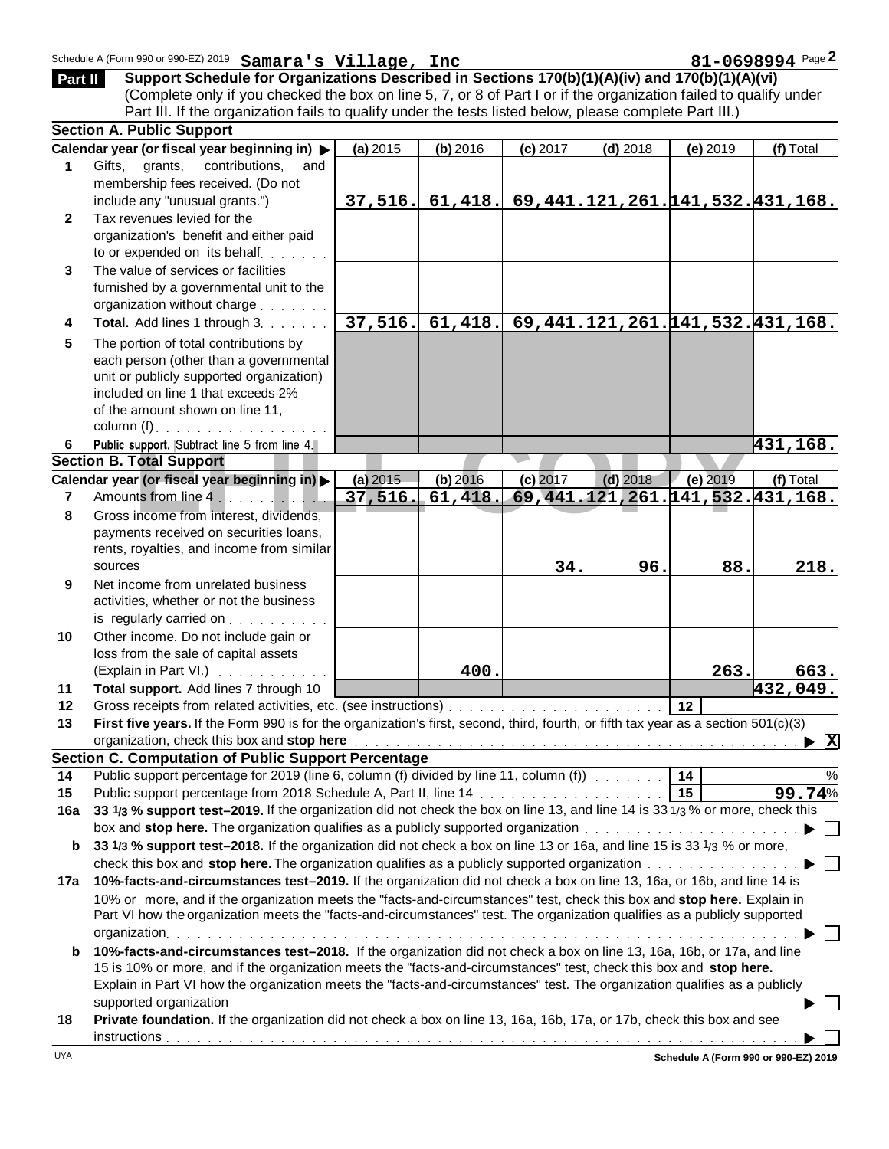| Part II      | Schedule A (Form 990 or 990-EZ) 2019 Samara's Village, Inc<br>Support Schedule for Organizations Described in Sections 170(b)(1)(A)(iv) and 170(b)(1)(A)(vi)<br>(Complete only if you checked the box on line 5, 7, or 8 of Part I or if the organization failed to qualify under                                                                                         |          |            |            |                                        |                 | 81-0698994 Page 2        |
|--------------|---------------------------------------------------------------------------------------------------------------------------------------------------------------------------------------------------------------------------------------------------------------------------------------------------------------------------------------------------------------------------|----------|------------|------------|----------------------------------------|-----------------|--------------------------|
|              | Part III. If the organization fails to qualify under the tests listed below, please complete Part III.)                                                                                                                                                                                                                                                                   |          |            |            |                                        |                 |                          |
|              | <b>Section A. Public Support</b>                                                                                                                                                                                                                                                                                                                                          |          |            |            |                                        |                 |                          |
|              | Calendar year (or fiscal year beginning in) >                                                                                                                                                                                                                                                                                                                             | (a) 2015 | $(b)$ 2016 | $(c)$ 2017 | $(d)$ 2018                             | (e) 2019        | (f) Total                |
| $\mathbf 1$  | Gifts, grants,<br>contributions,<br>and<br>membership fees received. (Do not<br>include any "unusual grants.").                                                                                                                                                                                                                                                           | 37,516.  |            |            |                                        |                 |                          |
| $\mathbf{2}$ | Tax revenues levied for the<br>organization's benefit and either paid                                                                                                                                                                                                                                                                                                     |          | 61,418.    |            | 69,441. 121, 261. 141, 532. 431, 168.  |                 |                          |
| 3            | to or expended on its behalf<br>The value of services or facilities<br>furnished by a governmental unit to the                                                                                                                                                                                                                                                            |          |            |            |                                        |                 |                          |
|              | organization without charge                                                                                                                                                                                                                                                                                                                                               |          |            |            |                                        |                 |                          |
| 4            | Total. Add lines 1 through 3.                                                                                                                                                                                                                                                                                                                                             | 37,516.  | 61,418.    |            | 69, 441. 121, 261. 141, 532. 431, 168. |                 |                          |
| 5            | The portion of total contributions by<br>each person (other than a governmental<br>unit or publicly supported organization)<br>included on line 1 that exceeds 2%<br>of the amount shown on line 11,<br>column $(f)$ .                                                                                                                                                    |          |            |            |                                        |                 |                          |
| 6            | Public support. Subtract line 5 from line 4.                                                                                                                                                                                                                                                                                                                              |          |            |            |                                        |                 | <u>431,168.</u>          |
|              | <b>Section B. Total Support</b>                                                                                                                                                                                                                                                                                                                                           |          |            |            |                                        |                 |                          |
|              | Calendar year (or fiscal year beginning in) >                                                                                                                                                                                                                                                                                                                             | (a) 2015 | (b) 2016   | $(c)$ 2017 | $(d)$ 2018                             | $(e)$ 2019      | (f) Total                |
| 7            | Amounts from line 4.                                                                                                                                                                                                                                                                                                                                                      | 37,516.  | 61,418.    |            | 69, 441. 121, 261. 141, 532. 431, 168. |                 |                          |
| 8            | Gross income from interest, dividends,                                                                                                                                                                                                                                                                                                                                    |          |            |            |                                        |                 |                          |
|              | payments received on securities loans,<br>rents, royalties, and income from similar                                                                                                                                                                                                                                                                                       |          |            |            |                                        |                 |                          |
|              |                                                                                                                                                                                                                                                                                                                                                                           |          |            | 34.        | 96.                                    | 88.             | 218.                     |
| 9            | Net income from unrelated business<br>activities, whether or not the business<br>is regularly carried on $\ldots$                                                                                                                                                                                                                                                         |          |            |            |                                        |                 |                          |
| 10           | Other income. Do not include gain or                                                                                                                                                                                                                                                                                                                                      |          |            |            |                                        |                 |                          |
|              | loss from the sale of capital assets                                                                                                                                                                                                                                                                                                                                      |          |            |            |                                        |                 |                          |
|              | (Explain in Part VI.)                                                                                                                                                                                                                                                                                                                                                     |          | 400.       |            |                                        | 263.            | 663.                     |
| 11           | Total support. Add lines 7 through 10                                                                                                                                                                                                                                                                                                                                     |          |            |            |                                        |                 | 432,049.                 |
| 12           |                                                                                                                                                                                                                                                                                                                                                                           |          |            |            |                                        | 12              |                          |
| 13           | First five years. If the Form 990 is for the organization's first, second, third, fourth, or fifth tax year as a section 501(c)(3)                                                                                                                                                                                                                                        |          |            |            |                                        |                 |                          |
|              | organization, check this box and stop here entering the state of the state of the state of the state of the state of the state of the state of the state of the state of the state of the state of the state of the state of t                                                                                                                                            |          |            |            |                                        |                 |                          |
|              | <b>Section C. Computation of Public Support Percentage</b>                                                                                                                                                                                                                                                                                                                |          |            |            |                                        |                 |                          |
| 14           | Public support percentage for 2019 (line 6, column (f) divided by line 11, column (f)                                                                                                                                                                                                                                                                                     |          |            |            |                                        |                 | $\%$                     |
| 15           |                                                                                                                                                                                                                                                                                                                                                                           |          |            |            |                                        | $\overline{15}$ | 99.74%                   |
| 16a          | 33 1/3 % support test-2019. If the organization did not check the box on line 13, and line 14 is 33 1/3 % or more, check this                                                                                                                                                                                                                                             |          |            |            |                                        |                 |                          |
|              | box and stop here. The organization qualifies as a publicly supported organization produce the contract of the state of $\blacktriangleright$                                                                                                                                                                                                                             |          |            |            |                                        |                 |                          |
| b            | 33 1/3 % support test-2018. If the organization did not check a box on line 13 or 16a, and line 15 is 33 1/3 % or more,<br>check this box and stop here. The organization qualifies as a publicly supported organization                                                                                                                                                  |          |            |            |                                        |                 |                          |
| 17a          | 10%-facts-and-circumstances test-2019. If the organization did not check a box on line 13, 16a, or 16b, and line 14 is                                                                                                                                                                                                                                                    |          |            |            |                                        |                 |                          |
|              | 10% or more, and if the organization meets the "facts-and-circumstances" test, check this box and stop here. Explain in<br>Part VI how the organization meets the "facts-and-circumstances" test. The organization qualifies as a publicly supported                                                                                                                      |          |            |            |                                        |                 |                          |
|              | organization.                                                                                                                                                                                                                                                                                                                                                             |          |            |            |                                        |                 | $\overline{\phantom{a}}$ |
| b            | 10%-facts-and-circumstances test-2018. If the organization did not check a box on line 13, 16a, 16b, or 17a, and line<br>15 is 10% or more, and if the organization meets the "facts-and-circumstances" test, check this box and stop here.<br>Explain in Part VI how the organization meets the "facts-and-circumstances" test. The organization qualifies as a publicly |          |            |            |                                        |                 |                          |
| 18           | Private foundation. If the organization did not check a box on line 13, 16a, 16b, 17a, or 17b, check this box and see                                                                                                                                                                                                                                                     |          |            |            |                                        |                 |                          |
|              |                                                                                                                                                                                                                                                                                                                                                                           |          |            |            |                                        |                 |                          |

**Schedule A (Form 990 or 990-EZ) 2019**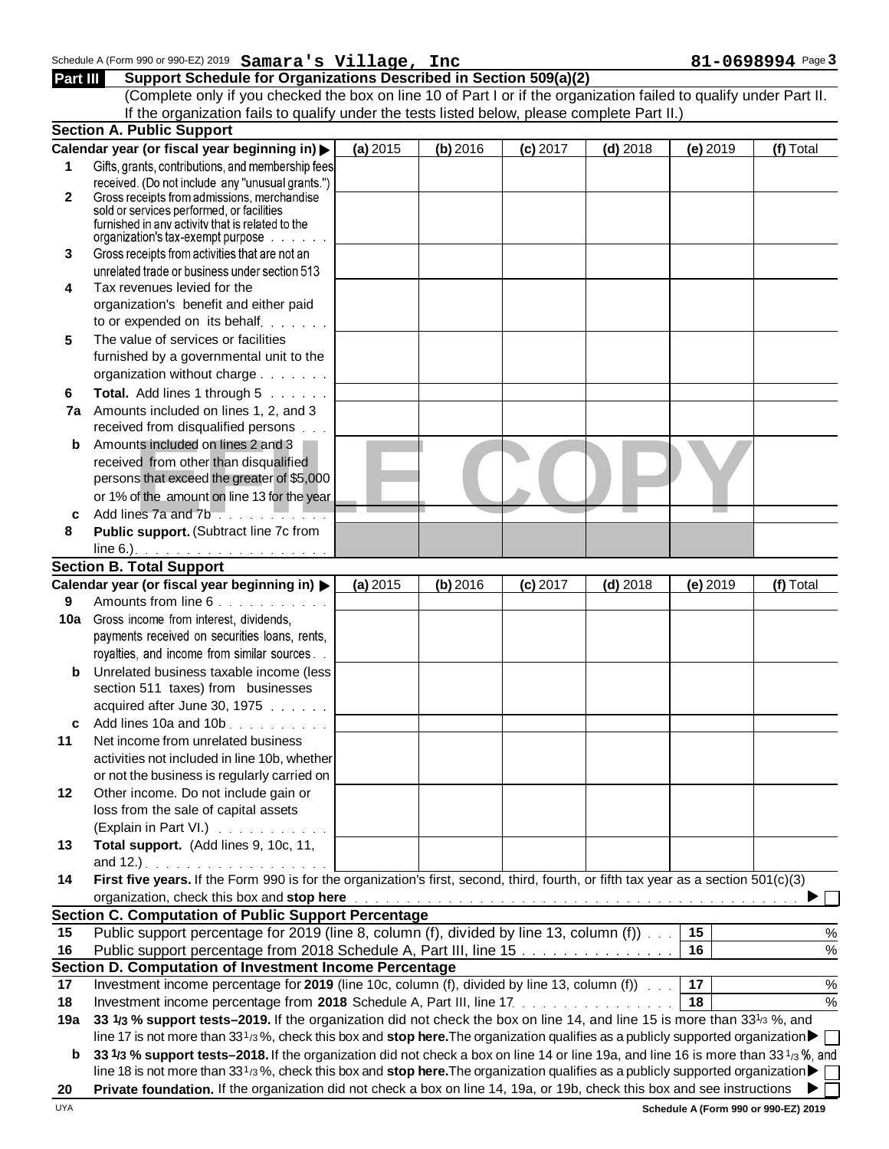## Schedule A (Form 990 or 990-EZ) 2019 **Samara's Village, Inc** 81-0698994 Page 3 **Part III Schedule A (Form 990 or 990-EZ) 2019 Samara's Village, Inc 81-0698994**<br>Part III Support Schedule for Organizations Described in Section 509(a)(2)

(Complete only if you checked the box on line 10 of Part I or if the organization failed to qualify under Part II. If the organization fails to qualify under the tests listed below, please complete Part II.)

|     | <b>Section A. Public Support</b>                                                                                                                                                                                              |          |            |            |            |          |           |
|-----|-------------------------------------------------------------------------------------------------------------------------------------------------------------------------------------------------------------------------------|----------|------------|------------|------------|----------|-----------|
|     | Calendar year (or fiscal year beginning in) >                                                                                                                                                                                 | (a) 2015 | $(b)$ 2016 | $(c)$ 2017 | $(d)$ 2018 | (e) 2019 | (f) Total |
| 1   | Gifts, grants, contributions, and membership fees                                                                                                                                                                             |          |            |            |            |          |           |
|     | received. (Do not include any "unusual grants.")                                                                                                                                                                              |          |            |            |            |          |           |
| 2   | Gross receipts from admissions, merchandise                                                                                                                                                                                   |          |            |            |            |          |           |
|     | sold or services performed, or facilities                                                                                                                                                                                     |          |            |            |            |          |           |
|     | furnished in any activity that is related to the<br>organization's tax-exempt purpose                                                                                                                                         |          |            |            |            |          |           |
| 3   | Gross receipts from activities that are not an                                                                                                                                                                                |          |            |            |            |          |           |
|     | unrelated trade or business under section 513                                                                                                                                                                                 |          |            |            |            |          |           |
| 4   | Tax revenues levied for the                                                                                                                                                                                                   |          |            |            |            |          |           |
|     | organization's benefit and either paid                                                                                                                                                                                        |          |            |            |            |          |           |
|     | to or expended on its behalf                                                                                                                                                                                                  |          |            |            |            |          |           |
| 5   | The value of services or facilities                                                                                                                                                                                           |          |            |            |            |          |           |
|     | furnished by a governmental unit to the                                                                                                                                                                                       |          |            |            |            |          |           |
|     | organization without charge                                                                                                                                                                                                   |          |            |            |            |          |           |
| 6   | Total. Add lines 1 through 5                                                                                                                                                                                                  |          |            |            |            |          |           |
| 7a  | Amounts included on lines 1, 2, and 3                                                                                                                                                                                         |          |            |            |            |          |           |
|     | received from disqualified persons                                                                                                                                                                                            |          |            |            |            |          |           |
| b   | Amounts included on lines 2 and 3                                                                                                                                                                                             |          |            |            |            |          |           |
|     | received from other than disqualified                                                                                                                                                                                         |          |            |            |            |          |           |
|     | persons that exceed the greater of \$5,000                                                                                                                                                                                    |          |            |            |            |          |           |
|     | or 1% of the amount on line 13 for the year                                                                                                                                                                                   |          |            |            |            |          |           |
| c   | Add lines 7a and 7b                                                                                                                                                                                                           |          |            |            |            |          |           |
| 8   | Public support. (Subtract line 7c from                                                                                                                                                                                        |          |            |            |            |          |           |
|     |                                                                                                                                                                                                                               |          |            |            |            |          |           |
|     | <b>Section B. Total Support</b>                                                                                                                                                                                               |          |            |            |            |          |           |
|     | Calendar year (or fiscal year beginning in) ▶                                                                                                                                                                                 | (a) 2015 | $(b)$ 2016 | $(c)$ 2017 | $(d)$ 2018 | (e) 2019 | (f) Total |
| 9   | Amounts from line 6                                                                                                                                                                                                           |          |            |            |            |          |           |
| 10a | Gross income from interest, dividends,                                                                                                                                                                                        |          |            |            |            |          |           |
|     | payments received on securities loans, rents,                                                                                                                                                                                 |          |            |            |            |          |           |
|     | royalties, and income from similar sources                                                                                                                                                                                    |          |            |            |            |          |           |
| b   | Unrelated business taxable income (less                                                                                                                                                                                       |          |            |            |            |          |           |
|     | section 511 taxes) from businesses                                                                                                                                                                                            |          |            |            |            |          |           |
|     | acquired after June 30, 1975                                                                                                                                                                                                  |          |            |            |            |          |           |
| C.  | Add lines 10a and 10b.                                                                                                                                                                                                        |          |            |            |            |          |           |
| 11  | Net income from unrelated business                                                                                                                                                                                            |          |            |            |            |          |           |
|     | activities not included in line 10b, whether                                                                                                                                                                                  |          |            |            |            |          |           |
|     | or not the business is regularly carried on                                                                                                                                                                                   |          |            |            |            |          |           |
| 12  | Other income. Do not include gain or                                                                                                                                                                                          |          |            |            |            |          |           |
|     | loss from the sale of capital assets                                                                                                                                                                                          |          |            |            |            |          |           |
|     | (Explain in Part VI.)                                                                                                                                                                                                         |          |            |            |            |          |           |
| 13  | Total support. (Add lines 9, 10c, 11,                                                                                                                                                                                         |          |            |            |            |          |           |
|     | and $12.$ ).                                                                                                                                                                                                                  |          |            |            |            |          |           |
| 14  | First five years. If the Form 990 is for the organization's first, second, third, fourth, or fifth tax year as a section 501(c)(3)                                                                                            |          |            |            |            |          |           |
|     | organization, check this box and stop here enterpresent and the context of the context of the context of the context of the context of the context of the context of the context of the context of the context of the context |          |            |            |            |          |           |
|     | <b>Section C. Computation of Public Support Percentage</b>                                                                                                                                                                    |          |            |            |            |          |           |
| 15  | Public support percentage for 2019 (line 8, column (f), divided by line 13, column (f))                                                                                                                                       |          |            |            |            | 15       | $\%$      |
| 16  | Public support percentage from 2018 Schedule A, Part III, line 15                                                                                                                                                             |          |            |            |            | 16       | $\%$      |
|     | Section D. Computation of Investment Income Percentage                                                                                                                                                                        |          |            |            |            |          |           |
| 17  | Investment income percentage for 2019 (line 10c, column (f), divided by line 13, column (f))                                                                                                                                  |          |            |            |            | 17       | $\%$      |
| 18  | Investment income percentage from 2018 Schedule A, Part III, line 17.                                                                                                                                                         |          |            |            |            | 18       | %         |
| 19a | 33 1/3 % support tests-2019. If the organization did not check the box on line 14, and line 15 is more than 33 <sup>1/3</sup> %, and                                                                                          |          |            |            |            |          |           |
|     | line 17 is not more than 331/3%, check this box and stop here. The organization qualifies as a publicly supported organization $\blacktriangleright$                                                                          |          |            |            |            |          |           |
| b   | 33 1/3 % support tests-2018. If the organization did not check a box on line 14 or line 19a, and line 16 is more than 33 1/3 %, and                                                                                           |          |            |            |            |          |           |
|     | line 18 is not more than 331/3%, check this box and stop here. The organization qualifies as a publicly supported organization                                                                                                |          |            |            |            |          |           |
| 20  | Private foundation. If the organization did not check a box on line 14, 19a, or 19b, check this box and see instructions                                                                                                      |          |            |            |            |          |           |
|     |                                                                                                                                                                                                                               |          |            |            |            |          |           |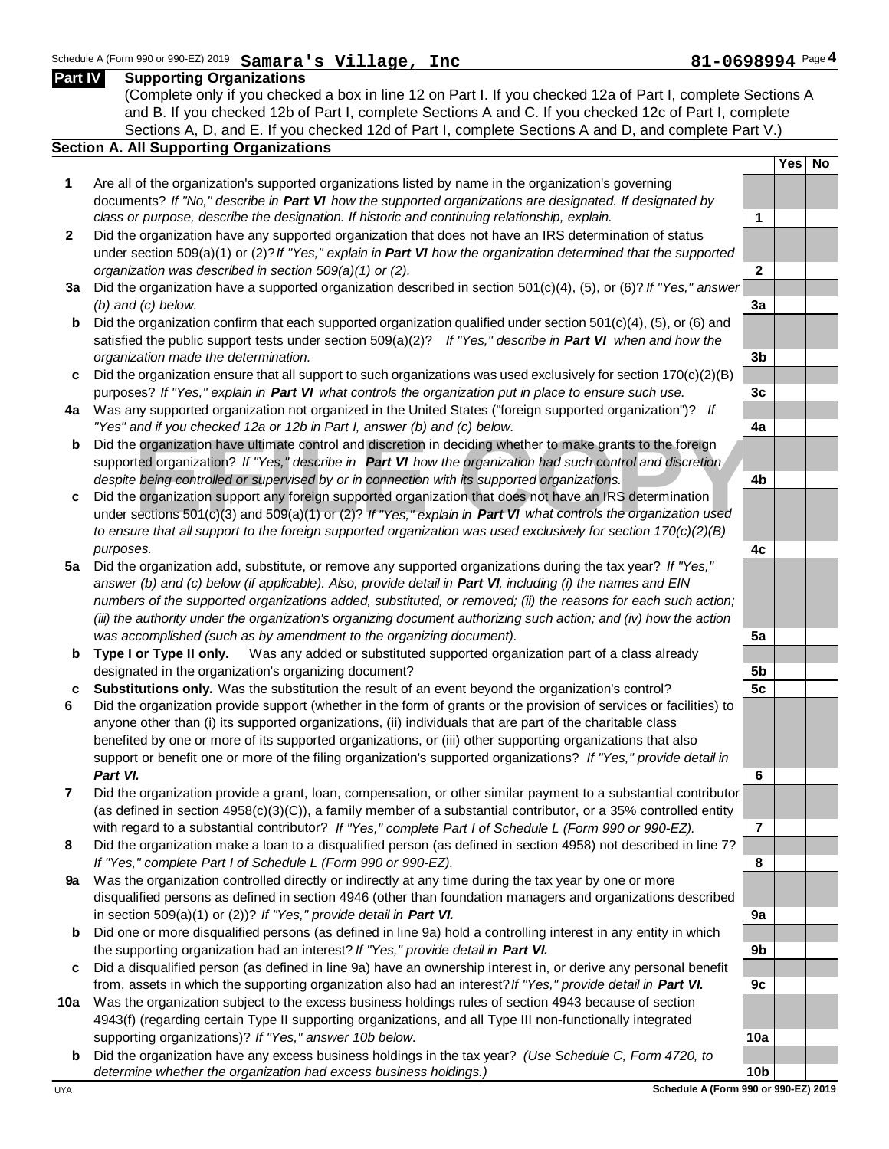### **Example 19 and in your checked 12a or 12b in Fart I, answer (b) and (c) below.**<br>
Did the organization have ultimate control and discretion in deciding whether to make grants to the foreign<br>
supported organization? If "Yes (Complete only if you checked a box in line 12 on Part I. If you checked 12a of Part I, complete Sections A and B. If you checked 12b of Part I, complete Sections A and C. If you checked 12c of Part I, complete Sections A, D, and E. If you checked 12d of Part I, complete Sections A and D, and complete Part V.) **Section A. All Supporting Organizations Yes No 1** Are all of the organization's supported organizations listed by name in the organization's governing documents? *If "No," describe in Part VI how the supported organizations are designated. If designated by class or purpose, describe the designation. If historic and continuing relationship, explain.* **1 2** Did the organization have any supported organization that does not have an IRS determination of status under section 509(a)(1) or (2)? *If "Yes," explain in Part VI how the organization determined that the supported organization was described in section 509(a)(1) or (2).* **2 3a** Did the organization have a supported organization described in section 501(c)(4), (5), or (6)? *If "Yes," answer (b) and (c) below.* **3a b** Did the organization confirm that each supported organization qualified under section 501(c)(4), (5), or (6) and satisfied the public support tests under section 509(a)(2)? *If "Yes," describe in Part VI when and how the organization made the determination.* **3b c** Did the organization ensure that all support to such organizations was used exclusively for section 170(c)(2)(B) purposes? *If "Yes," explain in Part VI what controls the organization put in place to ensure such use.* **3c 4a** Was any supported organization not organized in the United States ("foreign supported organization")? *If "Yes" and if you checked 12a or 12b in Part I, answer (b) and (c) below.* **4a b** Did the organization have ultimate control and discretion in deciding whether to make grants to the foreign supported organization? *If "Yes," describe in Part VI how the organization had such control and discretion despite being controlled or supervised by or in connection with its supported organizations.* **4b c** Did the organization support any foreign supported organization that does not have an IRS determination *to ensure that all support to the foreign supported organization was used exclusively for section 170(c)(2)(B) purposes.* **4c 5a** Did the organization add, substitute, or remove any supported organizations during the tax year? *If "Yes,"*  answer (b) and (c) below (if applicable). Also, provide detail in **Part VI**, including (i) the names and EIN *numbers of the supported organizations added, substituted, or removed; (ii) the reasons for each such action; (iii) the authority under the organization's organizing document authorizing such action; and (iv) how the action was accomplished (such as by amendment to the organizing document).* **5a b Type I or Type II only.** Was any added or substituted supported organization part of a class already designated in the organization's organizing document? **5b c Substitutions only.** Was the substitution the result of an event beyond the organization's control? **5c 6** Did the organization provide support (whether in the form of grants or the provision of services or facilities) to anyone other than (i) its supported organizations, (ii) individuals that are part of the charitable class benefited by one or more of its supported organizations, or (iii) other supporting organizations that also support or benefit one or more of the filing organization's supported organizations? *If "Yes," provide detail in Part VI.* **6 7** Did the organization provide a grant, loan, compensation, or other similar payment to a substantial contributor (as defined in section 4958(c)(3)(C)), a family member of a substantial contributor, or a 35% controlled entity with regard to a substantial contributor? *If "Yes," complete Part I of Schedule L (Form 990 or 990-EZ).* **7 8** Did the organization make a loan to a disqualified person (as defined in section 4958) not described in line 7? *If "Yes," complete Part I of Schedule L (Form 990 or 990-EZ).* **8 9a** Was the organization controlled directly or indirectly at any time during the tax year by one or more disqualified persons as defined in section 4946 (other than foundation managers and organizations described in section 509(a)(1) or (2))? *If "Yes," provide detail in Part VI.* **9a b** Did one or more disqualified persons (as defined in line 9a) hold a controlling interest in any entity in which the supporting organization had an interest? *If "Yes," provide detail in Part VI.* **9b c** Did a disqualified person (as defined in line 9a) have an ownership interest in, or derive any personal benefit from, assets in which the supporting organization also had an interest? *If "Yes," provide detail in Part VI.* **9c 10a** Was the organization subject to the excess business holdings rules of section 4943 because of section 4943(f) (regarding certain Type II supporting organizations, and all Type III non-functionally integrated supporting organizations)? *If "Yes," answer 10b below.* **10a b** Did the organization have any excess business holdings in the tax year? *(Use Schedule C, Form 4720, to determine whether the organization had excess business holdings.)* **10b**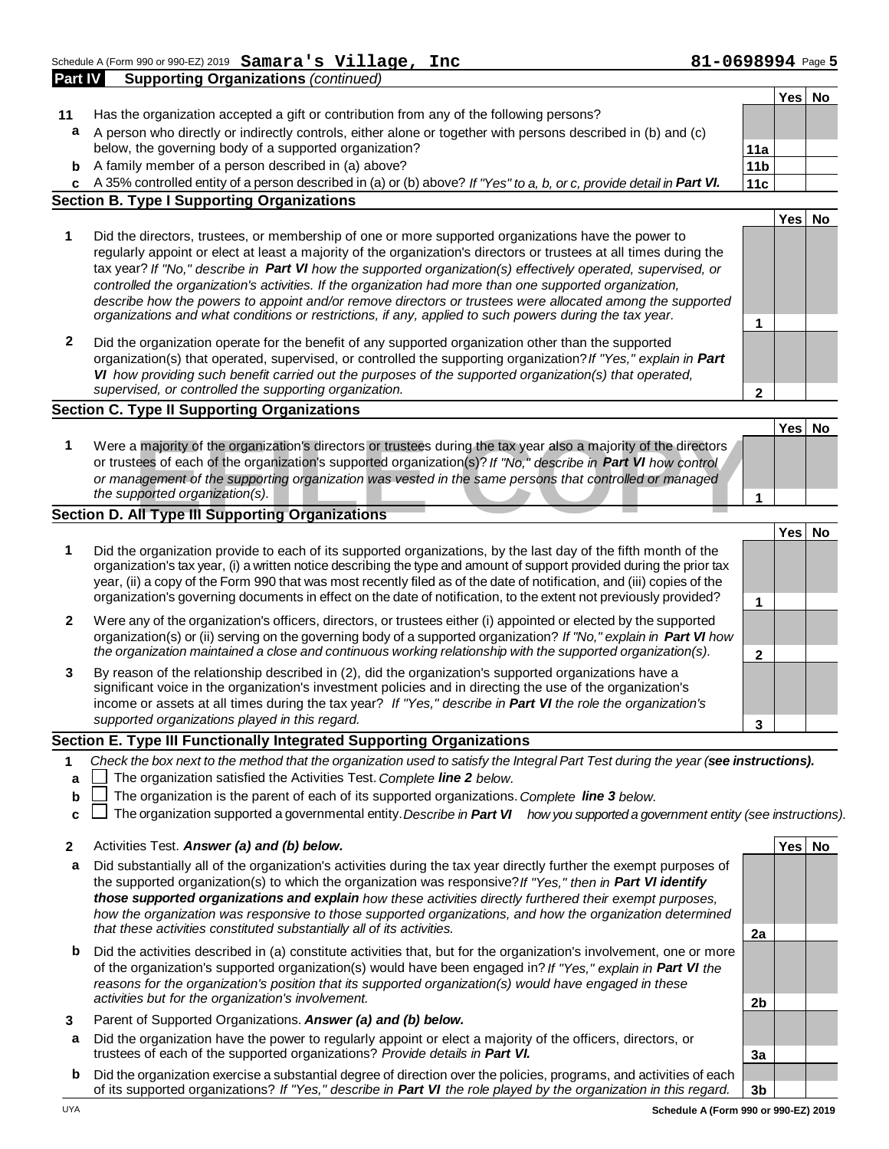Schedule A (Form 990 or 990-EZ) 2019 Samara's Village, Inc **Page 1966 and State B1-0698994** Page 5 **Part IV Supporting Organizations** *(continued)* **Samara's Village, Inc 61-12088994**<br>Prizations (continued)

|              |                                                                                                                                                                  |                      | Yes | No |
|--------------|------------------------------------------------------------------------------------------------------------------------------------------------------------------|----------------------|-----|----|
| 11           | Has the organization accepted a gift or contribution from any of the following persons?                                                                          |                      |     |    |
| a            | A person who directly or indirectly controls, either alone or together with persons described in (b) and (c)                                                     |                      |     |    |
|              | below, the governing body of a supported organization?                                                                                                           | 11a                  |     |    |
| b            | A family member of a person described in (a) above?                                                                                                              | 11 <sub>b</sub>      |     |    |
| c.           | A 35% controlled entity of a person described in (a) or (b) above? If "Yes" to a, b, or c, provide detail in Part VI.                                            | 11c                  |     |    |
|              | <b>Section B. Type I Supporting Organizations</b>                                                                                                                |                      |     |    |
|              |                                                                                                                                                                  |                      | Yes | No |
| 1            | Did the directors, trustees, or membership of one or more supported organizations have the power to                                                              |                      |     |    |
|              | regularly appoint or elect at least a majority of the organization's directors or trustees at all times during the                                               |                      |     |    |
|              | tax year? If "No," describe in Part VI how the supported organization(s) effectively operated, supervised, or                                                    |                      |     |    |
|              | controlled the organization's activities. If the organization had more than one supported organization,                                                          |                      |     |    |
|              | describe how the powers to appoint and/or remove directors or trustees were allocated among the supported                                                        |                      |     |    |
|              | organizations and what conditions or restrictions, if any, applied to such powers during the tax year.                                                           | 1                    |     |    |
|              |                                                                                                                                                                  |                      |     |    |
| $\mathbf{2}$ | Did the organization operate for the benefit of any supported organization other than the supported                                                              |                      |     |    |
|              | organization(s) that operated, supervised, or controlled the supporting organization? If "Yes," explain in Part                                                  |                      |     |    |
|              | VI how providing such benefit carried out the purposes of the supported organization(s) that operated,<br>supervised, or controlled the supporting organization. |                      |     |    |
|              |                                                                                                                                                                  | $\overline{2}$       |     |    |
|              | <b>Section C. Type II Supporting Organizations</b>                                                                                                               |                      |     |    |
|              |                                                                                                                                                                  |                      | Yes | No |
| 1            | Were a majority of the organization's directors or trustees during the tax year also a majority of the directors                                                 |                      |     |    |
|              | or trustees of each of the organization's supported organization(s)? If "No," describe in Part VI how control                                                    |                      |     |    |
|              | or management of the supporting organization was vested in the same persons that controlled or managed                                                           |                      |     |    |
|              | the supported organization(s).                                                                                                                                   |                      |     |    |
|              | Section D. All Type III Supporting Organizations                                                                                                                 |                      |     |    |
|              |                                                                                                                                                                  |                      | Yes | No |
| 1            | Did the organization provide to each of its supported organizations, by the last day of the fifth month of the                                                   |                      |     |    |
|              | organization's tax year, (i) a written notice describing the type and amount of support provided during the prior tax                                            |                      |     |    |
|              | year, (ii) a copy of the Form 990 that was most recently filed as of the date of notification, and (iii) copies of the                                           |                      |     |    |
|              | organization's governing documents in effect on the date of notification, to the extent not previously provided?                                                 | $\blacktriangleleft$ |     |    |

- **2** Were any of the organization's officers, directors, or trustees either (i) appointed or elected by the supported organization(s) or (ii) serving on the governing body of a supported organization? *If "No," explain in Part VI how the organization maintained a close and continuous working relationship with the supported organization(s).* **2**
- **3** By reason of the relationship described in (2), did the organization's supported organizations have a significant voice in the organization's investment policies and in directing the use of the organization's income or assets at all times during the tax year? *If "Yes," describe in Part VI the role the organization's supported organizations played in this regard.* **3**

#### **Section E. Type III Functionally Integrated Supporting Organizations**

- **1** *Check the box next to the method that the organization used to satisfy the Integral Part Test during the year ( see instructions).*
- **a** The organization satisfied the Activities Test. *Complete line 2 below.*
- **b** The organization is the parent of each of its supported organizations. *Complete line 3 below.*
- **c** └┘ The organization supported a governmental entity. *Describe in Part Ⅶ how you supported a government entity (see instructions).*
- **2** Activities Test. *Answer (a) and (b) below.* **Yes No**
- **a** Did substantially all of the organization's activities during the tax year directly further the exempt purposes of the supported organization(s) to which the organization was responsive? *If "Yes," then in Part VI identify those supported organizations and explain how these activities directly furthered their exempt purposes,*  how the organization was responsive to those supported organizations, and how the organization determined *that these activities constituted substantially all of its activities.* **2a**
- **b** Did the activities described in (a) constitute activities that, but for the organization's involvement, one or more of the organization's supported organization(s) would have been engaged in? *If "Yes," explain in Part VI the reasons for the organization's position that its supported organization(s) would have engaged in these activities but for the organization's involvement.* **2b**
- **3** Parent of Supported Organizations. *Answer (a) and (b) below.*
- **a** Did the organization have the power to regularly appoint or elect a majority of the officers, directors, or trustees of each of the supported organizations? *Provide details in Part VI.* **3a**
- **b** Did the organization exercise a substantial degree of direction over the policies, programs, and activities of each of its supported organizations? *If "Yes," describe in Part VI the role played by the organization in this regard.* **3b**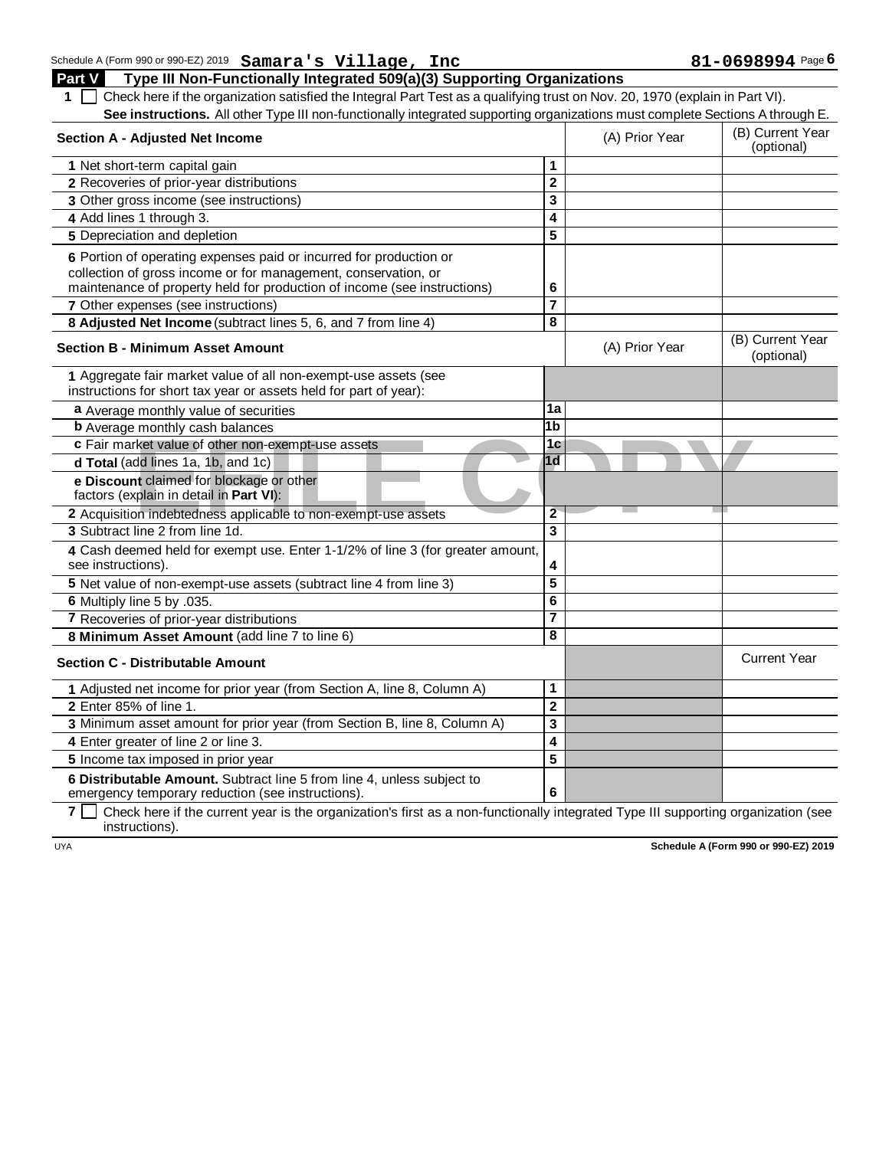## Schedule A (Form 990 or 990-EZ) 2019 **Samara's Village, Inc**  $\blacksquare$  **81 10698994** Page **6** Samara's Village, Inc<br>Cipitally Integrated 509(a)(3) Supporting Organizations<br>Cipitally Integrated 509(a)(3) Supporting Organizations

**Part V Type III Non-Functionally Integrated 509(a)(3) Supporting Organizations**  1 **1** Check here if the organization satisfied the Integral Part Test as a qualifying trust on Nov. 20, 1970 (explain in Part VI). See instructions. All other Type III non-functionally integrated supporting organizations must complete Sections A through E.

| Section A - Adjusted Net Income                                                                                                      |                         | (A) Prior Year | (B) Current Year<br>(optional) |
|--------------------------------------------------------------------------------------------------------------------------------------|-------------------------|----------------|--------------------------------|
| 1 Net short-term capital gain                                                                                                        | 1                       |                |                                |
| 2 Recoveries of prior-year distributions                                                                                             | $\overline{2}$          |                |                                |
| 3 Other gross income (see instructions)                                                                                              | 3                       |                |                                |
| 4 Add lines 1 through 3.                                                                                                             | 4                       |                |                                |
| 5 Depreciation and depletion                                                                                                         | $\overline{5}$          |                |                                |
| 6 Portion of operating expenses paid or incurred for production or                                                                   |                         |                |                                |
| collection of gross income or for management, conservation, or                                                                       |                         |                |                                |
| maintenance of property held for production of income (see instructions)                                                             | 6                       |                |                                |
| 7 Other expenses (see instructions)                                                                                                  | $\overline{\mathbf{7}}$ |                |                                |
| 8 Adjusted Net Income (subtract lines 5, 6, and 7 from line 4)                                                                       | $\overline{\mathbf{8}}$ |                |                                |
| <b>Section B - Minimum Asset Amount</b>                                                                                              |                         | (A) Prior Year | (B) Current Year<br>(optional) |
| 1 Aggregate fair market value of all non-exempt-use assets (see<br>instructions for short tax year or assets held for part of year): |                         |                |                                |
| a Average monthly value of securities                                                                                                | 1a                      |                |                                |
| <b>b</b> Average monthly cash balances                                                                                               | $\overline{1}$          |                |                                |
| c Fair market value of other non-exempt-use assets                                                                                   | 1 <sub>c</sub>          |                |                                |
| d Total (add lines 1a, 1b, and 1c)                                                                                                   | $\overline{1d}$         |                |                                |
| e Discount claimed for blockage or other<br>factors (explain in detail in Part VI):                                                  |                         |                |                                |
| 2 Acquisition indebtedness applicable to non-exempt-use assets                                                                       | $\overline{2}$          |                |                                |
| 3 Subtract line 2 from line 1d.                                                                                                      | $\overline{3}$          |                |                                |
| 4 Cash deemed held for exempt use. Enter 1-1/2% of line 3 (for greater amount,<br>see instructions).                                 | 4                       |                |                                |
| 5 Net value of non-exempt-use assets (subtract line 4 from line 3)                                                                   | $\overline{5}$          |                |                                |
| 6 Multiply line 5 by .035.                                                                                                           | $\overline{\mathbf{6}}$ |                |                                |
| 7 Recoveries of prior-year distributions                                                                                             | 7                       |                |                                |
| 8 Minimum Asset Amount (add line 7 to line 6)                                                                                        | 8                       |                |                                |
| <b>Section C - Distributable Amount</b>                                                                                              |                         |                | <b>Current Year</b>            |
| 1 Adjusted net income for prior year (from Section A, line 8, Column A)                                                              | 1                       |                |                                |
| 2 Enter 85% of line 1.                                                                                                               | $\overline{\mathbf{2}}$ |                |                                |
| 3 Minimum asset amount for prior year (from Section B, line 8, Column A)                                                             | 3                       |                |                                |
| 4 Enter greater of line 2 or line 3.                                                                                                 | 4                       |                |                                |
| 5 Income tax imposed in prior year                                                                                                   | 5                       |                |                                |
| 6 Distributable Amount. Subtract line 5 from line 4, unless subject to<br>emergency temporary reduction (see instructions).          | 6                       |                |                                |
|                                                                                                                                      |                         |                |                                |

**7**  $\Box$  Check here if the current year is the organization's first as a non-functionally integrated Type III supporting organization (see instructions).

UYA **Schedule A (Form 990 or 990-EZ) 2019**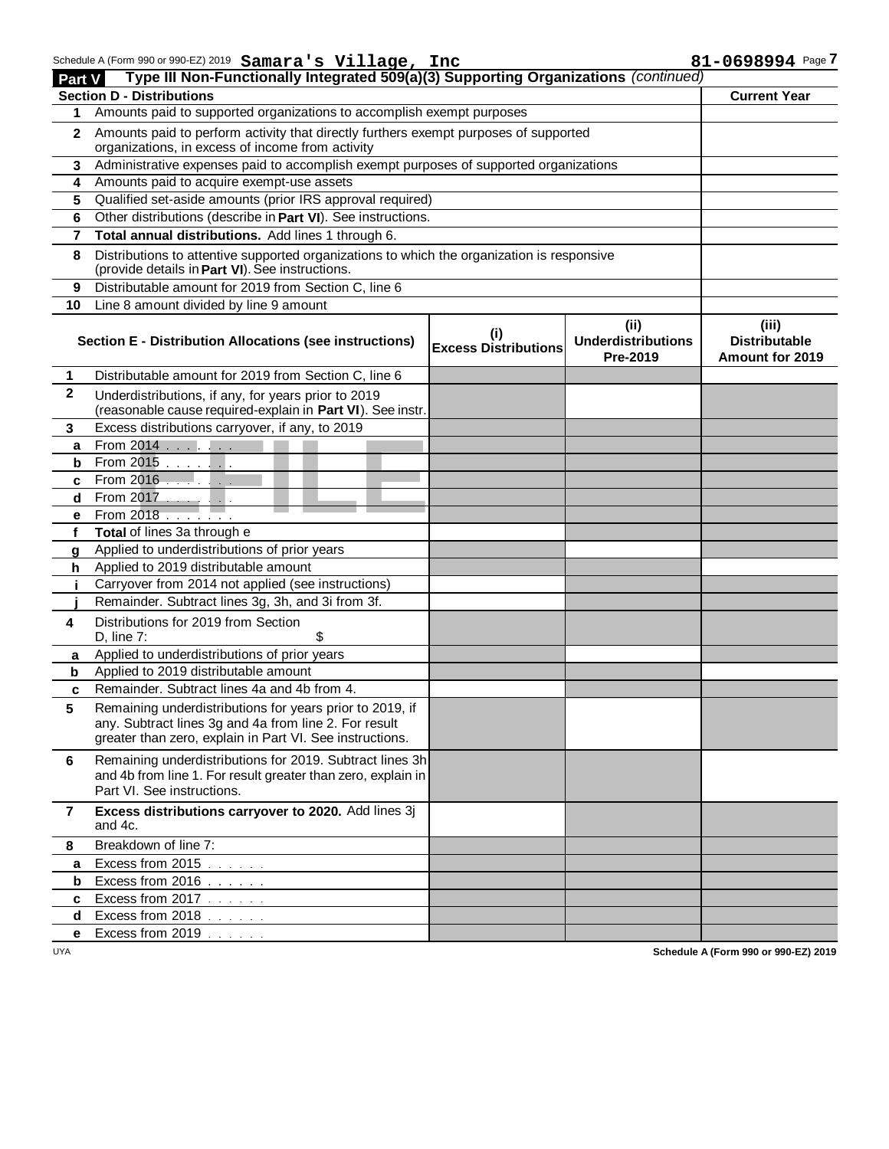| Part V       | Schedule A (Form 990 or 990-EZ) 2019 Samara's Village, Inc<br>Type III Non-Functionally Integrated 509(a)(3) Supporting Organizations (continued)                             |                                    |                                               | 81-0698994 Page 7                                |
|--------------|-------------------------------------------------------------------------------------------------------------------------------------------------------------------------------|------------------------------------|-----------------------------------------------|--------------------------------------------------|
|              | <b>Section D - Distributions</b>                                                                                                                                              |                                    |                                               | <b>Current Year</b>                              |
| 1            | Amounts paid to supported organizations to accomplish exempt purposes                                                                                                         |                                    |                                               |                                                  |
| $\mathbf{2}$ | Amounts paid to perform activity that directly furthers exempt purposes of supported<br>organizations, in excess of income from activity                                      |                                    |                                               |                                                  |
|              | 3 Administrative expenses paid to accomplish exempt purposes of supported organizations                                                                                       |                                    |                                               |                                                  |
| 4            | Amounts paid to acquire exempt-use assets                                                                                                                                     |                                    |                                               |                                                  |
| 5            | Qualified set-aside amounts (prior IRS approval required)                                                                                                                     |                                    |                                               |                                                  |
| 6            | Other distributions (describe in Part VI). See instructions.                                                                                                                  |                                    |                                               |                                                  |
| 7            | Total annual distributions. Add lines 1 through 6.                                                                                                                            |                                    |                                               |                                                  |
| 8            | Distributions to attentive supported organizations to which the organization is responsive<br>(provide details in Part VI). See instructions.                                 |                                    |                                               |                                                  |
| 9            | Distributable amount for 2019 from Section C, line 6                                                                                                                          |                                    |                                               |                                                  |
| 10           | Line 8 amount divided by line 9 amount                                                                                                                                        |                                    |                                               |                                                  |
|              | <b>Section E - Distribution Allocations (see instructions)</b>                                                                                                                | (i)<br><b>Excess Distributions</b> | (ii)<br><b>Underdistributions</b><br>Pre-2019 | (iii)<br><b>Distributable</b><br>Amount for 2019 |
| 1            | Distributable amount for 2019 from Section C, line 6                                                                                                                          |                                    |                                               |                                                  |
| $\mathbf{2}$ | Underdistributions, if any, for years prior to 2019<br>(reasonable cause required-explain in Part VI). See instr.                                                             |                                    |                                               |                                                  |
| 3            | Excess distributions carryover, if any, to 2019                                                                                                                               |                                    |                                               |                                                  |
| a            | From 2014                                                                                                                                                                     |                                    |                                               |                                                  |
| b            | From 2015                                                                                                                                                                     |                                    |                                               |                                                  |
| c            | From 2016 $\ldots$                                                                                                                                                            |                                    |                                               |                                                  |
| d            | From 2017                                                                                                                                                                     |                                    |                                               |                                                  |
| e            | From 2018                                                                                                                                                                     |                                    |                                               |                                                  |
| f            | Total of lines 3a through e                                                                                                                                                   |                                    |                                               |                                                  |
| a            | Applied to underdistributions of prior years                                                                                                                                  |                                    |                                               |                                                  |
| h.           | Applied to 2019 distributable amount                                                                                                                                          |                                    |                                               |                                                  |
|              | Carryover from 2014 not applied (see instructions)                                                                                                                            |                                    |                                               |                                                  |
|              | Remainder. Subtract lines 3g, 3h, and 3i from 3f.                                                                                                                             |                                    |                                               |                                                  |
| 4            | Distributions for 2019 from Section<br>D, line $7:$<br>\$                                                                                                                     |                                    |                                               |                                                  |
| a            | Applied to underdistributions of prior years                                                                                                                                  |                                    |                                               |                                                  |
| b            | Applied to 2019 distributable amount                                                                                                                                          |                                    |                                               |                                                  |
| C            | Remainder. Subtract lines 4a and 4b from 4.                                                                                                                                   |                                    |                                               |                                                  |
| 5            | Remaining underdistributions for years prior to 2019, if<br>any. Subtract lines 3g and 4a from line 2. For result<br>greater than zero, explain in Part VI. See instructions. |                                    |                                               |                                                  |
| 6            | Remaining underdistributions for 2019. Subtract lines 3h<br>and 4b from line 1. For result greater than zero, explain in<br>Part VI. See instructions.                        |                                    |                                               |                                                  |
| 7            | Excess distributions carryover to 2020. Add lines 3j<br>and 4c.                                                                                                               |                                    |                                               |                                                  |
| 8            | Breakdown of line 7:                                                                                                                                                          |                                    |                                               |                                                  |
| a            | Excess from 2015                                                                                                                                                              |                                    |                                               |                                                  |
| b            | Excess from 2016                                                                                                                                                              |                                    |                                               |                                                  |
| c            | Excess from 2017                                                                                                                                                              |                                    |                                               |                                                  |
| d            | Excess from 2018                                                                                                                                                              |                                    |                                               |                                                  |
| е            | Excess from 2019                                                                                                                                                              |                                    |                                               |                                                  |

UYA **Schedule A (Form 990 or 990-EZ) 2019**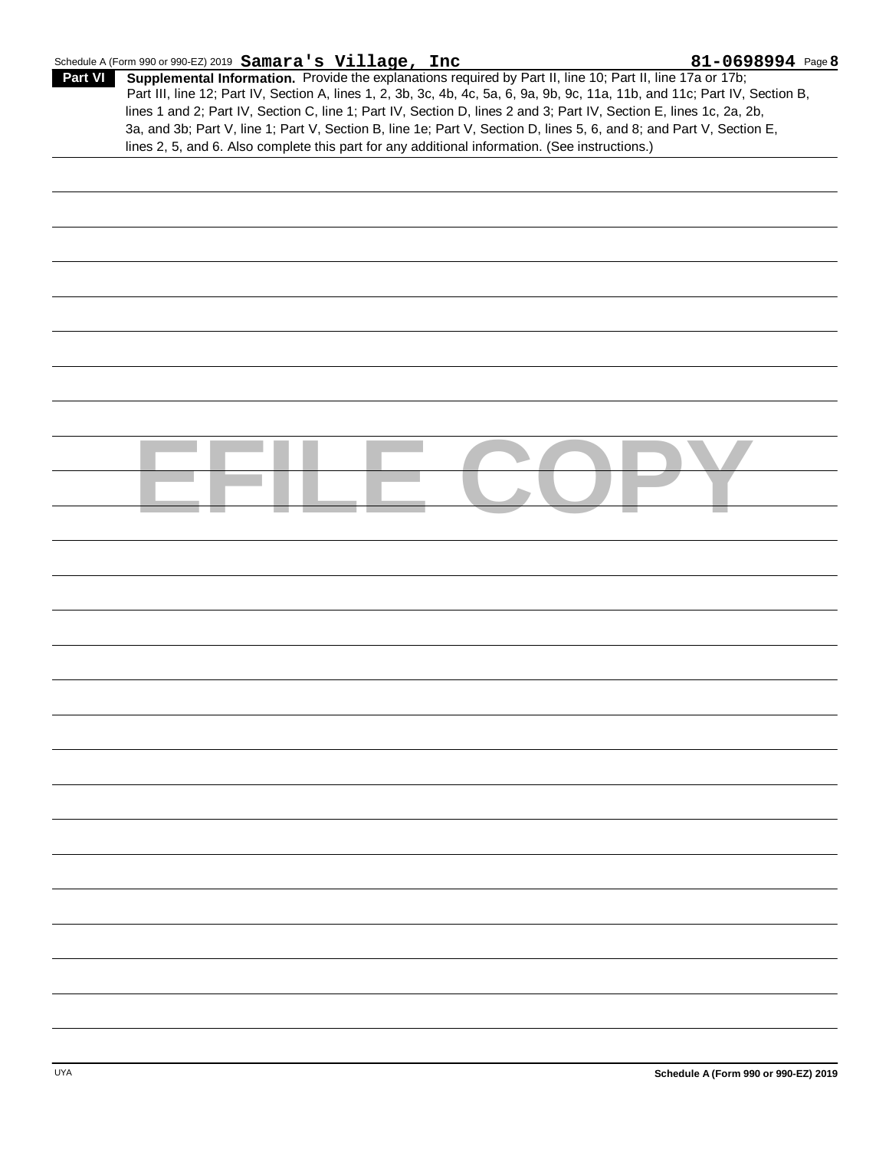|         | Schedule A (Form 990 or 990-EZ) 2019 $\texttt{Samara's Village}$ , Inc                                                       | $81 - 0698994$ Page 8 |
|---------|------------------------------------------------------------------------------------------------------------------------------|-----------------------|
| Part VI | <b>Supplemental Information.</b> Provide the explanations required by Part II, line 10; Part II, line 17a or 17b;            |                       |
|         | Part III, line 12; Part IV, Section A, lines 1, 2, 3b, 3c, 4b, 4c, 5a, 6, 9a, 9b, 9c, 11a, 11b, and 11c; Part IV, Section B, |                       |
|         | lines 1 and 2; Part IV, Section C, line 1; Part IV, Section D, lines 2 and 3; Part IV, Section E, lines 1c, 2a, 2b,          |                       |
|         | 3a, and 3b; Part V, line 1; Part V, Section B, line 1e; Part V, Section D, lines 5, 6, and 8; and Part V, Section E,         |                       |
|         | lines 2, 5, and 6. Also complete this part for any additional information. (See instructions.)                               |                       |

| п |
|---|
|   |
|   |
|   |
|   |
|   |
|   |
|   |
|   |
|   |
|   |
|   |
|   |
|   |
|   |
|   |
|   |
|   |
|   |
|   |
|   |
|   |
|   |
|   |
|   |
|   |
|   |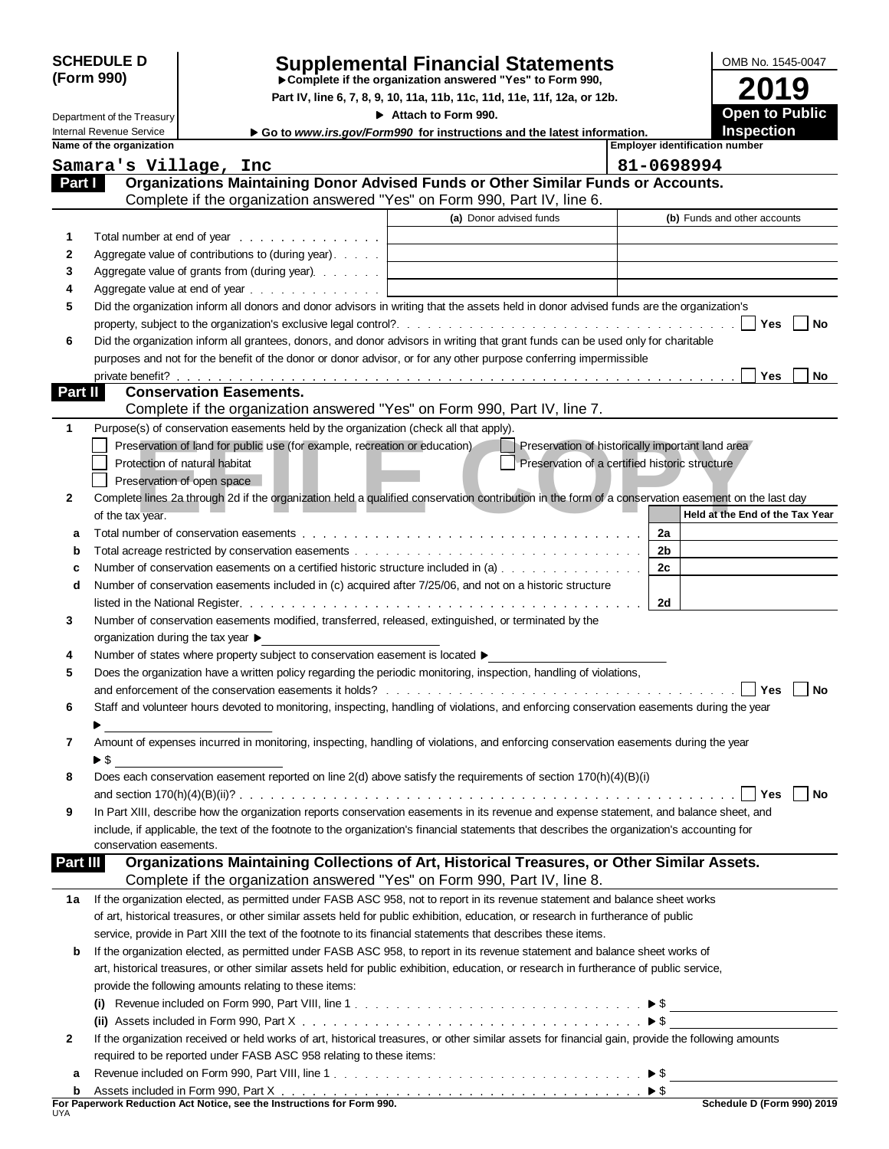| <b>SCHEDULE D</b> |  |
|-------------------|--|
| (Form 990)        |  |

Department of the Treasury

### **Supplemental Financial Statements Complete if the organization answered "Yes" to Form 990,**

**Part IV, line 6, 7, 8, 9, 10, 11a, 11b, 11c, 11d, 11e, 11f, 12a, or 12b.**

**Attach to Form 990.**

**2019 Open to Public Inspection**

OMB No. 1545-0047

|              | Internal Revenue Service                                                              | ► Go to www.irs.gov/Form990 for instructions and the latest information.                                                                               |                                                |                                       | <b>Inspection</b> |      |
|--------------|---------------------------------------------------------------------------------------|--------------------------------------------------------------------------------------------------------------------------------------------------------|------------------------------------------------|---------------------------------------|-------------------|------|
|              | Name of the organization                                                              |                                                                                                                                                        |                                                | <b>Employer identification number</b> |                   |      |
|              | Samara's Village, Inc                                                                 |                                                                                                                                                        | 81-0698994                                     |                                       |                   |      |
| Part I       |                                                                                       | Organizations Maintaining Donor Advised Funds or Other Similar Funds or Accounts.                                                                      |                                                |                                       |                   |      |
|              |                                                                                       | Complete if the organization answered "Yes" on Form 990, Part IV, line 6.                                                                              |                                                |                                       |                   |      |
|              |                                                                                       | (a) Donor advised funds                                                                                                                                |                                                | (b) Funds and other accounts          |                   |      |
| 1            | Total number at end of year                                                           |                                                                                                                                                        |                                                |                                       |                   |      |
| 2            | Aggregate value of contributions to (during year).                                    |                                                                                                                                                        |                                                |                                       |                   |      |
| 3            | Aggregate value of grants from (during year).                                         | the control of the control of the control of the control of the control of                                                                             |                                                |                                       |                   |      |
| 4            |                                                                                       |                                                                                                                                                        |                                                |                                       |                   |      |
| 5            |                                                                                       | Did the organization inform all donors and donor advisors in writing that the assets held in donor advised funds are the organization's                |                                                |                                       |                   |      |
|              |                                                                                       |                                                                                                                                                        |                                                |                                       | $ $ $ $ Yes       | No   |
| 6            |                                                                                       | Did the organization inform all grantees, donors, and donor advisors in writing that grant funds can be used only for charitable                       |                                                |                                       |                   |      |
|              |                                                                                       | purposes and not for the benefit of the donor or donor advisor, or for any other purpose conferring impermissible                                      |                                                |                                       |                   |      |
|              |                                                                                       |                                                                                                                                                        |                                                |                                       |                   | No   |
| Part II      | <b>Conservation Easements.</b>                                                        |                                                                                                                                                        |                                                |                                       |                   |      |
|              |                                                                                       | Complete if the organization answered "Yes" on Form 990, Part IV, line 7.                                                                              |                                                |                                       |                   |      |
| 1            | Purpose(s) of conservation easements held by the organization (check all that apply). |                                                                                                                                                        |                                                |                                       |                   |      |
|              | Preservation of land for public use (for example, recreation or education)            | Preservation of historically important land area                                                                                                       |                                                |                                       |                   |      |
|              | Protection of natural habitat                                                         |                                                                                                                                                        | Preservation of a certified historic structure |                                       |                   |      |
|              | Preservation of open space                                                            |                                                                                                                                                        |                                                |                                       |                   |      |
| $\mathbf{2}$ |                                                                                       | Complete lines 2a through 2d if the organization held a qualified conservation contribution in the form of a conservation easement on the last day     |                                                |                                       |                   |      |
|              | of the tax year.                                                                      |                                                                                                                                                        |                                                | Held at the End of the Tax Year       |                   |      |
| a            |                                                                                       |                                                                                                                                                        | 2a                                             |                                       |                   |      |
|              |                                                                                       |                                                                                                                                                        | 2b                                             |                                       |                   |      |
|              |                                                                                       | Number of conservation easements on a certified historic structure included in (a)                                                                     | 2c                                             |                                       |                   |      |
| d            |                                                                                       | Number of conservation easements included in (c) acquired after 7/25/06, and not on a historic structure                                               |                                                |                                       |                   |      |
|              |                                                                                       |                                                                                                                                                        | 2d                                             |                                       |                   |      |
| 3            |                                                                                       | Number of conservation easements modified, transferred, released, extinguished, or terminated by the                                                   |                                                |                                       |                   |      |
|              | organization during the tax year ▶                                                    |                                                                                                                                                        |                                                |                                       |                   |      |
| 4            | Number of states where property subject to conservation easement is located ▶         |                                                                                                                                                        |                                                |                                       |                   |      |
| 5            |                                                                                       | Does the organization have a written policy regarding the periodic monitoring, inspection, handling of violations,                                     |                                                |                                       |                   |      |
|              |                                                                                       |                                                                                                                                                        |                                                |                                       | Yes               | l No |
| 6            |                                                                                       | Staff and volunteer hours devoted to monitoring, inspecting, handling of violations, and enforcing conservation easements during the year              |                                                |                                       |                   |      |
|              |                                                                                       |                                                                                                                                                        |                                                |                                       |                   |      |
| 7            |                                                                                       | Amount of expenses incurred in monitoring, inspecting, handling of violations, and enforcing conservation easements during the year                    |                                                |                                       |                   |      |
|              | $\blacktriangleright$ \$                                                              |                                                                                                                                                        |                                                |                                       |                   |      |
|              |                                                                                       | Does each conservation easement reported on line 2(d) above satisfy the requirements of section 170(h)(4)(B)(i)                                        |                                                |                                       |                   |      |
|              |                                                                                       |                                                                                                                                                        |                                                |                                       | l Yes             | No   |
| 9            |                                                                                       | In Part XIII, describe how the organization reports conservation easements in its revenue and expense statement, and balance sheet, and                |                                                |                                       |                   |      |
|              |                                                                                       | include, if applicable, the text of the footnote to the organization's financial statements that describes the organization's accounting for           |                                                |                                       |                   |      |
|              | conservation easements.                                                               |                                                                                                                                                        |                                                |                                       |                   |      |
| Part III     |                                                                                       | Organizations Maintaining Collections of Art, Historical Treasures, or Other Similar Assets.                                                           |                                                |                                       |                   |      |
|              |                                                                                       | Complete if the organization answered "Yes" on Form 990, Part IV, line 8.                                                                              |                                                |                                       |                   |      |
| 1а           |                                                                                       | If the organization elected, as permitted under FASB ASC 958, not to report in its revenue statement and balance sheet works                           |                                                |                                       |                   |      |
|              |                                                                                       | of art, historical treasures, or other similar assets held for public exhibition, education, or research in furtherance of public                      |                                                |                                       |                   |      |
|              |                                                                                       | service, provide in Part XIII the text of the footnote to its financial statements that describes these items.                                         |                                                |                                       |                   |      |
| b            |                                                                                       | If the organization elected, as permitted under FASB ASC 958, to report in its revenue statement and balance sheet works of                            |                                                |                                       |                   |      |
|              |                                                                                       | art, historical treasures, or other similar assets held for public exhibition, education, or research in furtherance of public service,                |                                                |                                       |                   |      |
|              | provide the following amounts relating to these items:                                |                                                                                                                                                        |                                                |                                       |                   |      |
|              | $\mathbf{u}$                                                                          |                                                                                                                                                        |                                                |                                       |                   |      |
|              |                                                                                       |                                                                                                                                                        |                                                |                                       |                   |      |
| 2            |                                                                                       | If the organization received or held works of art, historical treasures, or other similar assets for financial gain, provide the following amounts     |                                                |                                       |                   |      |
|              | required to be reported under FASB ASC 958 relating to these items:                   |                                                                                                                                                        |                                                |                                       |                   |      |
| а            |                                                                                       |                                                                                                                                                        |                                                |                                       |                   |      |
| b            |                                                                                       | Assets included in Form 990, Part $X_1, \ldots, X_n, \ldots, X_n, \ldots, X_n, \ldots, \ldots, \ldots, \ldots, \ldots, \ldots, \blacktriangleright$ \$ |                                                |                                       |                   |      |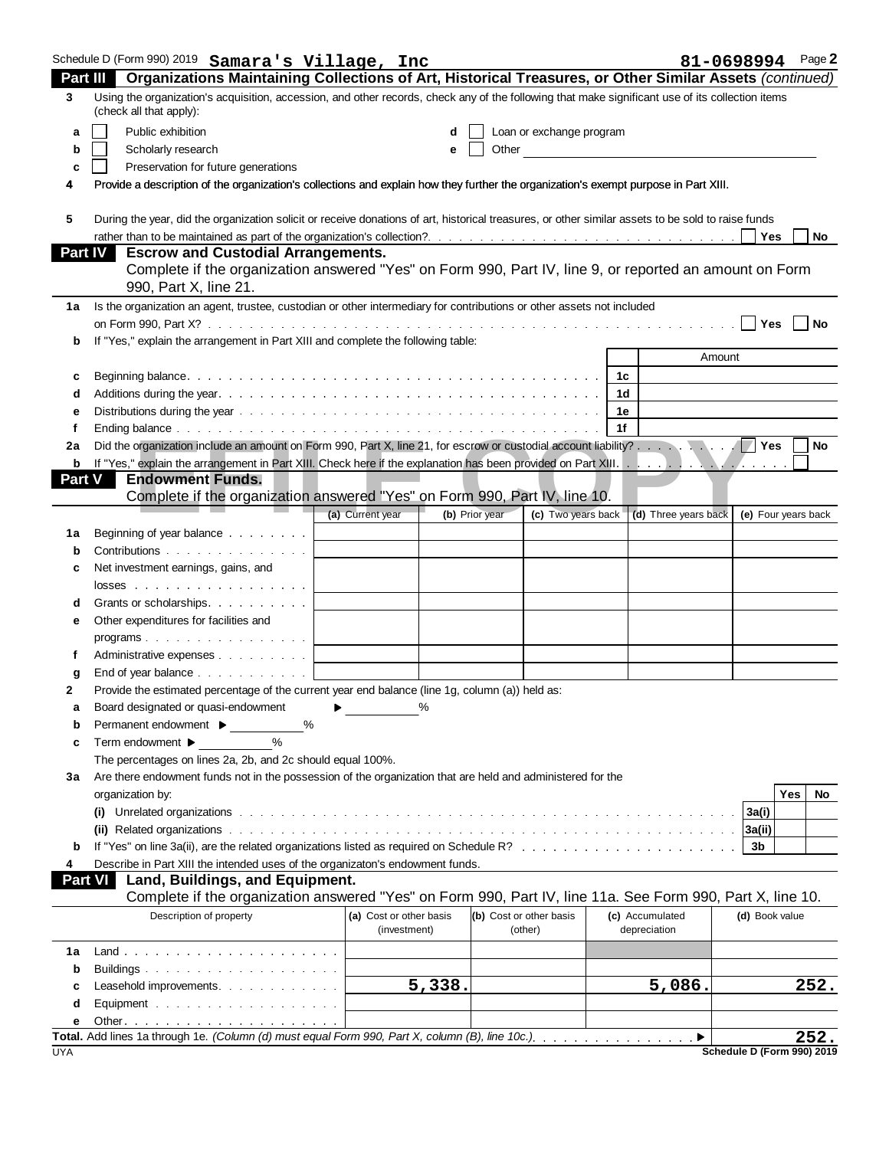|                | Schedule D (Form 990) 2019 Samara's Village, Inc                                                                                                                                                                                                                     |                                         |                                      |    |                                 | 81-0698994                 | Page 2    |
|----------------|----------------------------------------------------------------------------------------------------------------------------------------------------------------------------------------------------------------------------------------------------------------------|-----------------------------------------|--------------------------------------|----|---------------------------------|----------------------------|-----------|
| 3              | Part III Organizations Maintaining Collections of Art, Historical Treasures, or Other Similar Assets (continued)<br>Using the organization's acquisition, accession, and other records, check any of the following that make significant use of its collection items |                                         |                                      |    |                                 |                            |           |
|                | (check all that apply):                                                                                                                                                                                                                                              |                                         |                                      |    |                                 |                            |           |
| a              | Public exhibition                                                                                                                                                                                                                                                    | d                                       | Loan or exchange program             |    |                                 |                            |           |
| b              | Scholarly research                                                                                                                                                                                                                                                   | е                                       | Other                                |    |                                 |                            |           |
| c              | Preservation for future generations                                                                                                                                                                                                                                  |                                         |                                      |    |                                 |                            |           |
| 4              | Provide a description of the organization's collections and explain how they further the organization's exempt purpose in Part XIII.                                                                                                                                 |                                         |                                      |    |                                 |                            |           |
| 5              | During the year, did the organization solicit or receive donations of art, historical treasures, or other similar assets to be sold to raise funds                                                                                                                   |                                         |                                      |    |                                 |                            |           |
|                |                                                                                                                                                                                                                                                                      |                                         |                                      |    |                                 |                            | No        |
| <b>Part IV</b> | <b>Escrow and Custodial Arrangements.</b>                                                                                                                                                                                                                            |                                         |                                      |    |                                 |                            |           |
|                | Complete if the organization answered "Yes" on Form 990, Part IV, line 9, or reported an amount on Form<br>990, Part X, line 21.                                                                                                                                     |                                         |                                      |    |                                 |                            |           |
| 1a             | Is the organization an agent, trustee, custodian or other intermediary for contributions or other assets not included                                                                                                                                                |                                         |                                      |    |                                 |                            |           |
|                |                                                                                                                                                                                                                                                                      |                                         |                                      |    |                                 | l l Yes                    | $ $ No    |
| b              | If "Yes," explain the arrangement in Part XIII and complete the following table:                                                                                                                                                                                     |                                         |                                      |    |                                 |                            |           |
|                |                                                                                                                                                                                                                                                                      |                                         |                                      |    | Amount                          |                            |           |
| c              |                                                                                                                                                                                                                                                                      |                                         |                                      | 1d |                                 |                            |           |
| d              | Distributions during the year end of the context of the context of the context of the context of the context of the context of the context of the context of the context of the context of the context of the context of the c                                       |                                         |                                      | 1е |                                 |                            |           |
| е              |                                                                                                                                                                                                                                                                      |                                         |                                      | 1f |                                 |                            |           |
| 2a             |                                                                                                                                                                                                                                                                      |                                         |                                      |    |                                 |                            | <b>No</b> |
|                |                                                                                                                                                                                                                                                                      |                                         |                                      |    |                                 |                            |           |
| <b>Part V</b>  | <b>Endowment Funds.</b><br>Complete if the organization answered "Yes" on Form 990, Part IV, line 10.                                                                                                                                                                |                                         |                                      |    |                                 |                            |           |
|                |                                                                                                                                                                                                                                                                      | (a) Current year                        | (b) Prior year<br>(c) Two years back |    | (d) Three years back            | (e) Four years back        |           |
| 1а             | Beginning of year balance                                                                                                                                                                                                                                            |                                         |                                      |    |                                 |                            |           |
| b              | Contributions                                                                                                                                                                                                                                                        |                                         |                                      |    |                                 |                            |           |
| c              | Net investment earnings, gains, and                                                                                                                                                                                                                                  |                                         |                                      |    |                                 |                            |           |
|                | $losses$                                                                                                                                                                                                                                                             |                                         |                                      |    |                                 |                            |           |
| d              | Grants or scholarships.                                                                                                                                                                                                                                              |                                         |                                      |    |                                 |                            |           |
| е              | Other expenditures for facilities and                                                                                                                                                                                                                                |                                         |                                      |    |                                 |                            |           |
|                | programs. $\cdots$                                                                                                                                                                                                                                                   |                                         |                                      |    |                                 |                            |           |
|                | Administrative expenses                                                                                                                                                                                                                                              |                                         |                                      |    |                                 |                            |           |
| g              | End of year balance $\ldots$ $\ldots$ $\ldots$ $\ldots$                                                                                                                                                                                                              |                                         |                                      |    |                                 |                            |           |
| 2              | Provide the estimated percentage of the current year end balance (line 1g, column (a)) held as:                                                                                                                                                                      |                                         |                                      |    |                                 |                            |           |
| а              | Board designated or quasi-endowment                                                                                                                                                                                                                                  |                                         |                                      |    |                                 |                            |           |
| b              | Permanent endowment ▶<br>%                                                                                                                                                                                                                                           |                                         |                                      |    |                                 |                            |           |
| c              | Term endowment ▶<br>$\%$                                                                                                                                                                                                                                             |                                         |                                      |    |                                 |                            |           |
|                | The percentages on lines 2a, 2b, and 2c should equal 100%.<br>Are there endowment funds not in the possession of the organization that are held and administered for the                                                                                             |                                         |                                      |    |                                 |                            |           |
| За             | organization by:                                                                                                                                                                                                                                                     |                                         |                                      |    |                                 | Yes                        | No        |
|                |                                                                                                                                                                                                                                                                      |                                         |                                      |    |                                 | 3a(i)                      |           |
|                |                                                                                                                                                                                                                                                                      |                                         |                                      |    |                                 |                            |           |
| b              |                                                                                                                                                                                                                                                                      |                                         |                                      |    |                                 | 3b                         |           |
|                | Describe in Part XIII the intended uses of the organizaton's endowment funds.                                                                                                                                                                                        |                                         |                                      |    |                                 |                            |           |
| <b>Part VI</b> | Land, Buildings, and Equipment.                                                                                                                                                                                                                                      |                                         |                                      |    |                                 |                            |           |
|                | Complete if the organization answered "Yes" on Form 990, Part IV, line 11a. See Form 990, Part X, line 10.                                                                                                                                                           |                                         |                                      |    |                                 |                            |           |
|                | Description of property                                                                                                                                                                                                                                              | (a) Cost or other basis<br>(investment) | (b) Cost or other basis<br>(other)   |    | (c) Accumulated<br>depreciation | (d) Book value             |           |
| 1a             |                                                                                                                                                                                                                                                                      |                                         |                                      |    |                                 |                            |           |
| b              | Buildings                                                                                                                                                                                                                                                            |                                         |                                      |    |                                 |                            |           |
|                | Leasehold improvements.                                                                                                                                                                                                                                              | 5,338.                                  |                                      |    | 5,086.                          |                            | 252.      |
| d              | Equipment                                                                                                                                                                                                                                                            |                                         |                                      |    |                                 |                            |           |
| е              |                                                                                                                                                                                                                                                                      |                                         |                                      |    |                                 |                            |           |
| <b>UYA</b>     |                                                                                                                                                                                                                                                                      |                                         |                                      |    |                                 |                            | 252.      |
|                |                                                                                                                                                                                                                                                                      |                                         |                                      |    |                                 | Schedule D (Form 990) 2019 |           |

|  | Schedule D (Form 990) 2019 |  |
|--|----------------------------|--|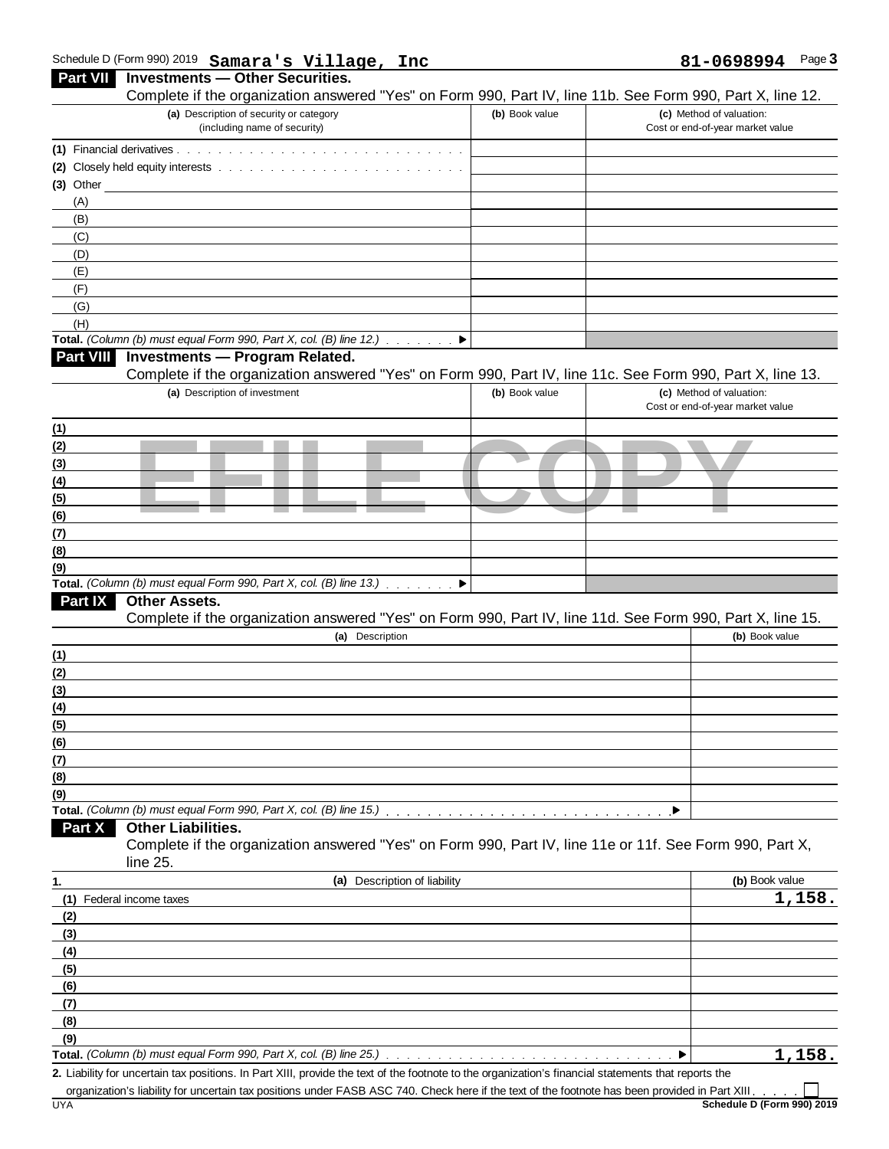#### Schedule D (Form 990) 2019 Page **3**

|             | Schedule D (Form 990) 2019 Samara's Village, Inc                                                                                                       |                | Page 3<br>81-0698994                                         |
|-------------|--------------------------------------------------------------------------------------------------------------------------------------------------------|----------------|--------------------------------------------------------------|
|             | Part VII Investments - Other Securities.                                                                                                               |                |                                                              |
|             | Complete if the organization answered "Yes" on Form 990, Part IV, line 11b. See Form 990, Part X, line 12.                                             |                |                                                              |
|             | (a) Description of security or category<br>(including name of security)                                                                                | (b) Book value | (c) Method of valuation:<br>Cost or end-of-year market value |
|             |                                                                                                                                                        |                |                                                              |
|             |                                                                                                                                                        |                |                                                              |
| $(3)$ Other |                                                                                                                                                        |                |                                                              |
| (A)         |                                                                                                                                                        |                |                                                              |
| (B)<br>(C)  |                                                                                                                                                        |                |                                                              |
| (D)         |                                                                                                                                                        |                |                                                              |
| (E)         |                                                                                                                                                        |                |                                                              |
| (F)         |                                                                                                                                                        |                |                                                              |
| (G)         |                                                                                                                                                        |                |                                                              |
| (H)         |                                                                                                                                                        |                |                                                              |
|             | Total. (Column (b) must equal Form 990, Part X, col. (B) line 12.) $\blacksquare$                                                                      |                |                                                              |
|             | Part VIII Investments - Program Related.<br>Complete if the organization answered "Yes" on Form 990, Part IV, line 11c. See Form 990, Part X, line 13. |                |                                                              |
|             | (a) Description of investment                                                                                                                          | (b) Book value | (c) Method of valuation:                                     |
|             |                                                                                                                                                        |                | Cost or end-of-year market value                             |
| (1)         |                                                                                                                                                        |                |                                                              |
| (2)         |                                                                                                                                                        |                |                                                              |
|             |                                                                                                                                                        |                |                                                              |
|             |                                                                                                                                                        |                |                                                              |
|             |                                                                                                                                                        |                |                                                              |
|             |                                                                                                                                                        |                |                                                              |
|             |                                                                                                                                                        |                |                                                              |
|             |                                                                                                                                                        |                |                                                              |
|             | Total. (Column (b) must equal Form 990, Part X, col. (B) line 13.) ▶                                                                                   |                |                                                              |
| Part IX     | <b>Other Assets.</b>                                                                                                                                   |                |                                                              |
|             | Complete if the organization answered "Yes" on Form 990, Part IV, line 11d. See Form 990, Part X, line 15.                                             |                |                                                              |
|             | (a) Description                                                                                                                                        |                | (b) Book value                                               |
|             |                                                                                                                                                        |                |                                                              |
|             |                                                                                                                                                        |                |                                                              |
|             |                                                                                                                                                        |                |                                                              |
|             |                                                                                                                                                        |                |                                                              |
|             |                                                                                                                                                        |                |                                                              |
| (7)         |                                                                                                                                                        |                |                                                              |
|             |                                                                                                                                                        |                |                                                              |
|             |                                                                                                                                                        |                |                                                              |
| Part X      | <b>Other Liabilities.</b>                                                                                                                              |                |                                                              |
|             | Complete if the organization answered "Yes" on Form 990, Part IV, line 11e or 11f. See Form 990, Part X,                                               |                |                                                              |
|             | line 25.                                                                                                                                               |                |                                                              |
|             | (a) Description of liability                                                                                                                           |                | (b) Book value                                               |
|             | (1) Federal income taxes                                                                                                                               |                | 1,158.                                                       |
| (2)         |                                                                                                                                                        |                |                                                              |
| (3)         |                                                                                                                                                        |                |                                                              |
| (4)         |                                                                                                                                                        |                |                                                              |
| (5)         |                                                                                                                                                        |                |                                                              |
| (6)         |                                                                                                                                                        |                |                                                              |
| (7)<br>(8)  |                                                                                                                                                        |                |                                                              |
| (9)         |                                                                                                                                                        |                |                                                              |
|             |                                                                                                                                                        |                |                                                              |

**2.** Liability for uncertain tax positions. In Part XIII, provide the text of the footnote to the organization's financial statements that reports the

organization's liability for uncertain tax positions under FASB ASC 740. Check here if the text of the footnote has been provided in Part XIII.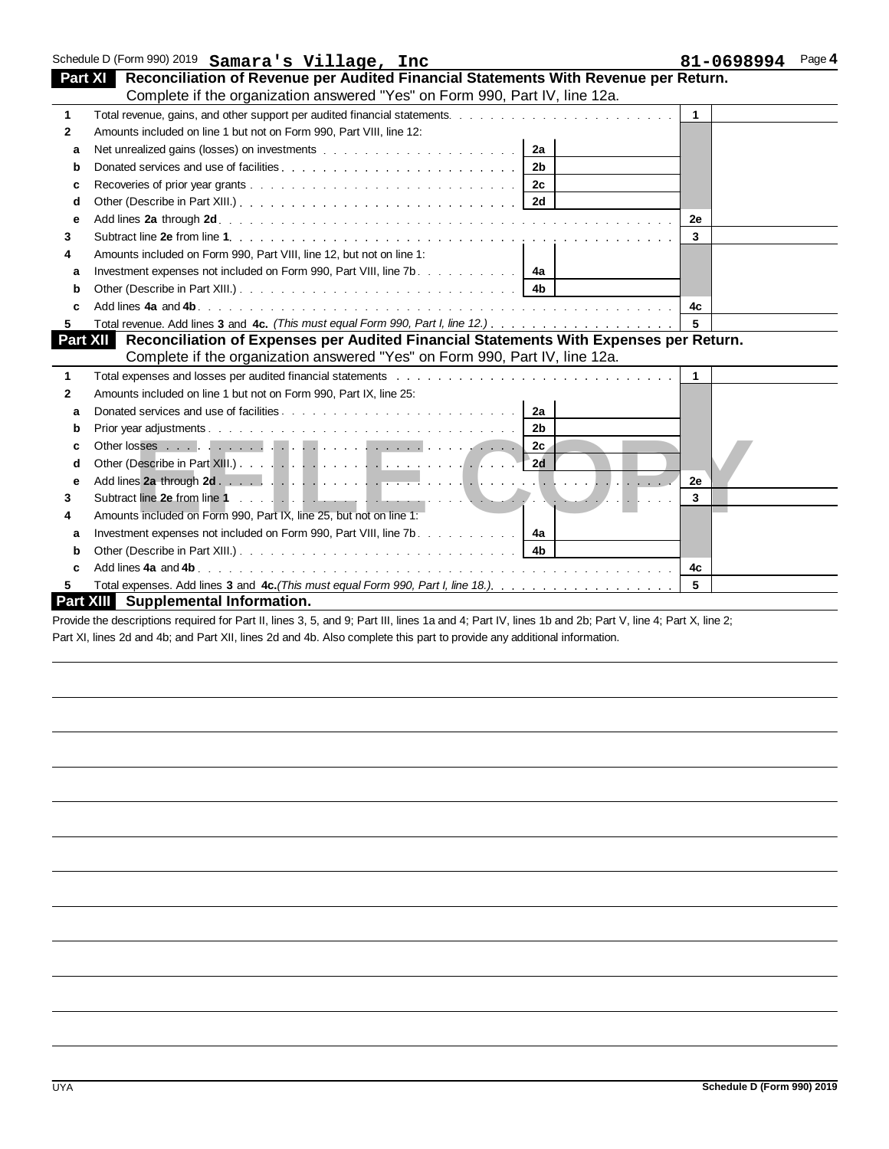|              | Schedule D (Form 990) 2019 Samara's Village, Inc                                                                                                                                                                               |                         | Page 4<br>81-0698994 |
|--------------|--------------------------------------------------------------------------------------------------------------------------------------------------------------------------------------------------------------------------------|-------------------------|----------------------|
|              | Part XI Reconciliation of Revenue per Audited Financial Statements With Revenue per Return.                                                                                                                                    |                         |                      |
|              | Complete if the organization answered "Yes" on Form 990, Part IV, line 12a.                                                                                                                                                    |                         |                      |
| $\mathbf{1}$ |                                                                                                                                                                                                                                | $\mathbf{1}$            |                      |
| $\mathbf{2}$ | Amounts included on line 1 but not on Form 990, Part VIII, line 12:                                                                                                                                                            |                         |                      |
| a            | 2a                                                                                                                                                                                                                             |                         |                      |
| b            | 2 <sub>b</sub>                                                                                                                                                                                                                 |                         |                      |
| c            |                                                                                                                                                                                                                                |                         |                      |
| d            |                                                                                                                                                                                                                                |                         |                      |
| е            |                                                                                                                                                                                                                                | 2e                      |                      |
| 3            |                                                                                                                                                                                                                                | 3                       |                      |
| 4            | Amounts included on Form 990, Part VIII, line 12, but not on line 1:                                                                                                                                                           |                         |                      |
| a            | Investment expenses not included on Form 990, Part VIII, line $7b$ . 4a                                                                                                                                                        |                         |                      |
| b            |                                                                                                                                                                                                                                |                         |                      |
|              |                                                                                                                                                                                                                                | 4c                      |                      |
| 5            |                                                                                                                                                                                                                                | 5                       |                      |
| Part XII     | Reconciliation of Expenses per Audited Financial Statements With Expenses per Return.                                                                                                                                          |                         |                      |
|              | Complete if the organization answered "Yes" on Form 990, Part IV, line 12a.                                                                                                                                                    |                         |                      |
| $\mathbf 1$  | Total expenses and losses per audited financial statements with the content of the expenses and losses per audited financial statements of the content of the content of the content of the content of the content of the cont | $\mathbf{1}$            |                      |
| 2            | Amounts included on line 1 but not on Form 990, Part IX, line 25:                                                                                                                                                              |                         |                      |
| a            | 2a                                                                                                                                                                                                                             |                         |                      |
| b            | 2 <sub>b</sub>                                                                                                                                                                                                                 |                         |                      |
|              |                                                                                                                                                                                                                                |                         |                      |
| d            |                                                                                                                                                                                                                                |                         |                      |
| е            |                                                                                                                                                                                                                                | 2e                      |                      |
| 3            |                                                                                                                                                                                                                                | $\overline{\mathbf{3}}$ |                      |
| 4            | Amounts included on Form 990, Part IX, line 25, but not on line 1:                                                                                                                                                             |                         |                      |
| a            | Investment expenses not included on Form 990, Part VIII, line 7b. $\ldots$ , $\ldots$ , $\ldots$                                                                                                                               |                         |                      |
| b            |                                                                                                                                                                                                                                |                         |                      |
|              | Add lines 4a and 4b.                                                                                                                                                                                                           | 4c                      |                      |
|              |                                                                                                                                                                                                                                | 5                       |                      |
|              | <b>Part XIII</b> Supplemental Information.                                                                                                                                                                                     |                         |                      |

Provide the descriptions required for Part II, lines 3, 5, and 9; Part III, lines 1a and 4; Part IV, lines 1b and 2b; Part V, line 4; Part X, line 2; Part XI, lines 2d and 4b; and Part XII, lines 2d and 4b. Also complete this part to provide any additional information.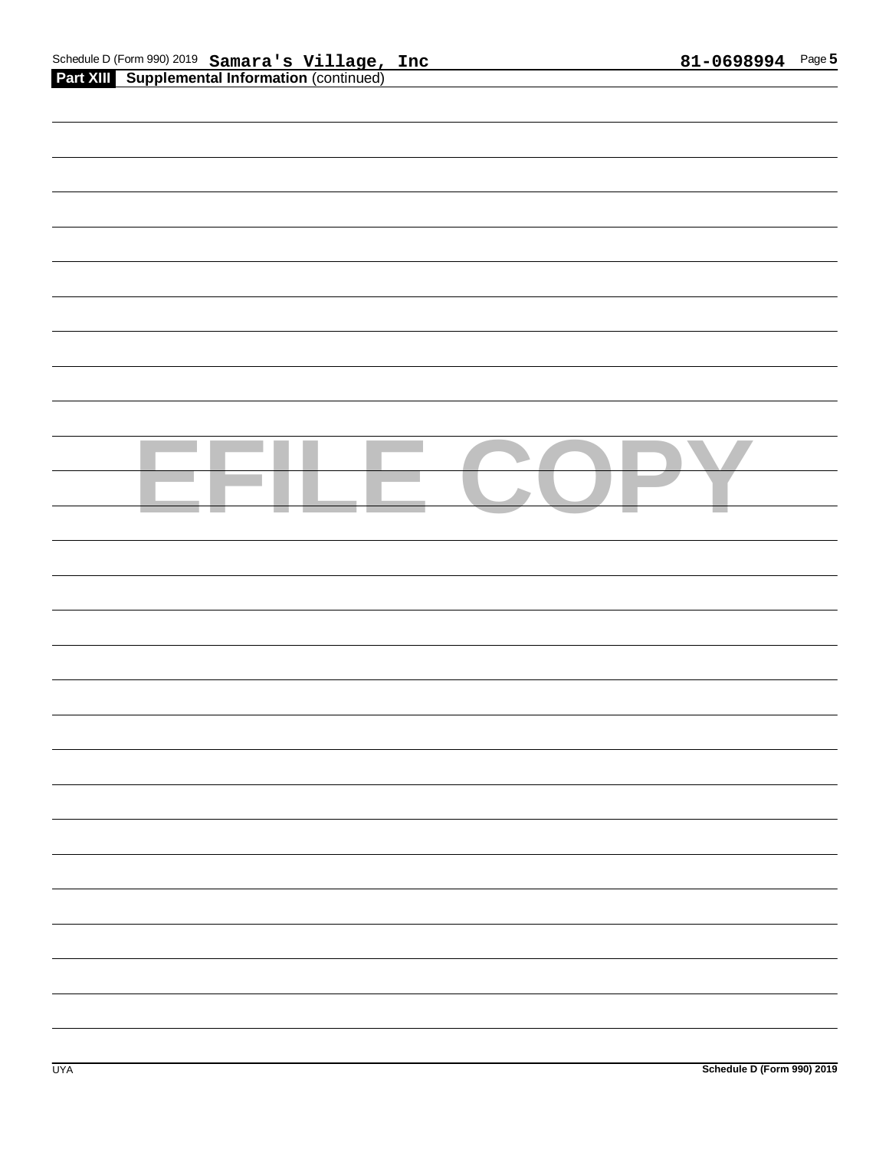| Schedule D (Form 990) 2019 Samara's Village, Inc      | 81-0698994 |
|-------------------------------------------------------|------------|
| <b>Part XIII</b> Supplemental Information (continued) |            |

| <b>Part XIII Supplemental Information (continued)</b> |
|-------------------------------------------------------|
|                                                       |
|                                                       |
|                                                       |
|                                                       |
|                                                       |
|                                                       |
|                                                       |
|                                                       |
|                                                       |
|                                                       |
|                                                       |
|                                                       |
|                                                       |
|                                                       |
|                                                       |
|                                                       |
|                                                       |
|                                                       |
|                                                       |
|                                                       |
|                                                       |
|                                                       |
|                                                       |
|                                                       |
|                                                       |
|                                                       |
|                                                       |
|                                                       |
|                                                       |
|                                                       |
|                                                       |
|                                                       |
|                                                       |
|                                                       |
|                                                       |
|                                                       |
|                                                       |
|                                                       |
|                                                       |
|                                                       |
|                                                       |
|                                                       |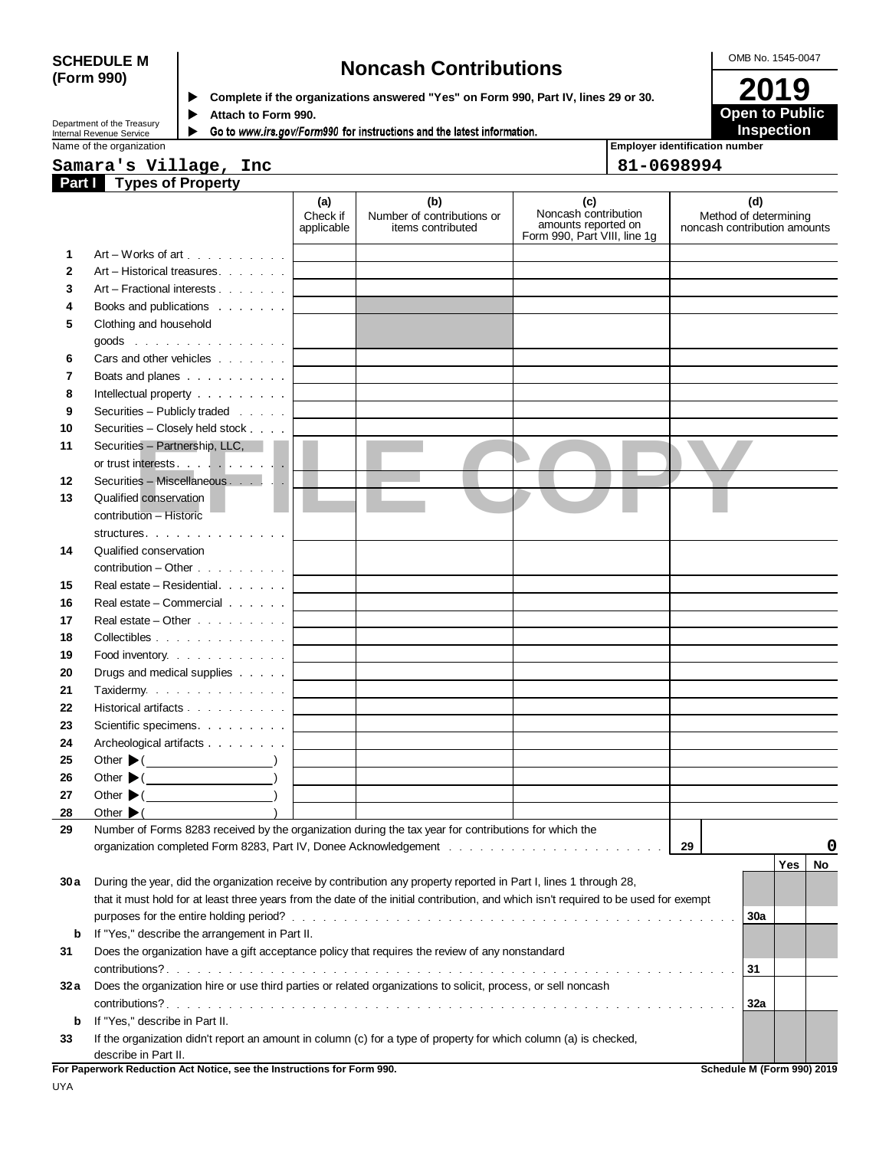# SCHEDULE M **Noncash Contributions**<br>
(Form 990) **Dependence if the organizations answered "Yes" on Form 990, Part IV, lines 29 or 30.**

**2019 (Form 990) Complete if the organizations answered "Yes" on Form 990, Part IV, lines 29 or 30.**

 $\blacktriangleright$ 

 $\blacktriangleright$ 

Attach to Form 990.<br>Go to *www.irs.gov/Form*990 for instructions and the latest information.

Department of the Treasury Internal Revenue Service Name of the organization

**Employer identification number**

**Open to Public Inspection**

|              | Samara's Village, Inc                                                                                                                |                               |                                                        |                                                                                    | 81-0698994 |                                                              |
|--------------|--------------------------------------------------------------------------------------------------------------------------------------|-------------------------------|--------------------------------------------------------|------------------------------------------------------------------------------------|------------|--------------------------------------------------------------|
|              | <b>Part Types of Property</b>                                                                                                        |                               |                                                        |                                                                                    |            |                                                              |
|              |                                                                                                                                      | (a)<br>Check if<br>applicable | (b)<br>Number of contributions or<br>items contributed | (c)<br>Noncash contribution<br>amounts reported on<br>Form 990, Part VIII, line 1g |            | (d)<br>Method of determining<br>noncash contribution amounts |
| 1            | Art – Works of art $\ldots$ , $\ldots$ , $\ldots$                                                                                    |                               |                                                        |                                                                                    |            |                                                              |
| $\mathbf{2}$ | Art – Historical treasures                                                                                                           |                               |                                                        |                                                                                    |            |                                                              |
| 3            | Art – Fractional interests                                                                                                           |                               |                                                        |                                                                                    |            |                                                              |
| 4            | Books and publications                                                                                                               |                               |                                                        |                                                                                    |            |                                                              |
| 5            | Clothing and household                                                                                                               |                               |                                                        |                                                                                    |            |                                                              |
|              |                                                                                                                                      |                               |                                                        |                                                                                    |            |                                                              |
| 6            | Cars and other vehicles                                                                                                              |                               |                                                        |                                                                                    |            |                                                              |
| 7            | Boats and planes                                                                                                                     |                               |                                                        |                                                                                    |            |                                                              |
| 8            | Intellectual property                                                                                                                |                               |                                                        |                                                                                    |            |                                                              |
| 9            | Securities - Publicly traded                                                                                                         |                               |                                                        |                                                                                    |            |                                                              |
| 10           | Securities - Closely held stock                                                                                                      |                               |                                                        |                                                                                    |            |                                                              |
| 11           | Securities - Partnership, LLC,                                                                                                       |                               |                                                        |                                                                                    |            |                                                              |
|              |                                                                                                                                      |                               |                                                        |                                                                                    |            |                                                              |
| 12           | Securities - Miscellaneous                                                                                                           |                               |                                                        |                                                                                    |            |                                                              |
| 13           | Qualified conservation                                                                                                               |                               |                                                        |                                                                                    |            |                                                              |
|              | contribution - Historic                                                                                                              |                               |                                                        |                                                                                    |            |                                                              |
|              | structures.                                                                                                                          |                               |                                                        |                                                                                    |            |                                                              |
| 14           | Qualified conservation                                                                                                               |                               |                                                        |                                                                                    |            |                                                              |
|              | $contribution - Other \dots \dots \dots$                                                                                             |                               |                                                        |                                                                                    |            |                                                              |
| 15           | Real estate – Residential. $\cdots$                                                                                                  |                               |                                                        |                                                                                    |            |                                                              |
| 16           | Real estate – Commercial $\cdots$                                                                                                    |                               |                                                        |                                                                                    |            |                                                              |
| 17           | Real estate $-$ Other $\cdots$ $\cdots$                                                                                              |                               |                                                        |                                                                                    |            |                                                              |
| 18           | Collectibles                                                                                                                         |                               |                                                        |                                                                                    |            |                                                              |
| 19           | Food inventory. $\cdots$ $\cdots$ $\cdots$                                                                                           |                               |                                                        |                                                                                    |            |                                                              |
| 20           | Drugs and medical supplies                                                                                                           |                               |                                                        |                                                                                    |            |                                                              |
| 21           | Taxidermy.                                                                                                                           |                               |                                                        |                                                                                    |            |                                                              |
| 22           | Historical artifacts                                                                                                                 |                               |                                                        |                                                                                    |            |                                                              |
| 23           | Scientific specimens.                                                                                                                |                               |                                                        |                                                                                    |            |                                                              |
| 24           | Archeological artifacts                                                                                                              |                               |                                                        |                                                                                    |            |                                                              |
| 25           | Other $\blacktriangleright$ ( $\qquad \qquad$                                                                                        |                               |                                                        |                                                                                    |            |                                                              |
| 26           | Other $\blacktriangleright$ ( $\_\_\_\_\_\_\_\_$ )                                                                                   |                               |                                                        |                                                                                    |            |                                                              |
| 27           | Other $\blacktriangleright$ ( $\qquad \qquad$                                                                                        |                               |                                                        |                                                                                    |            |                                                              |
| <u>28</u>    | the contract of the contract of the contract of<br>Other $\blacktriangleright$                                                       |                               |                                                        |                                                                                    |            |                                                              |
| 29           | Number of Forms 8283 received by the organization during the tax year for contributions for which the                                |                               |                                                        |                                                                                    |            |                                                              |
|              |                                                                                                                                      |                               |                                                        |                                                                                    | 29         | O                                                            |
|              |                                                                                                                                      |                               |                                                        |                                                                                    |            | Yes<br>No                                                    |
| 30a          | During the year, did the organization receive by contribution any property reported in Part I, lines 1 through 28,                   |                               |                                                        |                                                                                    |            |                                                              |
|              | that it must hold for at least three years from the date of the initial contribution, and which isn't required to be used for exempt |                               |                                                        |                                                                                    |            |                                                              |
|              |                                                                                                                                      |                               |                                                        |                                                                                    |            | 30a                                                          |
| b            | If "Yes," describe the arrangement in Part II.                                                                                       |                               |                                                        |                                                                                    |            |                                                              |
| 31           | Does the organization have a gift acceptance policy that requires the review of any nonstandard                                      |                               |                                                        |                                                                                    |            |                                                              |
|              |                                                                                                                                      |                               |                                                        |                                                                                    |            | 31                                                           |
| 32a          | Does the organization hire or use third parties or related organizations to solicit, process, or sell noncash                        |                               |                                                        |                                                                                    |            |                                                              |
|              |                                                                                                                                      |                               |                                                        |                                                                                    |            | 32a                                                          |
| b            | If "Yes," describe in Part II.                                                                                                       |                               |                                                        |                                                                                    |            |                                                              |
| 33           | If the organization didn't report an amount in column (c) for a type of property for which column (a) is checked,                    |                               |                                                        |                                                                                    |            |                                                              |
|              | describe in Part II.                                                                                                                 |                               |                                                        |                                                                                    |            |                                                              |
|              | For Paperwork Reduction Act Notice, see the Instructions for Form 990.                                                               |                               |                                                        |                                                                                    |            | Schedule M (Form 990) 2019                                   |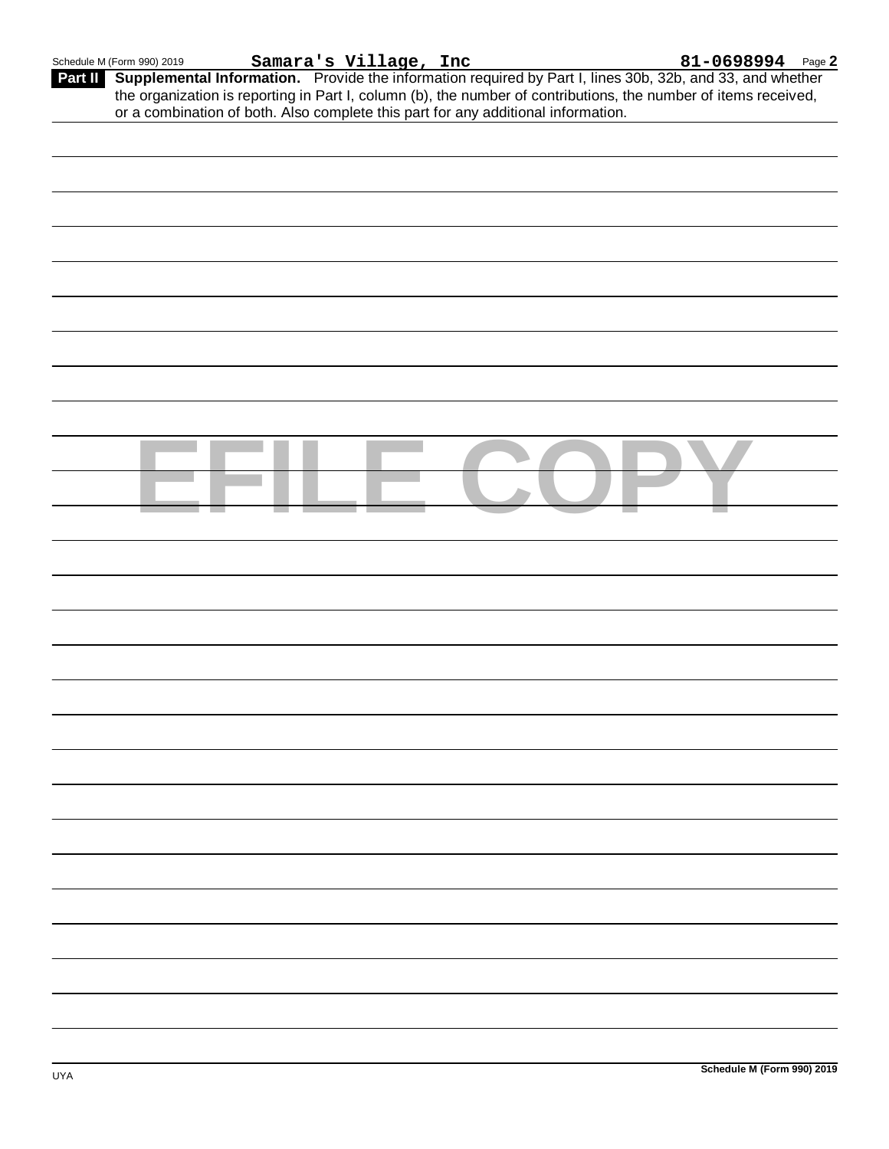**Part II Supplemental Information.** Provide the information required by Part I, lines 30b, 32b, and 33, and whether **Samara's Village, Inc 81-0698994**the organization is reporting in Part I, column (b), the number of contributions, the number of items received, or a combination of both. Also complete this part for any additional information.

| $\sim 100$<br><b>Contract</b><br><b>Contract</b><br>the control of the control of |  |
|-----------------------------------------------------------------------------------|--|
|                                                                                   |  |
|                                                                                   |  |
|                                                                                   |  |
|                                                                                   |  |
|                                                                                   |  |
|                                                                                   |  |
|                                                                                   |  |
|                                                                                   |  |
|                                                                                   |  |
|                                                                                   |  |
|                                                                                   |  |
|                                                                                   |  |
|                                                                                   |  |
|                                                                                   |  |
|                                                                                   |  |
|                                                                                   |  |
|                                                                                   |  |
|                                                                                   |  |
|                                                                                   |  |
|                                                                                   |  |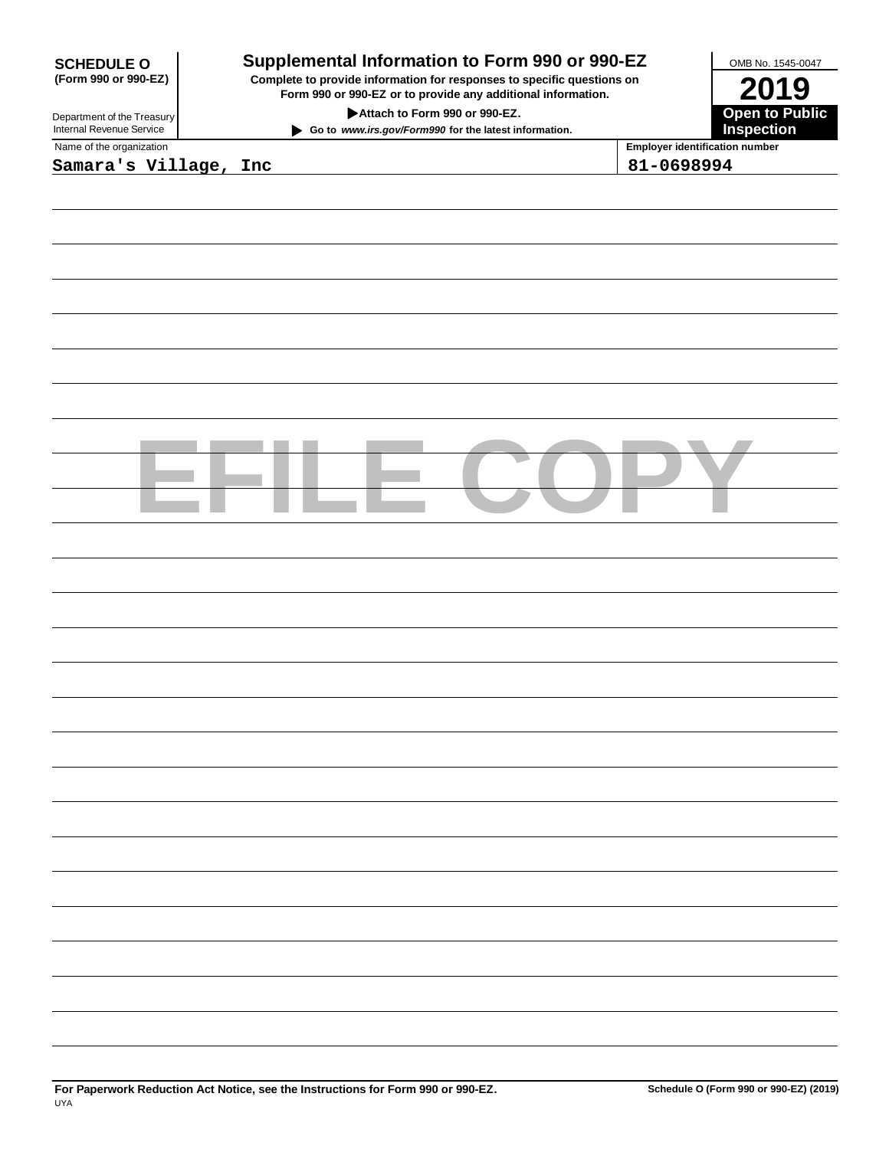| <b>SCHEDULE O</b>                                                                                                                                                                        | Supplemental Information to Form 990 or 990-EZ                                                                                                 |  | OMB No. 1545-0047                     |  |
|------------------------------------------------------------------------------------------------------------------------------------------------------------------------------------------|------------------------------------------------------------------------------------------------------------------------------------------------|--|---------------------------------------|--|
| (Form 990 or 990-EZ)                                                                                                                                                                     | Complete to provide information for responses to specific questions on<br>2019<br>Form 990 or 990-EZ or to provide any additional information. |  |                                       |  |
| <b>Open to Public<br/>Inspection</b><br>Attach to Form 990 or 990-EZ.<br>Department of the Treasury<br>Internal Revenue Service<br>Go to www.irs.gov/Form990 for the latest information. |                                                                                                                                                |  |                                       |  |
| Name of the organization                                                                                                                                                                 |                                                                                                                                                |  | <b>Employer identification number</b> |  |
| Samara's Village, Inc                                                                                                                                                                    |                                                                                                                                                |  | 81-0698994                            |  |
|                                                                                                                                                                                          |                                                                                                                                                |  |                                       |  |
|                                                                                                                                                                                          |                                                                                                                                                |  |                                       |  |
|                                                                                                                                                                                          |                                                                                                                                                |  |                                       |  |
|                                                                                                                                                                                          |                                                                                                                                                |  |                                       |  |
|                                                                                                                                                                                          |                                                                                                                                                |  |                                       |  |
|                                                                                                                                                                                          |                                                                                                                                                |  |                                       |  |
|                                                                                                                                                                                          |                                                                                                                                                |  |                                       |  |
|                                                                                                                                                                                          |                                                                                                                                                |  |                                       |  |
|                                                                                                                                                                                          |                                                                                                                                                |  |                                       |  |
|                                                                                                                                                                                          |                                                                                                                                                |  |                                       |  |
|                                                                                                                                                                                          |                                                                                                                                                |  |                                       |  |
|                                                                                                                                                                                          |                                                                                                                                                |  |                                       |  |
|                                                                                                                                                                                          |                                                                                                                                                |  |                                       |  |
|                                                                                                                                                                                          |                                                                                                                                                |  |                                       |  |
|                                                                                                                                                                                          |                                                                                                                                                |  |                                       |  |
|                                                                                                                                                                                          |                                                                                                                                                |  |                                       |  |
|                                                                                                                                                                                          |                                                                                                                                                |  |                                       |  |
|                                                                                                                                                                                          |                                                                                                                                                |  |                                       |  |
|                                                                                                                                                                                          |                                                                                                                                                |  |                                       |  |
|                                                                                                                                                                                          |                                                                                                                                                |  |                                       |  |
|                                                                                                                                                                                          |                                                                                                                                                |  |                                       |  |
|                                                                                                                                                                                          |                                                                                                                                                |  |                                       |  |
|                                                                                                                                                                                          |                                                                                                                                                |  |                                       |  |
|                                                                                                                                                                                          |                                                                                                                                                |  |                                       |  |
|                                                                                                                                                                                          |                                                                                                                                                |  |                                       |  |
|                                                                                                                                                                                          |                                                                                                                                                |  |                                       |  |
|                                                                                                                                                                                          |                                                                                                                                                |  |                                       |  |
|                                                                                                                                                                                          |                                                                                                                                                |  |                                       |  |
|                                                                                                                                                                                          |                                                                                                                                                |  |                                       |  |
|                                                                                                                                                                                          |                                                                                                                                                |  |                                       |  |
|                                                                                                                                                                                          |                                                                                                                                                |  |                                       |  |
|                                                                                                                                                                                          |                                                                                                                                                |  |                                       |  |
|                                                                                                                                                                                          |                                                                                                                                                |  |                                       |  |
|                                                                                                                                                                                          |                                                                                                                                                |  |                                       |  |
|                                                                                                                                                                                          |                                                                                                                                                |  |                                       |  |
|                                                                                                                                                                                          |                                                                                                                                                |  |                                       |  |
|                                                                                                                                                                                          |                                                                                                                                                |  |                                       |  |
|                                                                                                                                                                                          |                                                                                                                                                |  |                                       |  |
|                                                                                                                                                                                          |                                                                                                                                                |  |                                       |  |
|                                                                                                                                                                                          |                                                                                                                                                |  |                                       |  |
|                                                                                                                                                                                          |                                                                                                                                                |  |                                       |  |
|                                                                                                                                                                                          |                                                                                                                                                |  |                                       |  |
|                                                                                                                                                                                          |                                                                                                                                                |  |                                       |  |
|                                                                                                                                                                                          |                                                                                                                                                |  |                                       |  |
|                                                                                                                                                                                          |                                                                                                                                                |  |                                       |  |